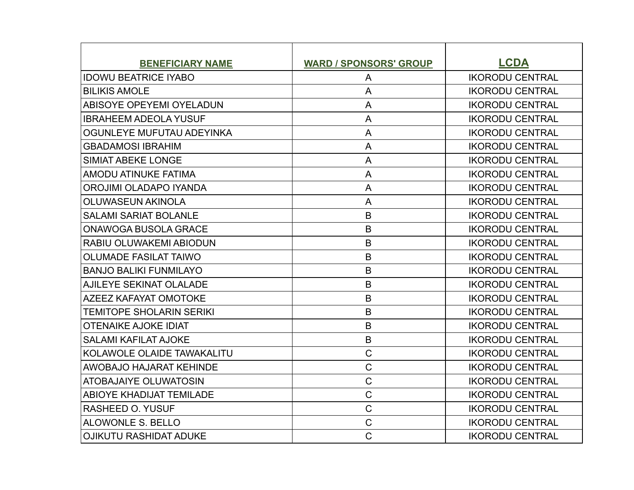| <b>BENEFICIARY NAME</b>         | <b>WARD / SPONSORS' GROUP</b> | <b>LCDA</b>            |
|---------------------------------|-------------------------------|------------------------|
| <b>IDOWU BEATRICE IYABO</b>     | A                             | <b>IKORODU CENTRAL</b> |
| <b>BILIKIS AMOLE</b>            | $\mathsf{A}$                  | <b>IKORODU CENTRAL</b> |
| <b>ABISOYE OPEYEMI OYELADUN</b> | A                             | <b>IKORODU CENTRAL</b> |
| <b>IBRAHEEM ADEOLA YUSUF</b>    | A                             | <b>IKORODU CENTRAL</b> |
| OGUNLEYE MUFUTAU ADEYINKA       | $\overline{A}$                | <b>IKORODU CENTRAL</b> |
| <b>GBADAMOSI IBRAHIM</b>        | $\overline{A}$                | <b>IKORODU CENTRAL</b> |
| <b>SIMIAT ABEKE LONGE</b>       | A                             | <b>IKORODU CENTRAL</b> |
| AMODU ATINUKE FATIMA            | A                             | <b>IKORODU CENTRAL</b> |
| OROJIMI OLADAPO IYANDA          | A                             | <b>IKORODU CENTRAL</b> |
| <b>OLUWASEUN AKINOLA</b>        | A                             | <b>IKORODU CENTRAL</b> |
| <b>SALAMI SARIAT BOLANLE</b>    | $\mathsf B$                   | <b>IKORODU CENTRAL</b> |
| <b>ONAWOGA BUSOLA GRACE</b>     | B                             | <b>IKORODU CENTRAL</b> |
| RABIU OLUWAKEMI ABIODUN         | B                             | <b>IKORODU CENTRAL</b> |
| <b>OLUMADE FASILAT TAIWO</b>    | B                             | <b>IKORODU CENTRAL</b> |
| <b>BANJO BALIKI FUNMILAYO</b>   | B                             | <b>IKORODU CENTRAL</b> |
| AJILEYE SEKINAT OLALADE         | B                             | <b>IKORODU CENTRAL</b> |
| <b>AZEEZ KAFAYAT OMOTOKE</b>    | B                             | <b>IKORODU CENTRAL</b> |
| <b>TEMITOPE SHOLARIN SERIKI</b> | $\mathsf B$                   | <b>IKORODU CENTRAL</b> |
| <b>OTENAIKE AJOKE IDIAT</b>     | B                             | <b>IKORODU CENTRAL</b> |
| <b>SALAMI KAFILAT AJOKE</b>     | $\mathsf B$                   | <b>IKORODU CENTRAL</b> |
| KOLAWOLE OLAIDE TAWAKALITU      | $\mathsf C$                   | <b>IKORODU CENTRAL</b> |
| AWOBAJO HAJARAT KEHINDE         | $\mathsf C$                   | <b>IKORODU CENTRAL</b> |
| <b>ATOBAJAIYE OLUWATOSIN</b>    | $\mathsf C$                   | <b>IKORODU CENTRAL</b> |
| <b>ABIOYE KHADIJAT TEMILADE</b> | $\mathsf C$                   | <b>IKORODU CENTRAL</b> |
| <b>RASHEED O. YUSUF</b>         | $\mathsf C$                   | <b>IKORODU CENTRAL</b> |
| <b>ALOWONLE S. BELLO</b>        | $\overline{C}$                | <b>IKORODU CENTRAL</b> |
| <b>OJIKUTU RASHIDAT ADUKE</b>   | $\mathsf{C}$                  | <b>IKORODU CENTRAL</b> |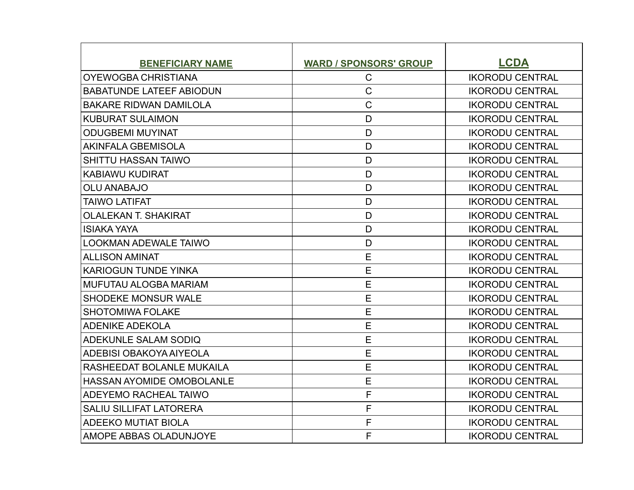| <b>BENEFICIARY NAME</b>          | <b>WARD / SPONSORS' GROUP</b> | <b>LCDA</b>            |
|----------------------------------|-------------------------------|------------------------|
| <b>OYEWOGBA CHRISTIANA</b>       | $\mathsf{C}$                  | <b>IKORODU CENTRAL</b> |
| <b>BABATUNDE LATEEF ABIODUN</b>  | $\mathsf{C}$                  | <b>IKORODU CENTRAL</b> |
| <b>BAKARE RIDWAN DAMILOLA</b>    | $\mathsf{C}$                  | <b>IKORODU CENTRAL</b> |
| <b>KUBURAT SULAIMON</b>          | D                             | <b>IKORODU CENTRAL</b> |
| <b>ODUGBEMI MUYINAT</b>          | D                             | <b>IKORODU CENTRAL</b> |
| <b>AKINFALA GBEMISOLA</b>        | D                             | <b>IKORODU CENTRAL</b> |
| <b>SHITTU HASSAN TAIWO</b>       | D                             | <b>IKORODU CENTRAL</b> |
| <b>KABIAWU KUDIRAT</b>           | D                             | <b>IKORODU CENTRAL</b> |
| <b>OLU ANABAJO</b>               | D                             | <b>IKORODU CENTRAL</b> |
| <b>TAIWO LATIFAT</b>             | D                             | <b>IKORODU CENTRAL</b> |
| <b>OLALEKAN T. SHAKIRAT</b>      | D                             | <b>IKORODU CENTRAL</b> |
| <b>ISIAKA YAYA</b>               | D                             | <b>IKORODU CENTRAL</b> |
| <b>LOOKMAN ADEWALE TAIWO</b>     | D                             | <b>IKORODU CENTRAL</b> |
| <b>ALLISON AMINAT</b>            | E                             | <b>IKORODU CENTRAL</b> |
| <b>KARIOGUN TUNDE YINKA</b>      | E                             | <b>IKORODU CENTRAL</b> |
| <b>MUFUTAU ALOGBA MARIAM</b>     | E                             | <b>IKORODU CENTRAL</b> |
| SHODEKE MONSUR WALE              | E                             | <b>IKORODU CENTRAL</b> |
| <b>SHOTOMIWA FOLAKE</b>          | E                             | <b>IKORODU CENTRAL</b> |
| <b>ADENIKE ADEKOLA</b>           | E                             | <b>IKORODU CENTRAL</b> |
| <b>ADEKUNLE SALAM SODIQ</b>      | E                             | <b>IKORODU CENTRAL</b> |
| ADEBISI OBAKOYA AIYEOLA          | E                             | <b>IKORODU CENTRAL</b> |
| RASHEEDAT BOLANLE MUKAILA        | E                             | <b>IKORODU CENTRAL</b> |
| <b>HASSAN AYOMIDE OMOBOLANLE</b> | E                             | <b>IKORODU CENTRAL</b> |
| <b>ADEYEMO RACHEAL TAIWO</b>     | F                             | <b>IKORODU CENTRAL</b> |
| <b>SALIU SILLIFAT LATORERA</b>   | F                             | <b>IKORODU CENTRAL</b> |
| <b>ADEEKO MUTIAT BIOLA</b>       | F                             | <b>IKORODU CENTRAL</b> |
| AMOPE ABBAS OLADUNJOYE           | F                             | <b>IKORODU CENTRAL</b> |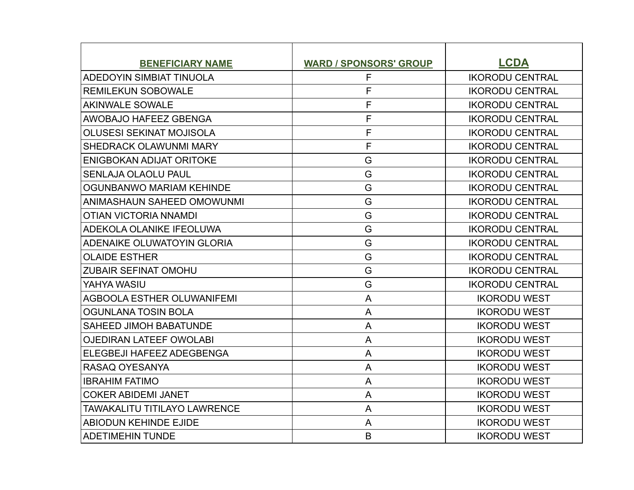| <b>BENEFICIARY NAME</b>             | <b>WARD / SPONSORS' GROUP</b> | <b>LCDA</b>            |
|-------------------------------------|-------------------------------|------------------------|
| <b>ADEDOYIN SIMBIAT TINUOLA</b>     | F                             | <b>IKORODU CENTRAL</b> |
| <b>REMILEKUN SOBOWALE</b>           | F                             | <b>IKORODU CENTRAL</b> |
| <b>AKINWALE SOWALE</b>              | F                             | <b>IKORODU CENTRAL</b> |
| AWOBAJO HAFEEZ GBENGA               | F                             | <b>IKORODU CENTRAL</b> |
| <b>OLUSESI SEKINAT MOJISOLA</b>     | F                             | <b>IKORODU CENTRAL</b> |
| <b>SHEDRACK OLAWUNMI MARY</b>       | F                             | <b>IKORODU CENTRAL</b> |
| <b>ENIGBOKAN ADIJAT ORITOKE</b>     | G                             | <b>IKORODU CENTRAL</b> |
| <b>SENLAJA OLAOLU PAUL</b>          | G                             | <b>IKORODU CENTRAL</b> |
| OGUNBANWO MARIAM KEHINDE            | G                             | <b>IKORODU CENTRAL</b> |
| <b>ANIMASHAUN SAHEED OMOWUNMI</b>   | G                             | <b>IKORODU CENTRAL</b> |
| OTIAN VICTORIA NNAMDI               | G                             | <b>IKORODU CENTRAL</b> |
| ADEKOLA OLANIKE IFEOLUWA            | G                             | <b>IKORODU CENTRAL</b> |
| <b>ADENAIKE OLUWATOYIN GLORIA</b>   | G                             | <b>IKORODU CENTRAL</b> |
| <b>OLAIDE ESTHER</b>                | G                             | <b>IKORODU CENTRAL</b> |
| <b>ZUBAIR SEFINAT OMOHU</b>         | G                             | <b>IKORODU CENTRAL</b> |
| YAHYA WASIU                         | G                             | <b>IKORODU CENTRAL</b> |
| AGBOOLA ESTHER OLUWANIFEMI          | $\overline{A}$                | <b>IKORODU WEST</b>    |
| OGUNLANA TOSIN BOLA                 | A                             | <b>IKORODU WEST</b>    |
| <b>SAHEED JIMOH BABATUNDE</b>       | A                             | <b>IKORODU WEST</b>    |
| <b>OJEDIRAN LATEEF OWOLABI</b>      | A                             | <b>IKORODU WEST</b>    |
| ELEGBEJI HAFEEZ ADEGBENGA           | $\overline{A}$                | <b>IKORODU WEST</b>    |
| RASAQ OYESANYA                      | A                             | <b>IKORODU WEST</b>    |
| <b>IBRAHIM FATIMO</b>               | A                             | <b>IKORODU WEST</b>    |
| <b>COKER ABIDEMI JANET</b>          | A                             | <b>IKORODU WEST</b>    |
| <b>TAWAKALITU TITILAYO LAWRENCE</b> | A                             | <b>IKORODU WEST</b>    |
| <b>ABIODUN KEHINDE EJIDE</b>        | $\mathsf{A}$                  | <b>IKORODU WEST</b>    |
| ADETIMEHIN TUNDE                    | B                             | <b>IKORODU WEST</b>    |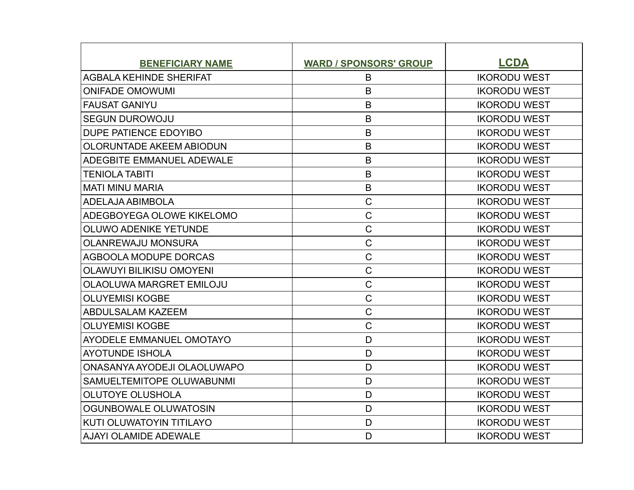| <b>BENEFICIARY NAME</b>         | <b>WARD / SPONSORS' GROUP</b> | <b>LCDA</b>         |
|---------------------------------|-------------------------------|---------------------|
| <b>AGBALA KEHINDE SHERIFAT</b>  | B                             | <b>IKORODU WEST</b> |
| <b>ONIFADE OMOWUMI</b>          | B                             | <b>IKORODU WEST</b> |
| FAUSAT GANIYU                   | B                             | <b>IKORODU WEST</b> |
| <b>SEGUN DUROWOJU</b>           | $\mathsf B$                   | <b>IKORODU WEST</b> |
| DUPE PATIENCE EDOYIBO           | B                             | <b>IKORODU WEST</b> |
| <b>OLORUNTADE AKEEM ABIODUN</b> | B                             | <b>IKORODU WEST</b> |
| ADEGBITE EMMANUEL ADEWALE       | B                             | <b>IKORODU WEST</b> |
| <b>TENIOLA TABITI</b>           | B                             | <b>IKORODU WEST</b> |
| <b>MATI MINU MARIA</b>          | $\mathsf B$                   | <b>IKORODU WEST</b> |
| ADELAJA ABIMBOLA                | $\mathsf{C}$                  | <b>IKORODU WEST</b> |
| ADEGBOYEGA OLOWE KIKELOMO       | $\mathsf C$                   | <b>IKORODU WEST</b> |
| <b>OLUWO ADENIKE YETUNDE</b>    | $\mathsf C$                   | <b>IKORODU WEST</b> |
| <b>OLANREWAJU MONSURA</b>       | $\mathsf{C}$                  | <b>IKORODU WEST</b> |
| AGBOOLA MODUPE DORCAS           | $\mathsf C$                   | <b>IKORODU WEST</b> |
| <b>OLAWUYI BILIKISU OMOYENI</b> | $\mathsf{C}$                  | <b>IKORODU WEST</b> |
| OLAOLUWA MARGRET EMILOJU        | $\mathsf C$                   | <b>IKORODU WEST</b> |
| <b>OLUYEMISI KOGBE</b>          | $\mathsf C$                   | <b>IKORODU WEST</b> |
| ABDULSALAM KAZEEM               | $\mathsf{C}$                  | <b>IKORODU WEST</b> |
| <b>OLUYEMISI KOGBE</b>          | $\mathsf C$                   | <b>IKORODU WEST</b> |
| <b>AYODELE EMMANUEL OMOTAYO</b> | D                             | <b>IKORODU WEST</b> |
| <b>AYOTUNDE ISHOLA</b>          | D                             | <b>IKORODU WEST</b> |
| ONASANYA AYODEJI OLAOLUWAPO     | D                             | <b>IKORODU WEST</b> |
| SAMUELTEMITOPE OLUWABUNMI       | D                             | <b>IKORODU WEST</b> |
| <b>OLUTOYE OLUSHOLA</b>         | D                             | <b>IKORODU WEST</b> |
| OGUNBOWALE OLUWATOSIN           | D                             | <b>IKORODU WEST</b> |
| KUTI OLUWATOYIN TITILAYO        | D                             | <b>IKORODU WEST</b> |
| AJAYI OLAMIDE ADEWALE           | D                             | <b>IKORODU WEST</b> |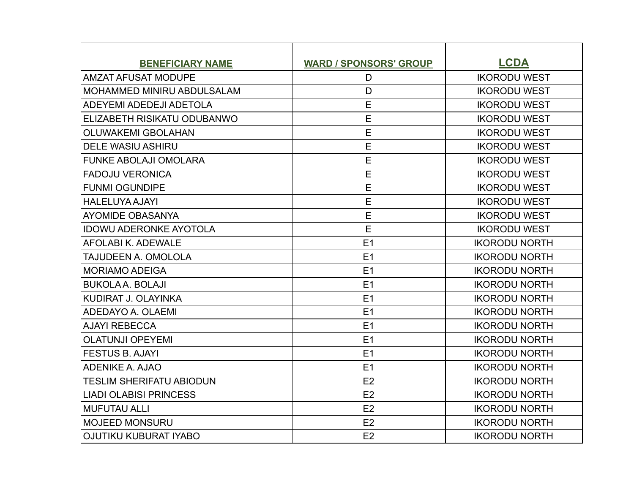| <b>BENEFICIARY NAME</b>           | <b>WARD / SPONSORS' GROUP</b> | <b>LCDA</b>          |
|-----------------------------------|-------------------------------|----------------------|
| <b>AMZAT AFUSAT MODUPE</b>        | D                             | <b>IKORODU WEST</b>  |
| <b>MOHAMMED MINIRU ABDULSALAM</b> | D                             | <b>IKORODU WEST</b>  |
| <b>ADEYEMI ADEDEJI ADETOLA</b>    | E                             | <b>IKORODU WEST</b>  |
| ELIZABETH RISIKATU ODUBANWO       | E                             | <b>IKORODU WEST</b>  |
| <b>OLUWAKEMI GBOLAHAN</b>         | E                             | <b>IKORODU WEST</b>  |
| <b>DELE WASIU ASHIRU</b>          | E                             | <b>IKORODU WEST</b>  |
| <b>FUNKE ABOLAJI OMOLARA</b>      | E                             | <b>IKORODU WEST</b>  |
| <b>FADOJU VERONICA</b>            | E                             | <b>IKORODU WEST</b>  |
| <b>FUNMI OGUNDIPE</b>             | E                             | <b>IKORODU WEST</b>  |
| HALELUYA AJAYI                    | E                             | <b>IKORODU WEST</b>  |
| AYOMIDE OBASANYA                  | E                             | <b>IKORODU WEST</b>  |
| <b>IDOWU ADERONKE AYOTOLA</b>     | E                             | <b>IKORODU WEST</b>  |
| AFOLABI K. ADEWALE                | E1                            | <b>IKORODU NORTH</b> |
| <b>TAJUDEEN A. OMOLOLA</b>        | E1                            | <b>IKORODU NORTH</b> |
| <b>MORIAMO ADEIGA</b>             | E1                            | <b>IKORODU NORTH</b> |
| <b>BUKOLA A. BOLAJI</b>           | E1                            | <b>IKORODU NORTH</b> |
| KUDIRAT J. OLAYINKA               | E1                            | <b>IKORODU NORTH</b> |
| ADEDAYO A. OLAEMI                 | E1                            | <b>IKORODU NORTH</b> |
| <b>AJAYI REBECCA</b>              | E1                            | <b>IKORODU NORTH</b> |
| <b>OLATUNJI OPEYEMI</b>           | E1                            | <b>IKORODU NORTH</b> |
| <b>FESTUS B. AJAYI</b>            | E1                            | <b>IKORODU NORTH</b> |
| <b>ADENIKE A. AJAO</b>            | E1                            | <b>IKORODU NORTH</b> |
| <b>TESLIM SHERIFATU ABIODUN</b>   | E2                            | <b>IKORODU NORTH</b> |
| LIADI OLABISI PRINCESS            | E2                            | <b>IKORODU NORTH</b> |
| MUFUTAU ALLI                      | E2                            | <b>IKORODU NORTH</b> |
| IMOJEED MONSURU                   | E2                            | <b>IKORODU NORTH</b> |
| <b>OJUTIKU KUBURAT IYABO</b>      | E2                            | <b>IKORODU NORTH</b> |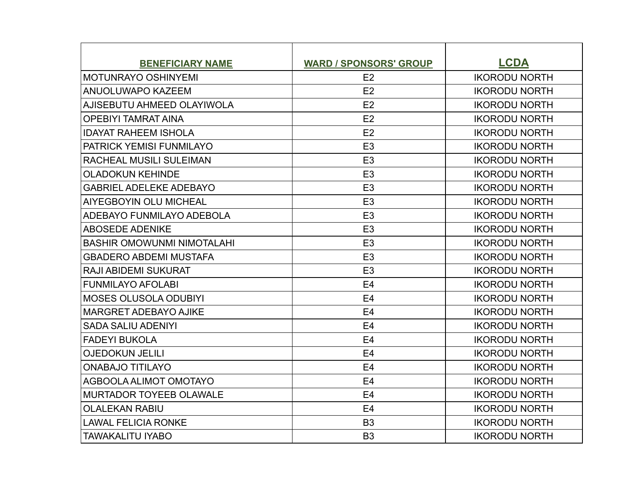| <b>BENEFICIARY NAME</b>           | <b>WARD / SPONSORS' GROUP</b> | <b>LCDA</b>          |
|-----------------------------------|-------------------------------|----------------------|
| MOTUNRAYO OSHINYEMI               | E2                            | <b>IKORODU NORTH</b> |
| <b>ANUOLUWAPO KAZEEM</b>          | E2                            | <b>IKORODU NORTH</b> |
| AJISEBUTU AHMEED OLAYIWOLA        | E2                            | <b>IKORODU NORTH</b> |
| <b>OPEBIYI TAMRAT AINA</b>        | E2                            | <b>IKORODU NORTH</b> |
| <b>IDAYAT RAHEEM ISHOLA</b>       | E2                            | <b>IKORODU NORTH</b> |
| <b>PATRICK YEMISI FUNMILAYO</b>   | E <sub>3</sub>                | <b>IKORODU NORTH</b> |
| <b>RACHEAL MUSILI SULEIMAN</b>    | E <sub>3</sub>                | <b>IKORODU NORTH</b> |
| <b>OLADOKUN KEHINDE</b>           | E <sub>3</sub>                | <b>IKORODU NORTH</b> |
| <b>GABRIEL ADELEKE ADEBAYO</b>    | E <sub>3</sub>                | <b>IKORODU NORTH</b> |
| <b>AIYEGBOYIN OLU MICHEAL</b>     | E <sub>3</sub>                | <b>IKORODU NORTH</b> |
| ADEBAYO FUNMILAYO ADEBOLA         | E <sub>3</sub>                | <b>IKORODU NORTH</b> |
| <b>ABOSEDE ADENIKE</b>            | E <sub>3</sub>                | <b>IKORODU NORTH</b> |
| <b>BASHIR OMOWUNMI NIMOTALAHI</b> | E <sub>3</sub>                | <b>IKORODU NORTH</b> |
| <b>GBADERO ABDEMI MUSTAFA</b>     | E <sub>3</sub>                | <b>IKORODU NORTH</b> |
| <b>RAJI ABIDEMI SUKURAT</b>       | E <sub>3</sub>                | <b>IKORODU NORTH</b> |
| <b>FUNMILAYO AFOLABI</b>          | E <sub>4</sub>                | <b>IKORODU NORTH</b> |
| MOSES OLUSOLA ODUBIYI             | E <sub>4</sub>                | <b>IKORODU NORTH</b> |
| <b>MARGRET ADEBAYO AJIKE</b>      | E <sub>4</sub>                | <b>IKORODU NORTH</b> |
| <b>SADA SALIU ADENIYI</b>         | E <sub>4</sub>                | <b>IKORODU NORTH</b> |
| FADEYI BUKOLA                     | E <sub>4</sub>                | <b>IKORODU NORTH</b> |
| <b>OJEDOKUN JELILI</b>            | E <sub>4</sub>                | <b>IKORODU NORTH</b> |
| <b>ONABAJO TITILAYO</b>           | E <sub>4</sub>                | <b>IKORODU NORTH</b> |
| AGBOOLA ALIMOT OMOTAYO            | E <sub>4</sub>                | <b>IKORODU NORTH</b> |
| MURTADOR TOYEEB OLAWALE           | E <sub>4</sub>                | <b>IKORODU NORTH</b> |
| <b>OLALEKAN RABIU</b>             | E <sub>4</sub>                | <b>IKORODU NORTH</b> |
| <b>LAWAL FELICIA RONKE</b>        | B <sub>3</sub>                | <b>IKORODU NORTH</b> |
| <b>TAWAKALITU IYABO</b>           | B <sub>3</sub>                | <b>IKORODU NORTH</b> |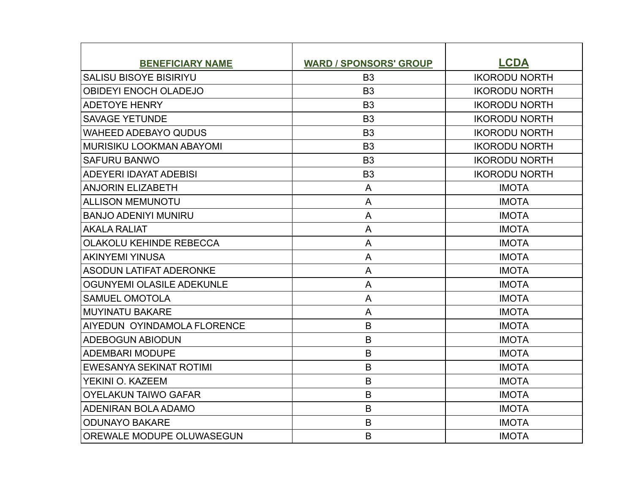| <b>BENEFICIARY NAME</b>          | <b>WARD / SPONSORS' GROUP</b> | <b>LCDA</b>          |
|----------------------------------|-------------------------------|----------------------|
| <b>SALISU BISOYE BISIRIYU</b>    | B <sub>3</sub>                | <b>IKORODU NORTH</b> |
| <b>OBIDEYI ENOCH OLADEJO</b>     | B <sub>3</sub>                | <b>IKORODU NORTH</b> |
| <b>ADETOYE HENRY</b>             | B <sub>3</sub>                | <b>IKORODU NORTH</b> |
| <b>SAVAGE YETUNDE</b>            | B <sub>3</sub>                | <b>IKORODU NORTH</b> |
| <b>WAHEED ADEBAYO QUDUS</b>      | B <sub>3</sub>                | <b>IKORODU NORTH</b> |
| <b>MURISIKU LOOKMAN ABAYOMI</b>  | B <sub>3</sub>                | <b>IKORODU NORTH</b> |
| <b>SAFURU BANWO</b>              | B <sub>3</sub>                | <b>IKORODU NORTH</b> |
| ADEYERI IDAYAT ADEBISI           | B <sub>3</sub>                | <b>IKORODU NORTH</b> |
| <b>ANJORIN ELIZABETH</b>         | $\mathsf{A}$                  | <b>IMOTA</b>         |
| <b>ALLISON MEMUNOTU</b>          | A                             | <b>IMOTA</b>         |
| <b>BANJO ADENIYI MUNIRU</b>      | A                             | <b>IMOTA</b>         |
| <b>AKALA RALIAT</b>              | A                             | <b>IMOTA</b>         |
| <b>OLAKOLU KEHINDE REBECCA</b>   | A                             | <b>IMOTA</b>         |
| <b>AKINYEMI YINUSA</b>           | A                             | <b>IMOTA</b>         |
| <b>ASODUN LATIFAT ADERONKE</b>   | A                             | <b>IMOTA</b>         |
| OGUNYEMI OLASILE ADEKUNLE        | A                             | <b>IMOTA</b>         |
| <b>SAMUEL OMOTOLA</b>            | A                             | <b>IMOTA</b>         |
| <b>MUYINATU BAKARE</b>           | A                             | <b>IMOTA</b>         |
| AIYEDUN OYINDAMOLA FLORENCE      | B                             | <b>IMOTA</b>         |
| <b>ADEBOGUN ABIODUN</b>          | B                             | <b>IMOTA</b>         |
| <b>ADEMBARI MODUPE</b>           | B                             | <b>IMOTA</b>         |
| <b>EWESANYA SEKINAT ROTIMI</b>   | B                             | <b>IMOTA</b>         |
| YEKINI O. KAZEEM                 | B                             | <b>IMOTA</b>         |
| <b>OYELAKUN TAIWO GAFAR</b>      | B                             | <b>IMOTA</b>         |
| <b>ADENIRAN BOLA ADAMO</b>       | B                             | <b>IMOTA</b>         |
| <b>ODUNAYO BAKARE</b>            | B                             | <b>IMOTA</b>         |
| <b>OREWALE MODUPE OLUWASEGUN</b> | B                             | <b>IMOTA</b>         |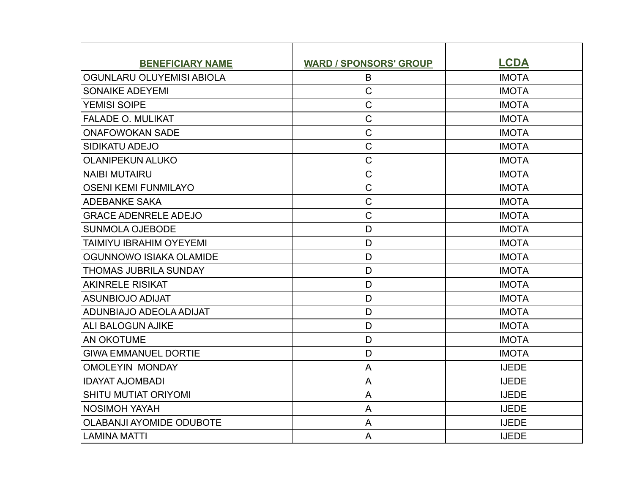| <b>BENEFICIARY NAME</b>         | <b>WARD / SPONSORS' GROUP</b> | <b>LCDA</b>  |
|---------------------------------|-------------------------------|--------------|
| OGUNLARU OLUYEMISI ABIOLA       | B                             | <b>IMOTA</b> |
| <b>SONAIKE ADEYEMI</b>          | $\overline{C}$                | <b>IMOTA</b> |
| <b>YEMISI SOIPE</b>             | $\mathsf C$                   | <b>IMOTA</b> |
| <b>FALADE O. MULIKAT</b>        | $\mathsf C$                   | <b>IMOTA</b> |
| <b>ONAFOWOKAN SADE</b>          | $\overline{C}$                | <b>IMOTA</b> |
| <b>SIDIKATU ADEJO</b>           | $\mathsf C$                   | <b>IMOTA</b> |
| <b>OLANIPEKUN ALUKO</b>         | $\mathsf C$                   | <b>IMOTA</b> |
| <b>NAIBI MUTAIRU</b>            | $\mathsf{C}$                  | <b>IMOTA</b> |
| <b>OSENI KEMI FUNMILAYO</b>     | $\mathsf C$                   | <b>IMOTA</b> |
| <b>ADEBANKE SAKA</b>            | $\mathsf C$                   | <b>IMOTA</b> |
| <b>GRACE ADENRELE ADEJO</b>     | $\overline{C}$                | <b>IMOTA</b> |
| <b>SUNMOLA OJEBODE</b>          | D                             | <b>IMOTA</b> |
| TAIMIYU IBRAHIM OYEYEMI         | D                             | <b>IMOTA</b> |
| OGUNNOWO ISIAKA OLAMIDE         | D                             | <b>IMOTA</b> |
| <b>THOMAS JUBRILA SUNDAY</b>    | D                             | <b>IMOTA</b> |
| <b>AKINRELE RISIKAT</b>         | D                             | <b>IMOTA</b> |
| <b>ASUNBIOJO ADIJAT</b>         | D                             | <b>IMOTA</b> |
| ADUNBIAJO ADEOLA ADIJAT         | D                             | <b>IMOTA</b> |
| <b>ALI BALOGUN AJIKE</b>        | D                             | <b>IMOTA</b> |
| <b>AN OKOTUME</b>               | D                             | <b>IMOTA</b> |
| <b>GIWA EMMANUEL DORTIE</b>     | D                             | <b>IMOTA</b> |
| <b>OMOLEYIN MONDAY</b>          | A                             | <b>IJEDE</b> |
| <b>IDAYAT AJOMBADI</b>          | A                             | <b>IJEDE</b> |
| <b>SHITU MUTIAT ORIYOMI</b>     | A                             | <b>IJEDE</b> |
| <b>NOSIMOH YAYAH</b>            | A                             | <b>IJEDE</b> |
| <b>OLABANJI AYOMIDE ODUBOTE</b> | A                             | <b>IJEDE</b> |
| <b>LAMINA MATTI</b>             | A                             | <b>IJEDE</b> |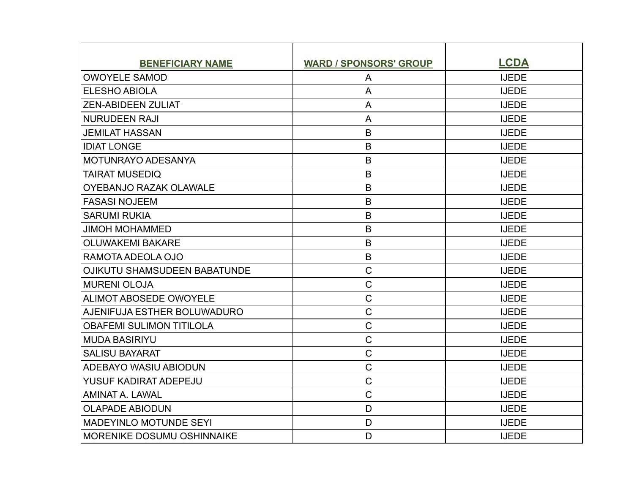| <b>BENEFICIARY NAME</b>             | <b>WARD / SPONSORS' GROUP</b> | <b>LCDA</b>  |
|-------------------------------------|-------------------------------|--------------|
| <b>OWOYELE SAMOD</b>                | A                             | <b>IJEDE</b> |
| <b>ELESHO ABIOLA</b>                | A                             | <b>IJEDE</b> |
| <b>ZEN-ABIDEEN ZULIAT</b>           | A                             | <b>IJEDE</b> |
| <b>NURUDEEN RAJI</b>                | A                             | <b>IJEDE</b> |
| <b>JEMILAT HASSAN</b>               | B                             | <b>IJEDE</b> |
| <b>IDIAT LONGE</b>                  | B                             | <b>IJEDE</b> |
| <b>MOTUNRAYO ADESANYA</b>           | B                             | <b>IJEDE</b> |
| <b>TAIRAT MUSEDIQ</b>               | B                             | <b>IJEDE</b> |
| <b>OYEBANJO RAZAK OLAWALE</b>       | B                             | <b>IJEDE</b> |
| <b>FASASI NOJEEM</b>                | B                             | <b>IJEDE</b> |
| <b>SARUMI RUKIA</b>                 | B                             | <b>IJEDE</b> |
| <b>JIMOH MOHAMMED</b>               | B                             | <b>IJEDE</b> |
| <b>OLUWAKEMI BAKARE</b>             | B                             | <b>IJEDE</b> |
| RAMOTA ADEOLA OJO                   | B                             | <b>IJEDE</b> |
| <b>OJIKUTU SHAMSUDEEN BABATUNDE</b> | $\mathsf{C}$                  | <b>IJEDE</b> |
| <b>MURENI OLOJA</b>                 | $\mathsf C$                   | <b>IJEDE</b> |
| ALIMOT ABOSEDE OWOYELE              | $\mathsf C$                   | <b>IJEDE</b> |
| AJENIFUJA ESTHER BOLUWADURO         | $\mathsf C$                   | <b>IJEDE</b> |
| <b>OBAFEMI SULIMON TITILOLA</b>     | $\mathsf C$                   | <b>IJEDE</b> |
| <b>MUDA BASIRIYU</b>                | $\mathsf C$                   | <b>IJEDE</b> |
| <b>SALISU BAYARAT</b>               | $\mathsf{C}$                  | <b>IJEDE</b> |
| ADEBAYO WASIU ABIODUN               | $\mathsf C$                   | <b>IJEDE</b> |
| YUSUF KADIRAT ADEPEJU               | $\mathsf C$                   | <b>IJEDE</b> |
| <b>AMINAT A. LAWAL</b>              | $\overline{C}$                | <b>IJEDE</b> |
| <b>OLAPADE ABIODUN</b>              | D                             | <b>IJEDE</b> |
| <b>MADEYINLO MOTUNDE SEYI</b>       | D                             | <b>IJEDE</b> |
| MORENIKE DOSUMU OSHINNAIKE          | D                             | <b>IJEDE</b> |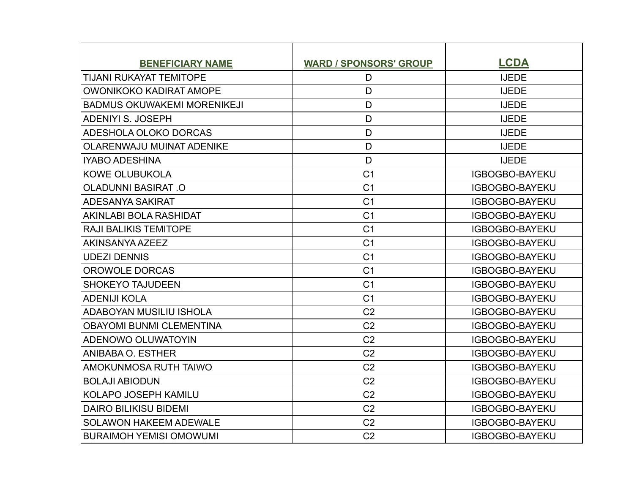| <b>BENEFICIARY NAME</b>            | <b>WARD / SPONSORS' GROUP</b> | <b>LCDA</b>           |
|------------------------------------|-------------------------------|-----------------------|
| TIJANI RUKAYAT TEMITOPE            | D                             | <b>IJEDE</b>          |
| OWONIKOKO KADIRAT AMOPE            | D                             | <b>IJEDE</b>          |
| <b>BADMUS OKUWAKEMI MORENIKEJI</b> | D                             | <b>IJEDE</b>          |
| <b>ADENIYI S. JOSEPH</b>           | D                             | <b>IJEDE</b>          |
| ADESHOLA OLOKO DORCAS              | D                             | <b>IJEDE</b>          |
| OLARENWAJU MUINAT ADENIKE          | D                             | <b>IJEDE</b>          |
| <b>IYABO ADESHINA</b>              | D                             | <b>IJEDE</b>          |
| <b>KOWE OLUBUKOLA</b>              | C <sub>1</sub>                | IGBOGBO-BAYEKU        |
| <b>OLADUNNI BASIRAT.O</b>          | C <sub>1</sub>                | <b>IGBOGBO-BAYEKU</b> |
| <b>ADESANYA SAKIRAT</b>            | C <sub>1</sub>                | <b>IGBOGBO-BAYEKU</b> |
| AKINLABI BOLA RASHIDAT             | C <sub>1</sub>                | <b>IGBOGBO-BAYEKU</b> |
| <b>RAJI BALIKIS TEMITOPE</b>       | C <sub>1</sub>                | <b>IGBOGBO-BAYEKU</b> |
| AKINSANYA AZEEZ                    | C <sub>1</sub>                | <b>IGBOGBO-BAYEKU</b> |
| <b>UDEZI DENNIS</b>                | C <sub>1</sub>                | <b>IGBOGBO-BAYEKU</b> |
| OROWOLE DORCAS                     | C <sub>1</sub>                | <b>IGBOGBO-BAYEKU</b> |
| <b>SHOKEYO TAJUDEEN</b>            | C <sub>1</sub>                | <b>IGBOGBO-BAYEKU</b> |
| <b>ADENIJI KOLA</b>                | C <sub>1</sub>                | <b>IGBOGBO-BAYEKU</b> |
| ADABOYAN MUSILIU ISHOLA            | C <sub>2</sub>                | <b>IGBOGBO-BAYEKU</b> |
| <b>OBAYOMI BUNMI CLEMENTINA</b>    | C <sub>2</sub>                | <b>IGBOGBO-BAYEKU</b> |
| <b>ADENOWO OLUWATOYIN</b>          | C <sub>2</sub>                | <b>IGBOGBO-BAYEKU</b> |
| ANIBABA O. ESTHER                  | C <sub>2</sub>                | <b>IGBOGBO-BAYEKU</b> |
| AMOKUNMOSA RUTH TAIWO              | C <sub>2</sub>                | <b>IGBOGBO-BAYEKU</b> |
| <b>BOLAJI ABIODUN</b>              | C <sub>2</sub>                | <b>IGBOGBO-BAYEKU</b> |
| <b>KOLAPO JOSEPH KAMILU</b>        | C <sub>2</sub>                | <b>IGBOGBO-BAYEKU</b> |
| <b>DAIRO BILIKISU BIDEMI</b>       | C <sub>2</sub>                | <b>IGBOGBO-BAYEKU</b> |
| <b>SOLAWON HAKEEM ADEWALE</b>      | C <sub>2</sub>                | <b>IGBOGBO-BAYEKU</b> |
| <b>BURAIMOH YEMISI OMOWUMI</b>     | C <sub>2</sub>                | <b>IGBOGBO-BAYEKU</b> |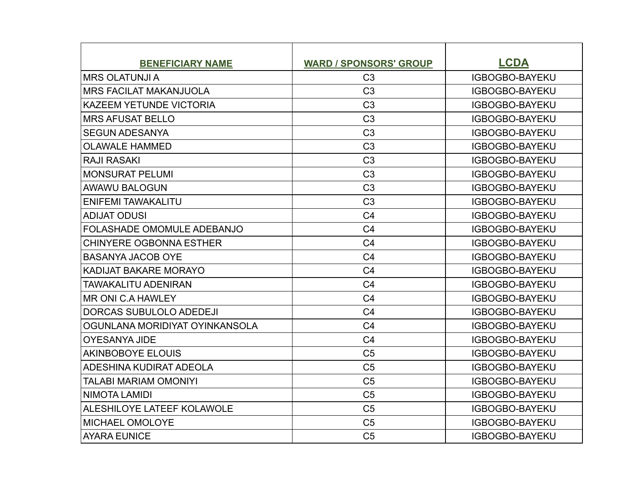| <b>BENEFICIARY NAME</b>           | <b>WARD / SPONSORS' GROUP</b> | <b>LCDA</b>           |
|-----------------------------------|-------------------------------|-----------------------|
| <b>MRS OLATUNJI A</b>             | C <sub>3</sub>                | IGBOGBO-BAYEKU        |
| <b>MRS FACILAT MAKANJUOLA</b>     | C <sub>3</sub>                | <b>IGBOGBO-BAYEKU</b> |
| <b>KAZEEM YETUNDE VICTORIA</b>    | C <sub>3</sub>                | <b>IGBOGBO-BAYEKU</b> |
| <b>MRS AFUSAT BELLO</b>           | C <sub>3</sub>                | <b>IGBOGBO-BAYEKU</b> |
| <b>SEGUN ADESANYA</b>             | C <sub>3</sub>                | <b>IGBOGBO-BAYEKU</b> |
| <b>OLAWALE HAMMED</b>             | C <sub>3</sub>                | <b>IGBOGBO-BAYEKU</b> |
| <b>RAJI RASAKI</b>                | C <sub>3</sub>                | <b>IGBOGBO-BAYEKU</b> |
| <b>MONSURAT PELUMI</b>            | C <sub>3</sub>                | <b>IGBOGBO-BAYEKU</b> |
| <b>AWAWU BALOGUN</b>              | C <sub>3</sub>                | <b>IGBOGBO-BAYEKU</b> |
| ENIFEMI TAWAKALITU                | C <sub>3</sub>                | <b>IGBOGBO-BAYEKU</b> |
| <b>ADIJAT ODUSI</b>               | C <sub>4</sub>                | <b>IGBOGBO-BAYEKU</b> |
| <b>FOLASHADE OMOMULE ADEBANJO</b> | C <sub>4</sub>                | <b>IGBOGBO-BAYEKU</b> |
| <b>CHINYERE OGBONNA ESTHER</b>    | C <sub>4</sub>                | <b>IGBOGBO-BAYEKU</b> |
| <b>BASANYA JACOB OYE</b>          | C <sub>4</sub>                | <b>IGBOGBO-BAYEKU</b> |
| KADIJAT BAKARE MORAYO             | C <sub>4</sub>                | <b>IGBOGBO-BAYEKU</b> |
| TAWAKALITU ADENIRAN               | C <sub>4</sub>                | <b>IGBOGBO-BAYEKU</b> |
| <b>MR ONI C.A HAWLEY</b>          | C <sub>4</sub>                | <b>IGBOGBO-BAYEKU</b> |
| DORCAS SUBULOLO ADEDEJI           | C <sub>4</sub>                | <b>IGBOGBO-BAYEKU</b> |
| OGUNLANA MORIDIYAT OYINKANSOLA    | C <sub>4</sub>                | <b>IGBOGBO-BAYEKU</b> |
| <b>OYESANYA JIDE</b>              | C <sub>4</sub>                | <b>IGBOGBO-BAYEKU</b> |
| <b>AKINBOBOYE ELOUIS</b>          | C <sub>5</sub>                | <b>IGBOGBO-BAYEKU</b> |
| ADESHINA KUDIRAT ADEOLA           | C <sub>5</sub>                | <b>IGBOGBO-BAYEKU</b> |
| TALABI MARIAM OMONIYI             | C <sub>5</sub>                | <b>IGBOGBO-BAYEKU</b> |
| <b>NIMOTA LAMIDI</b>              | C <sub>5</sub>                | <b>IGBOGBO-BAYEKU</b> |
| ALESHILOYE LATEEF KOLAWOLE        | C <sub>5</sub>                | <b>IGBOGBO-BAYEKU</b> |
| MICHAEL OMOLOYE                   | C <sub>5</sub>                | IGBOGBO-BAYEKU        |
| <b>AYARA EUNICE</b>               | C <sub>5</sub>                | <b>IGBOGBO-BAYEKU</b> |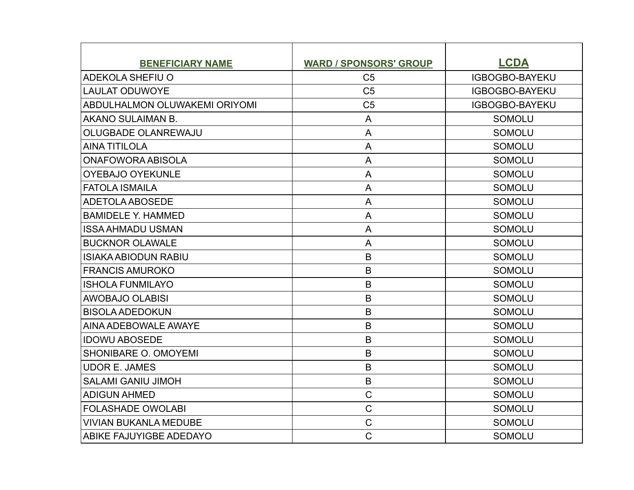| <b>BENEFICIARY NAME</b>              | <b>WARD / SPONSORS' GROUP</b> | <b>LCDA</b>           |
|--------------------------------------|-------------------------------|-----------------------|
| <b>ADEKOLA SHEFIU O</b>              | C <sub>5</sub>                | IGBOGBO-BAYEKU        |
| <b>LAULAT ODUWOYE</b>                | C <sub>5</sub>                | <b>IGBOGBO-BAYEKU</b> |
| <b>ABDULHALMON OLUWAKEMI ORIYOMI</b> | C <sub>5</sub>                | <b>IGBOGBO-BAYEKU</b> |
| AKANO SULAIMAN B.                    | A                             | <b>SOMOLU</b>         |
| OLUGBADE OLANREWAJU                  | A                             | <b>SOMOLU</b>         |
| <b>AINA TITILOLA</b>                 | A                             | <b>SOMOLU</b>         |
| <b>ONAFOWORA ABISOLA</b>             | A                             | <b>SOMOLU</b>         |
| <b>OYEBAJO OYEKUNLE</b>              | A                             | <b>SOMOLU</b>         |
| <b>FATOLA ISMAILA</b>                | A                             | <b>SOMOLU</b>         |
| <b>ADETOLA ABOSEDE</b>               | A                             | <b>SOMOLU</b>         |
| <b>BAMIDELE Y. HAMMED</b>            | A                             | <b>SOMOLU</b>         |
| <b>ISSA AHMADU USMAN</b>             | A                             | <b>SOMOLU</b>         |
| <b>BUCKNOR OLAWALE</b>               | A                             | <b>SOMOLU</b>         |
| <b>ISIAKA ABIODUN RABIU</b>          | B                             | <b>SOMOLU</b>         |
| <b>FRANCIS AMUROKO</b>               | B                             | <b>SOMOLU</b>         |
| <b>ISHOLA FUNMILAYO</b>              | B                             | <b>SOMOLU</b>         |
| <b>AWOBAJO OLABISI</b>               | B                             | <b>SOMOLU</b>         |
| <b>BISOLA ADEDOKUN</b>               | $\mathsf B$                   | <b>SOMOLU</b>         |
| AINA ADEBOWALE AWAYE                 | B                             | <b>SOMOLU</b>         |
| <b>IDOWU ABOSEDE</b>                 | B                             | <b>SOMOLU</b>         |
| SHONIBARE O. OMOYEMI                 | B                             | <b>SOMOLU</b>         |
| <b>UDOR E. JAMES</b>                 | $\mathsf B$                   | <b>SOMOLU</b>         |
| <b>SALAMI GANIU JIMOH</b>            | $\mathsf B$                   | <b>SOMOLU</b>         |
| <b>ADIGUN AHMED</b>                  | $\mathsf C$                   | <b>SOMOLU</b>         |
| <b>FOLASHADE OWOLABI</b>             | $\mathsf C$                   | <b>SOMOLU</b>         |
| <b>VIVIAN BUKANLA MEDUBE</b>         | $\mathsf C$                   | <b>SOMOLU</b>         |
| ABIKE FAJUYIGBE ADEDAYO              | $\mathsf{C}$                  | <b>SOMOLU</b>         |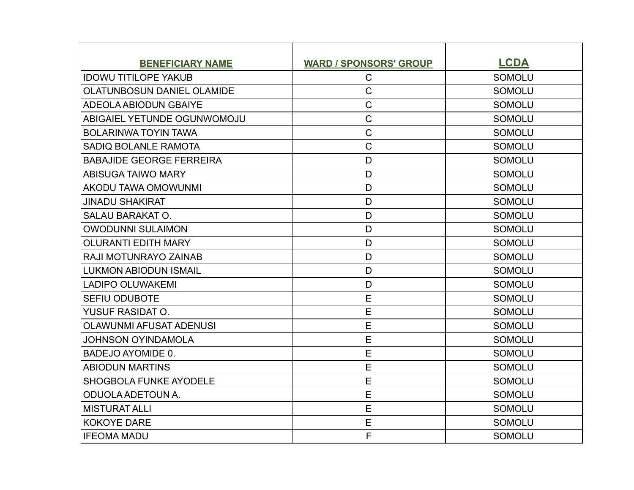| <b>BENEFICIARY NAME</b>           | <b>WARD / SPONSORS' GROUP</b> | <b>LCDA</b>   |
|-----------------------------------|-------------------------------|---------------|
| <b>IDOWU TITILOPE YAKUB</b>       | $\mathsf{C}$                  | <b>SOMOLU</b> |
| <b>OLATUNBOSUN DANIEL OLAMIDE</b> | $\mathsf C$                   | <b>SOMOLU</b> |
| <b>ADEOLA ABIODUN GBAIYE</b>      | $\mathsf C$                   | <b>SOMOLU</b> |
| ABIGAIEL YETUNDE OGUNWOMOJU       | $\mathsf{C}$                  | <b>SOMOLU</b> |
| <b>BOLARINWA TOYIN TAWA</b>       | $\mathsf C$                   | <b>SOMOLU</b> |
| SADIO BOLANLE RAMOTA              | $\mathsf C$                   | <b>SOMOLU</b> |
| <b>BABAJIDE GEORGE FERREIRA</b>   | D                             | <b>SOMOLU</b> |
| <b>ABISUGA TAIWO MARY</b>         | D                             | <b>SOMOLU</b> |
| AKODU TAWA OMOWUNMI               | D                             | <b>SOMOLU</b> |
| <b>JINADU SHAKIRAT</b>            | D                             | <b>SOMOLU</b> |
| <b>SALAU BARAKAT O.</b>           | D                             | <b>SOMOLU</b> |
| <b>OWODUNNI SULAIMON</b>          | D                             | <b>SOMOLU</b> |
| <b>OLURANTI EDITH MARY</b>        | D                             | <b>SOMOLU</b> |
| RAJI MOTUNRAYO ZAINAB             | D                             | <b>SOMOLU</b> |
| <b>LUKMON ABIODUN ISMAIL</b>      | D                             | <b>SOMOLU</b> |
| <b>LADIPO OLUWAKEMI</b>           | D                             | <b>SOMOLU</b> |
| SEFIU ODUBOTE                     | E                             | <b>SOMOLU</b> |
| <b>YUSUF RASIDAT O.</b>           | E                             | <b>SOMOLU</b> |
| <b>OLAWUNMI AFUSAT ADENUSI</b>    | E                             | <b>SOMOLU</b> |
| <b>JOHNSON OYINDAMOLA</b>         | E                             | <b>SOMOLU</b> |
| BADEJO AYOMIDE 0.                 | E                             | <b>SOMOLU</b> |
| <b>ABIODUN MARTINS</b>            | E                             | <b>SOMOLU</b> |
| <b>SHOGBOLA FUNKE AYODELE</b>     | E                             | <b>SOMOLU</b> |
| ODUOLA ADETOUN A.                 | E                             | <b>SOMOLU</b> |
| <b>MISTURAT ALLI</b>              | E                             | <b>SOMOLU</b> |
| <b>KOKOYE DARE</b>                | E                             | <b>SOMOLU</b> |
| <b>IFEOMA MADU</b>                | F                             | <b>SOMOLU</b> |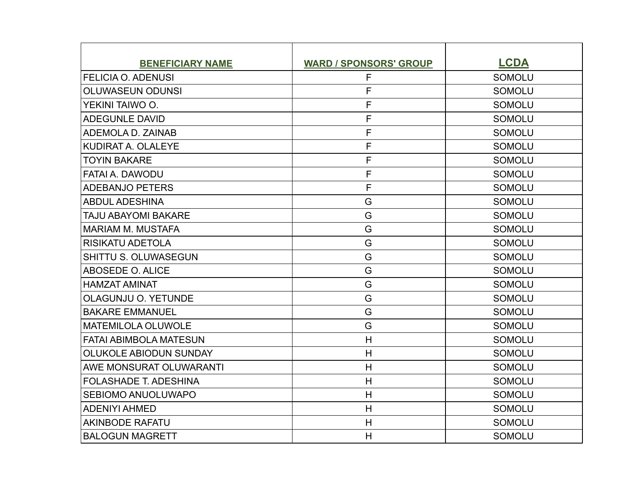| <b>BENEFICIARY NAME</b>       | <b>WARD / SPONSORS' GROUP</b> | <b>LCDA</b>   |
|-------------------------------|-------------------------------|---------------|
| <b>FELICIA O. ADENUSI</b>     | F                             | <b>SOMOLU</b> |
| <b>OLUWASEUN ODUNSI</b>       | F                             | <b>SOMOLU</b> |
| YEKINI TAIWO O.               | F                             | <b>SOMOLU</b> |
| <b>ADEGUNLE DAVID</b>         | F                             | <b>SOMOLU</b> |
| ADEMOLA D. ZAINAB             | F                             | <b>SOMOLU</b> |
| KUDIRAT A. OLALEYE            | F                             | <b>SOMOLU</b> |
| <b>TOYIN BAKARE</b>           | F                             | <b>SOMOLU</b> |
| FATAI A. DAWODU               | F                             | <b>SOMOLU</b> |
| <b>ADEBANJO PETERS</b>        | F                             | <b>SOMOLU</b> |
| <b>ABDUL ADESHINA</b>         | G                             | <b>SOMOLU</b> |
| TAJU ABAYOMI BAKARE           | G                             | <b>SOMOLU</b> |
| <b>MARIAM M. MUSTAFA</b>      | G                             | <b>SOMOLU</b> |
| <b>RISIKATU ADETOLA</b>       | G                             | <b>SOMOLU</b> |
| <b>SHITTU S. OLUWASEGUN</b>   | G                             | <b>SOMOLU</b> |
| ABOSEDE O. ALICE              | G                             | <b>SOMOLU</b> |
| <b>HAMZAT AMINAT</b>          | G                             | <b>SOMOLU</b> |
| OLAGUNJU O. YETUNDE           | G                             | <b>SOMOLU</b> |
| <b>BAKARE EMMANUEL</b>        | G                             | <b>SOMOLU</b> |
| <b>MATEMILOLA OLUWOLE</b>     | G                             | <b>SOMOLU</b> |
| <b>FATAI ABIMBOLA MATESUN</b> | H                             | <b>SOMOLU</b> |
| <b>OLUKOLE ABIODUN SUNDAY</b> | H                             | <b>SOMOLU</b> |
| AWE MONSURAT OLUWARANTI       | H                             | <b>SOMOLU</b> |
| <b>FOLASHADE T. ADESHINA</b>  | H                             | <b>SOMOLU</b> |
| <b>SEBIOMO ANUOLUWAPO</b>     | H                             | <b>SOMOLU</b> |
| <b>ADENIYI AHMED</b>          | H                             | <b>SOMOLU</b> |
| <b>AKINBODE RAFATU</b>        | H                             | <b>SOMOLU</b> |
| <b>BALOGUN MAGRETT</b>        | H                             | <b>SOMOLU</b> |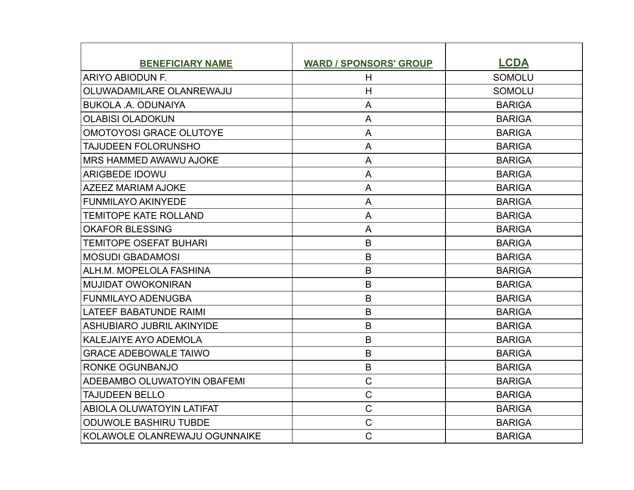| <b>BENEFICIARY NAME</b>          | <b>WARD / SPONSORS' GROUP</b> | <b>LCDA</b>   |
|----------------------------------|-------------------------------|---------------|
| ARIYO ABIODUN F.                 | H                             | <b>SOMOLU</b> |
| OLUWADAMILARE OLANREWAJU         | H                             | <b>SOMOLU</b> |
| <b>BUKOLA .A. ODUNAIYA</b>       | A                             | <b>BARIGA</b> |
| <b>OLABISI OLADOKUN</b>          | A                             | <b>BARIGA</b> |
| <b>OMOTOYOSI GRACE OLUTOYE</b>   | A                             | <b>BARIGA</b> |
| <b>TAJUDEEN FOLORUNSHO</b>       | A                             | <b>BARIGA</b> |
| MRS HAMMED AWAWU AJOKE           | A                             | <b>BARIGA</b> |
| <b>ARIGBEDE IDOWU</b>            | A                             | <b>BARIGA</b> |
| <b>AZEEZ MARIAM AJOKE</b>        | A                             | <b>BARIGA</b> |
| <b>FUNMILAYO AKINYEDE</b>        | A                             | <b>BARIGA</b> |
| <b>TEMITOPE KATE ROLLAND</b>     | A                             | <b>BARIGA</b> |
| <b>OKAFOR BLESSING</b>           | A                             | <b>BARIGA</b> |
| <b>TEMITOPE OSEFAT BUHARI</b>    | B                             | <b>BARIGA</b> |
| <b>MOSUDI GBADAMOSI</b>          | B                             | <b>BARIGA</b> |
| ALH.M. MOPELOLA FASHINA          | B                             | <b>BARIGA</b> |
| <b>MUJIDAT OWOKONIRAN</b>        | B                             | <b>BARIGA</b> |
| <b>FUNMILAYO ADENUGBA</b>        | B                             | <b>BARIGA</b> |
| <b>LATEEF BABATUNDE RAIMI</b>    | B                             | <b>BARIGA</b> |
| <b>ASHUBIARO JUBRIL AKINYIDE</b> | B                             | <b>BARIGA</b> |
| <b>KALEJAIYE AYO ADEMOLA</b>     | B                             | <b>BARIGA</b> |
| <b>GRACE ADEBOWALE TAIWO</b>     | B                             | <b>BARIGA</b> |
| <b>RONKE OGUNBANJO</b>           | $\mathsf B$                   | <b>BARIGA</b> |
| ADEBAMBO OLUWATOYIN OBAFEMI      | $\mathsf C$                   | <b>BARIGA</b> |
| <b>TAJUDEEN BELLO</b>            | $\overline{C}$                | <b>BARIGA</b> |
| <b>ABIOLA OLUWATOYIN LATIFAT</b> | $\mathsf C$                   | <b>BARIGA</b> |
| <b>ODUWOLE BASHIRU TUBDE</b>     | $\mathsf C$                   | <b>BARIGA</b> |
| KOLAWOLE OLANREWAJU OGUNNAIKE    | $\mathsf{C}$                  | <b>BARIGA</b> |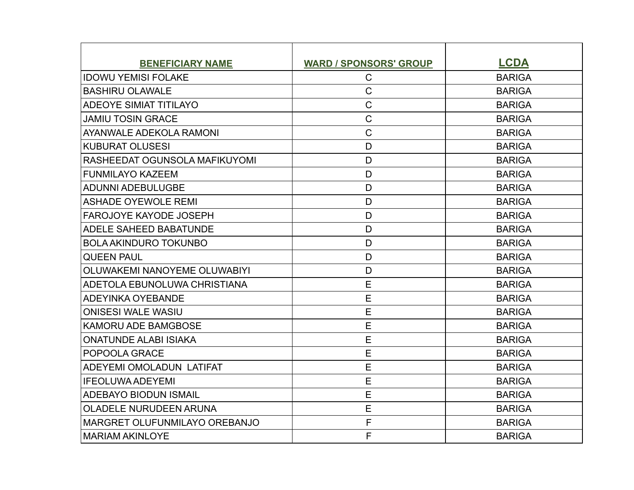| <b>BENEFICIARY NAME</b>       | <b>WARD / SPONSORS' GROUP</b> | <b>LCDA</b>   |
|-------------------------------|-------------------------------|---------------|
| <b>IDOWU YEMISI FOLAKE</b>    | $\mathsf C$                   | <b>BARIGA</b> |
| <b>BASHIRU OLAWALE</b>        | $\mathsf{C}$                  | <b>BARIGA</b> |
| <b>ADEOYE SIMIAT TITILAYO</b> | $\mathsf{C}$                  | <b>BARIGA</b> |
| <b>JAMIU TOSIN GRACE</b>      | $\mathsf C$                   | <b>BARIGA</b> |
| AYANWALE ADEKOLA RAMONI       | $\overline{C}$                | <b>BARIGA</b> |
| <b>KUBURAT OLUSESI</b>        | D                             | <b>BARIGA</b> |
| RASHEEDAT OGUNSOLA MAFIKUYOMI | D                             | <b>BARIGA</b> |
| <b>FUNMILAYO KAZEEM</b>       | D                             | <b>BARIGA</b> |
| <b>ADUNNI ADEBULUGBE</b>      | D                             | <b>BARIGA</b> |
| <b>ASHADE OYEWOLE REMI</b>    | D                             | <b>BARIGA</b> |
| <b>FAROJOYE KAYODE JOSEPH</b> | D                             | <b>BARIGA</b> |
| <b>ADELE SAHEED BABATUNDE</b> | D                             | <b>BARIGA</b> |
| <b>BOLA AKINDURO TOKUNBO</b>  | D                             | <b>BARIGA</b> |
| <b>QUEEN PAUL</b>             | D                             | <b>BARIGA</b> |
| OLUWAKEMI NANOYEME OLUWABIYI  | D                             | <b>BARIGA</b> |
| ADETOLA EBUNOLUWA CHRISTIANA  | E                             | <b>BARIGA</b> |
| ADEYINKA OYEBANDE             | E                             | <b>BARIGA</b> |
| <b>ONISESI WALE WASIU</b>     | E                             | <b>BARIGA</b> |
| <b>KAMORU ADE BAMGBOSE</b>    | E                             | <b>BARIGA</b> |
| <b>ONATUNDE ALABI ISIAKA</b>  | E                             | <b>BARIGA</b> |
| POPOOLA GRACE                 | E                             | <b>BARIGA</b> |
| ADEYEMI OMOLADUN LATIFAT      | E                             | <b>BARIGA</b> |
| <b>IFEOLUWA ADEYEMI</b>       | E                             | <b>BARIGA</b> |
| <b>ADEBAYO BIODUN ISMAIL</b>  | E                             | <b>BARIGA</b> |
| <b>OLADELE NURUDEEN ARUNA</b> | E                             | <b>BARIGA</b> |
| MARGRET OLUFUNMILAYO OREBANJO | F                             | <b>BARIGA</b> |
| <b>MARIAM AKINLOYE</b>        | F                             | <b>BARIGA</b> |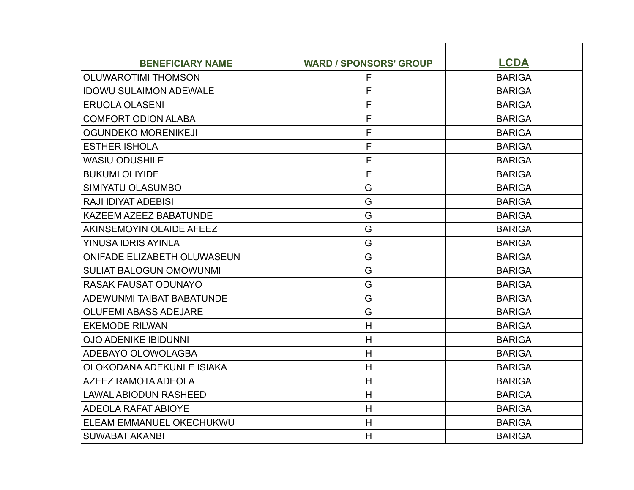| <b>BENEFICIARY NAME</b>            | <b>WARD / SPONSORS' GROUP</b> | <b>LCDA</b>   |
|------------------------------------|-------------------------------|---------------|
| <b>OLUWAROTIMI THOMSON</b>         | F                             | <b>BARIGA</b> |
| <b>IDOWU SULAIMON ADEWALE</b>      | F                             | <b>BARIGA</b> |
| <b>ERUOLA OLASENI</b>              | F                             | <b>BARIGA</b> |
| <b>COMFORT ODION ALABA</b>         | F                             | <b>BARIGA</b> |
| <b>OGUNDEKO MORENIKEJI</b>         | F                             | <b>BARIGA</b> |
| <b>ESTHER ISHOLA</b>               | F                             | <b>BARIGA</b> |
| <b>WASIU ODUSHILE</b>              | F                             | <b>BARIGA</b> |
| <b>BUKUMI OLIYIDE</b>              | F                             | <b>BARIGA</b> |
| SIMIYATU OLASUMBO                  | G                             | <b>BARIGA</b> |
| <b>RAJI IDIYAT ADEBISI</b>         | G                             | <b>BARIGA</b> |
| KAZEEM AZEEZ BABATUNDE             | G                             | <b>BARIGA</b> |
| AKINSEMOYIN OLAIDE AFEEZ           | G                             | <b>BARIGA</b> |
| YINUSA IDRIS AYINLA                | G                             | <b>BARIGA</b> |
| <b>ONIFADE ELIZABETH OLUWASEUN</b> | G                             | <b>BARIGA</b> |
| <b>SULIAT BALOGUN OMOWUNMI</b>     | G                             | <b>BARIGA</b> |
| <b>RASAK FAUSAT ODUNAYO</b>        | G                             | <b>BARIGA</b> |
| ADEWUNMI TAIBAT BABATUNDE          | G                             | <b>BARIGA</b> |
| <b>OLUFEMI ABASS ADEJARE</b>       | G                             | <b>BARIGA</b> |
| <b>EKEMODE RILWAN</b>              | H                             | <b>BARIGA</b> |
| <b>OJO ADENIKE IBIDUNNI</b>        | H                             | <b>BARIGA</b> |
| ADEBAYO OLOWOLAGBA                 | H                             | <b>BARIGA</b> |
| OLOKODANA ADEKUNLE ISIAKA          | H                             | <b>BARIGA</b> |
| <b>AZEEZ RAMOTA ADEOLA</b>         | H                             | <b>BARIGA</b> |
| <b>LAWAL ABIODUN RASHEED</b>       | H                             | <b>BARIGA</b> |
| <b>ADEOLA RAFAT ABIOYE</b>         | H                             | <b>BARIGA</b> |
| ELEAM EMMANUEL OKECHUKWU           | H                             | <b>BARIGA</b> |
| <b>SUWABAT AKANBI</b>              | H                             | <b>BARIGA</b> |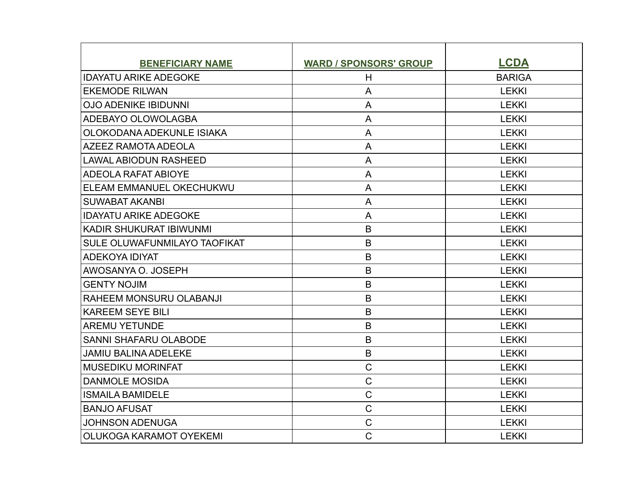| <b>BENEFICIARY NAME</b>      | <b>WARD / SPONSORS' GROUP</b> | <b>LCDA</b>   |
|------------------------------|-------------------------------|---------------|
| <b>IDAYATU ARIKE ADEGOKE</b> | H                             | <b>BARIGA</b> |
| <b>EKEMODE RILWAN</b>        | A                             | <b>LEKKI</b>  |
| <b>OJO ADENIKE IBIDUNNI</b>  | A                             | <b>LEKKI</b>  |
| ADEBAYO OLOWOLAGBA           | A                             | <b>LEKKI</b>  |
| OLOKODANA ADEKUNLE ISIAKA    | A                             | <b>LEKKI</b>  |
| <b>AZEEZ RAMOTA ADEOLA</b>   | A                             | <b>LEKKI</b>  |
| <b>LAWAL ABIODUN RASHEED</b> | A                             | <b>LEKKI</b>  |
| ADEOLA RAFAT ABIOYE          | A                             | <b>LEKKI</b>  |
| ELEAM EMMANUEL OKECHUKWU     | A                             | <b>LEKKI</b>  |
| <b>SUWABAT AKANBI</b>        | A                             | <b>LEKKI</b>  |
| <b>IDAYATU ARIKE ADEGOKE</b> | A                             | <b>LEKKI</b>  |
| KADIR SHUKURAT IBIWUNMI      | B                             | <b>LEKKI</b>  |
| SULE OLUWAFUNMILAYO TAOFIKAT | B                             | <b>LEKKI</b>  |
| ADEKOYA IDIYAT               | B                             | <b>LEKKI</b>  |
| AWOSANYA O. JOSEPH           | B                             | <b>LEKKI</b>  |
| <b>GENTY NOJIM</b>           | B                             | <b>LEKKI</b>  |
| RAHEEM MONSURU OLABANJI      | B                             | <b>LEKKI</b>  |
| <b>KAREEM SEYE BILI</b>      | $\mathsf B$                   | <b>LEKKI</b>  |
| <b>AREMU YETUNDE</b>         | B                             | <b>LEKKI</b>  |
| <b>SANNI SHAFARU OLABODE</b> | B                             | <b>LEKKI</b>  |
| <b>JAMIU BALINA ADELEKE</b>  | $\mathsf B$                   | <b>LEKKI</b>  |
| <b>MUSEDIKU MORINFAT</b>     | $\mathsf C$                   | <b>LEKKI</b>  |
| <b>DANMOLE MOSIDA</b>        | $\mathsf C$                   | <b>LEKKI</b>  |
| <b>ISMAILA BAMIDELE</b>      | $\mathsf C$                   | <b>LEKKI</b>  |
| <b>BANJO AFUSAT</b>          | $\mathsf C$                   | <b>LEKKI</b>  |
| <b>JOHNSON ADENUGA</b>       | $\mathsf C$                   | <b>LEKKI</b>  |
| OLUKOGA KARAMOT OYEKEMI      | $\mathsf{C}$                  | <b>LEKKI</b>  |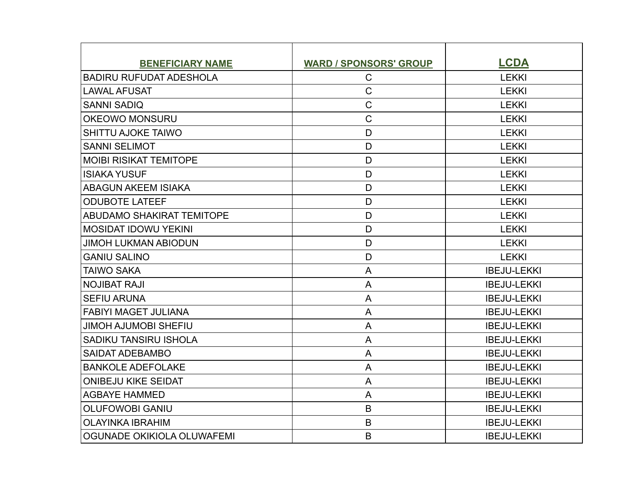| <b>BENEFICIARY NAME</b>        | <b>WARD / SPONSORS' GROUP</b> | <b>LCDA</b>        |
|--------------------------------|-------------------------------|--------------------|
| <b>BADIRU RUFUDAT ADESHOLA</b> | $\mathsf{C}$                  | <b>LEKKI</b>       |
| <b>LAWAL AFUSAT</b>            | $\mathsf C$                   | <b>LEKKI</b>       |
| <b>SANNI SADIQ</b>             | $\mathsf{C}$                  | <b>LEKKI</b>       |
| <b>OKEOWO MONSURU</b>          | $\mathsf C$                   | <b>LEKKI</b>       |
| <b>SHITTU AJOKE TAIWO</b>      | D                             | <b>LEKKI</b>       |
| <b>SANNI SELIMOT</b>           | D                             | <b>LEKKI</b>       |
| <b>MOIBI RISIKAT TEMITOPE</b>  | D                             | <b>LEKKI</b>       |
| <b>ISIAKA YUSUF</b>            | D                             | <b>LEKKI</b>       |
| <b>ABAGUN AKEEM ISIAKA</b>     | D                             | <b>LEKKI</b>       |
| <b>ODUBOTE LATEEF</b>          | D                             | <b>LEKKI</b>       |
| ABUDAMO SHAKIRAT TEMITOPE      | D                             | <b>LEKKI</b>       |
| <b>MOSIDAT IDOWU YEKINI</b>    | D                             | <b>LEKKI</b>       |
| <b>JIMOH LUKMAN ABIODUN</b>    | D                             | <b>LEKKI</b>       |
| <b>GANIU SALINO</b>            | D                             | <b>LEKKI</b>       |
| <b>TAIWO SAKA</b>              | A                             | <b>IBEJU-LEKKI</b> |
| <b>NOJIBAT RAJI</b>            | A                             | <b>IBEJU-LEKKI</b> |
| <b>SEFIU ARUNA</b>             | A                             | <b>IBEJU-LEKKI</b> |
| <b>FABIYI MAGET JULIANA</b>    | A                             | <b>IBEJU-LEKKI</b> |
| <b>JIMOH AJUMOBI SHEFIU</b>    | A                             | <b>IBEJU-LEKKI</b> |
| <b>SADIKU TANSIRU ISHOLA</b>   | A                             | <b>IBEJU-LEKKI</b> |
| <b>SAIDAT ADEBAMBO</b>         | A                             | <b>IBEJU-LEKKI</b> |
| <b>BANKOLE ADEFOLAKE</b>       | A                             | <b>IBEJU-LEKKI</b> |
| <b>ONIBEJU KIKE SEIDAT</b>     | A                             | <b>IBEJU-LEKKI</b> |
| <b>AGBAYE HAMMED</b>           | A                             | <b>IBEJU-LEKKI</b> |
| <b>OLUFOWOBI GANIU</b>         | B                             | <b>IBEJU-LEKKI</b> |
| <b>OLAYINKA IBRAHIM</b>        | B                             | <b>IBEJU-LEKKI</b> |
| OGUNADE OKIKIOLA OLUWAFEMI     | B                             | <b>IBEJU-LEKKI</b> |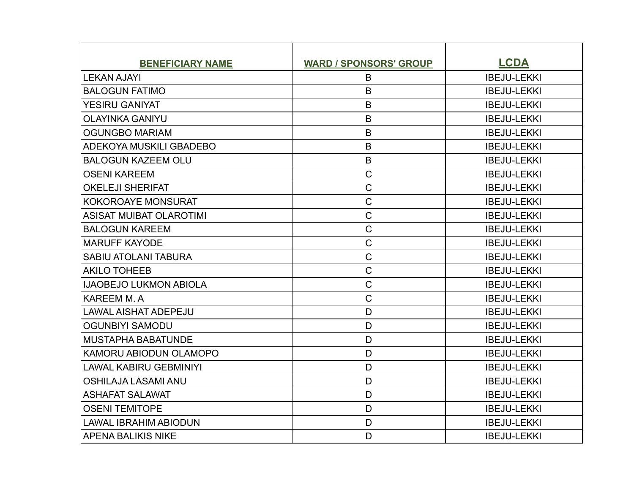| <b>BENEFICIARY NAME</b>        | <b>WARD / SPONSORS' GROUP</b> | <b>LCDA</b>        |
|--------------------------------|-------------------------------|--------------------|
| <b>LEKAN AJAYI</b>             | B                             | <b>IBEJU-LEKKI</b> |
| <b>BALOGUN FATIMO</b>          | B                             | <b>IBEJU-LEKKI</b> |
| <b>YESIRU GANIYAT</b>          | B                             | <b>IBEJU-LEKKI</b> |
| <b>OLAYINKA GANIYU</b>         | B                             | <b>IBEJU-LEKKI</b> |
| <b>OGUNGBO MARIAM</b>          | $\overline{B}$                | <b>IBEJU-LEKKI</b> |
| ADEKOYA MUSKILI GBADEBO        | $\mathsf B$                   | <b>IBEJU-LEKKI</b> |
| <b>BALOGUN KAZEEM OLU</b>      | B                             | <b>IBEJU-LEKKI</b> |
| <b>OSENI KAREEM</b>            | $\mathsf C$                   | <b>IBEJU-LEKKI</b> |
| <b>OKELEJI SHERIFAT</b>        | $\mathsf{C}$                  | <b>IBEJU-LEKKI</b> |
| <b>KOKOROAYE MONSURAT</b>      | $\mathsf{C}$                  | <b>IBEJU-LEKKI</b> |
| <b>ASISAT MUIBAT OLAROTIMI</b> | $\mathsf C$                   | <b>IBEJU-LEKKI</b> |
| <b>BALOGUN KAREEM</b>          | $\mathsf C$                   | <b>IBEJU-LEKKI</b> |
| <b>MARUFF KAYODE</b>           | $\mathsf{C}$                  | <b>IBEJU-LEKKI</b> |
| <b>SABIU ATOLANI TABURA</b>    | $\mathsf C$                   | <b>IBEJU-LEKKI</b> |
| <b>AKILO TOHEEB</b>            | $\mathsf{C}$                  | <b>IBEJU-LEKKI</b> |
| <b>IJAOBEJO LUKMON ABIOLA</b>  | $\mathsf{C}$                  | <b>IBEJU-LEKKI</b> |
| <b>KAREEM M.A</b>              | $\mathsf C$                   | <b>IBEJU-LEKKI</b> |
| <b>LAWAL AISHAT ADEPEJU</b>    | D                             | <b>IBEJU-LEKKI</b> |
| <b>OGUNBIYI SAMODU</b>         | D                             | <b>IBEJU-LEKKI</b> |
| <b>MUSTAPHA BABATUNDE</b>      | D                             | <b>IBEJU-LEKKI</b> |
| KAMORU ABIODUN OLAMOPO         | D                             | <b>IBEJU-LEKKI</b> |
| <b>LAWAL KABIRU GEBMINIYI</b>  | D                             | <b>IBEJU-LEKKI</b> |
| <b>OSHILAJA LASAMI ANU</b>     | D                             | <b>IBEJU-LEKKI</b> |
| <b>ASHAFAT SALAWAT</b>         | D                             | <b>IBEJU-LEKKI</b> |
| <b>OSENI TEMITOPE</b>          | D                             | <b>IBEJU-LEKKI</b> |
| <b>LAWAL IBRAHIM ABIODUN</b>   | D                             | <b>IBEJU-LEKKI</b> |
| <b>APENA BALIKIS NIKE</b>      | D                             | <b>IBEJU-LEKKI</b> |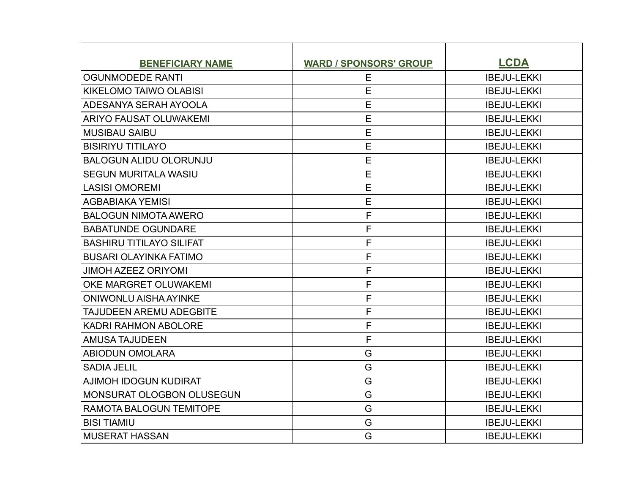| <b>BENEFICIARY NAME</b>          | <b>WARD / SPONSORS' GROUP</b> | <b>LCDA</b>        |
|----------------------------------|-------------------------------|--------------------|
| <b>OGUNMODEDE RANTI</b>          | E                             | <b>IBEJU-LEKKI</b> |
| <b>KIKELOMO TAIWO OLABISI</b>    | E                             | <b>IBEJU-LEKKI</b> |
| ADESANYA SERAH AYOOLA            | E                             | <b>IBEJU-LEKKI</b> |
| <b>ARIYO FAUSAT OLUWAKEMI</b>    | E                             | <b>IBEJU-LEKKI</b> |
| <b>MUSIBAU SAIBU</b>             | E                             | <b>IBEJU-LEKKI</b> |
| <b>BISIRIYU TITILAYO</b>         | E                             | <b>IBEJU-LEKKI</b> |
| <b>BALOGUN ALIDU OLORUNJU</b>    | E                             | <b>IBEJU-LEKKI</b> |
| <b>SEGUN MURITALA WASIU</b>      | E                             | <b>IBEJU-LEKKI</b> |
| <b>LASISI OMOREMI</b>            | E                             | <b>IBEJU-LEKKI</b> |
| <b>AGBABIAKA YEMISI</b>          | E                             | <b>IBEJU-LEKKI</b> |
| <b>BALOGUN NIMOTA AWERO</b>      | F                             | <b>IBEJU-LEKKI</b> |
| <b>BABATUNDE OGUNDARE</b>        | F                             | <b>IBEJU-LEKKI</b> |
| <b>BASHIRU TITILAYO SILIFAT</b>  | F                             | <b>IBEJU-LEKKI</b> |
| <b>BUSARI OLAYINKA FATIMO</b>    | F                             | <b>IBEJU-LEKKI</b> |
| <b>JIMOH AZEEZ ORIYOMI</b>       | F                             | <b>IBEJU-LEKKI</b> |
| OKE MARGRET OLUWAKEMI            | F                             | <b>IBEJU-LEKKI</b> |
| <b>ONIWONLU AISHA AYINKE</b>     | F                             | <b>IBEJU-LEKKI</b> |
| <b>TAJUDEEN AREMU ADEGBITE</b>   | F                             | <b>IBEJU-LEKKI</b> |
| <b>KADRI RAHMON ABOLORE</b>      | F                             | <b>IBEJU-LEKKI</b> |
| <b>AMUSA TAJUDEEN</b>            | F                             | <b>IBEJU-LEKKI</b> |
| <b>ABIODUN OMOLARA</b>           | G                             | <b>IBEJU-LEKKI</b> |
| <b>SADIA JELIL</b>               | G                             | <b>IBEJU-LEKKI</b> |
| <b>AJIMOH IDOGUN KUDIRAT</b>     | G                             | <b>IBEJU-LEKKI</b> |
| <b>MONSURAT OLOGBON OLUSEGUN</b> | G                             | <b>IBEJU-LEKKI</b> |
| <b>RAMOTA BALOGUN TEMITOPE</b>   | G                             | <b>IBEJU-LEKKI</b> |
| <b>BISI TIAMIU</b>               | G                             | <b>IBEJU-LEKKI</b> |
| <b>MUSERAT HASSAN</b>            | G                             | <b>IBEJU-LEKKI</b> |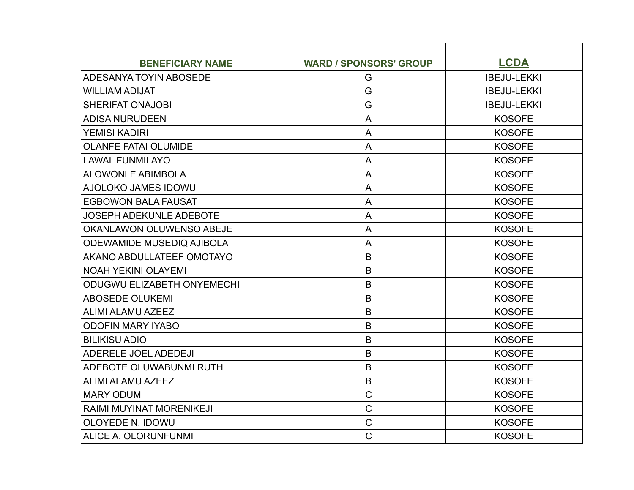| <b>BENEFICIARY NAME</b>           | <b>WARD / SPONSORS' GROUP</b> | <b>LCDA</b>        |
|-----------------------------------|-------------------------------|--------------------|
| ADESANYA TOYIN ABOSEDE            | G                             | <b>IBEJU-LEKKI</b> |
| <b>WILLIAM ADIJAT</b>             | G                             | <b>IBEJU-LEKKI</b> |
| <b>SHERIFAT ONAJOBI</b>           | G                             | <b>IBEJU-LEKKI</b> |
| <b>ADISA NURUDEEN</b>             | A                             | <b>KOSOFE</b>      |
| <b>YEMISI KADIRI</b>              | A                             | <b>KOSOFE</b>      |
| <b>OLANFE FATAI OLUMIDE</b>       | A                             | <b>KOSOFE</b>      |
| <b>LAWAL FUNMILAYO</b>            | A                             | <b>KOSOFE</b>      |
| <b>ALOWONLE ABIMBOLA</b>          | A                             | <b>KOSOFE</b>      |
| AJOLOKO JAMES IDOWU               | A                             | <b>KOSOFE</b>      |
| <b>EGBOWON BALA FAUSAT</b>        | A                             | <b>KOSOFE</b>      |
| <b>JOSEPH ADEKUNLE ADEBOTE</b>    | $\overline{A}$                | <b>KOSOFE</b>      |
| OKANLAWON OLUWENSO ABEJE          | A                             | <b>KOSOFE</b>      |
| <b>ODEWAMIDE MUSEDIQ AJIBOLA</b>  | A                             | <b>KOSOFE</b>      |
| AKANO ABDULLATEEF OMOTAYO         | B                             | <b>KOSOFE</b>      |
| <b>NOAH YEKINI OLAYEMI</b>        | B                             | <b>KOSOFE</b>      |
| <b>ODUGWU ELIZABETH ONYEMECHI</b> | $\mathsf B$                   | <b>KOSOFE</b>      |
| <b>ABOSEDE OLUKEMI</b>            | B                             | <b>KOSOFE</b>      |
| <b>ALIMI ALAMU AZEEZ</b>          | B                             | <b>KOSOFE</b>      |
| <b>ODOFIN MARY IYABO</b>          | B                             | <b>KOSOFE</b>      |
| <b>BILIKISU ADIO</b>              | B                             | <b>KOSOFE</b>      |
| <b>ADERELE JOEL ADEDEJI</b>       | B                             | <b>KOSOFE</b>      |
| ADEBOTE OLUWABUNMI RUTH           | B                             | <b>KOSOFE</b>      |
| <b>ALIMI ALAMU AZEEZ</b>          | $\mathsf B$                   | <b>KOSOFE</b>      |
| <b>MARY ODUM</b>                  | $\mathsf{C}$                  | <b>KOSOFE</b>      |
| <b>RAIMI MUYINAT MORENIKEJI</b>   | $\mathsf C$                   | <b>KOSOFE</b>      |
| <b>OLOYEDE N. IDOWU</b>           | $\mathsf{C}$                  | <b>KOSOFE</b>      |
| ALICE A. OLORUNFUNMI              | $\mathsf{C}$                  | <b>KOSOFE</b>      |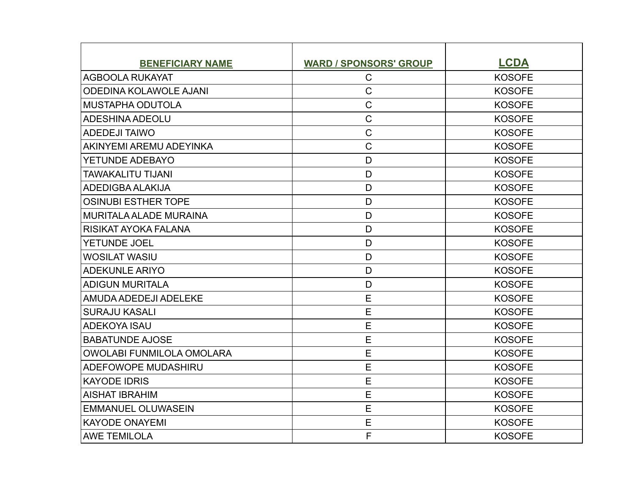| <b>BENEFICIARY NAME</b>          | <b>WARD / SPONSORS' GROUP</b> | <b>LCDA</b>   |
|----------------------------------|-------------------------------|---------------|
| <b>AGBOOLA RUKAYAT</b>           | $\mathsf C$                   | <b>KOSOFE</b> |
| <b>ODEDINA KOLAWOLE AJANI</b>    | $\overline{C}$                | <b>KOSOFE</b> |
| MUSTAPHA ODUTOLA                 | $\mathsf C$                   | <b>KOSOFE</b> |
| <b>ADESHINA ADEOLU</b>           | $\mathsf C$                   | <b>KOSOFE</b> |
| <b>ADEDEJI TAIWO</b>             | $\overline{C}$                | <b>KOSOFE</b> |
| AKINYEMI AREMU ADEYINKA          | $\mathsf C$                   | <b>KOSOFE</b> |
| YETUNDE ADEBAYO                  | D                             | <b>KOSOFE</b> |
| <b>TAWAKALITU TIJANI</b>         | D                             | <b>KOSOFE</b> |
| ADEDIGBA ALAKIJA                 | D                             | <b>KOSOFE</b> |
| <b>OSINUBI ESTHER TOPE</b>       | D                             | <b>KOSOFE</b> |
| <b>MURITALA ALADE MURAINA</b>    | $\mathsf{D}$                  | <b>KOSOFE</b> |
| RISIKAT AYOKA FALANA             | D                             | <b>KOSOFE</b> |
| YETUNDE JOEL                     | D                             | <b>KOSOFE</b> |
| <b>WOSILAT WASIU</b>             | D                             | <b>KOSOFE</b> |
| <b>ADEKUNLE ARIYO</b>            | D                             | <b>KOSOFE</b> |
| ADIGUN MURITALA                  | D                             | <b>KOSOFE</b> |
| AMUDA ADEDEJI ADELEKE            | E                             | <b>KOSOFE</b> |
| <b>SURAJU KASALI</b>             | E                             | <b>KOSOFE</b> |
| <b>ADEKOYA ISAU</b>              | E                             | <b>KOSOFE</b> |
| <b>BABATUNDE AJOSE</b>           | E                             | <b>KOSOFE</b> |
| <b>OWOLABI FUNMILOLA OMOLARA</b> | E                             | <b>KOSOFE</b> |
| <b>ADEFOWOPE MUDASHIRU</b>       | E                             | <b>KOSOFE</b> |
| KAYODE IDRIS                     | E                             | <b>KOSOFE</b> |
| <b>AISHAT IBRAHIM</b>            | E                             | <b>KOSOFE</b> |
| <b>EMMANUEL OLUWASEIN</b>        | E                             | <b>KOSOFE</b> |
| KAYODE ONAYEMI                   | E                             | <b>KOSOFE</b> |
| <b>AWE TEMILOLA</b>              | F                             | <b>KOSOFE</b> |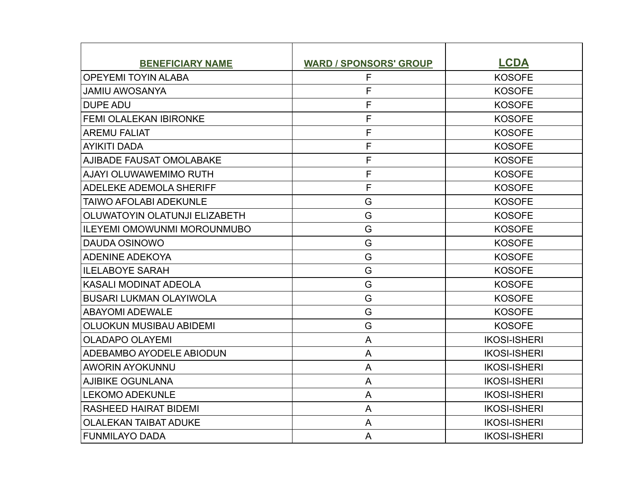| <b>BENEFICIARY NAME</b>            | <b>WARD / SPONSORS' GROUP</b> | <b>LCDA</b>         |
|------------------------------------|-------------------------------|---------------------|
| <b>OPEYEMI TOYIN ALABA</b>         | F                             | <b>KOSOFE</b>       |
| <b>JAMIU AWOSANYA</b>              | F                             | <b>KOSOFE</b>       |
| <b>DUPE ADU</b>                    | $\mathsf F$                   | <b>KOSOFE</b>       |
| <b>FEMI OLALEKAN IBIRONKE</b>      | F                             | <b>KOSOFE</b>       |
| <b>AREMU FALIAT</b>                | F                             | <b>KOSOFE</b>       |
| AYIKITI DADA                       | F                             | <b>KOSOFE</b>       |
| <b>AJIBADE FAUSAT OMOLABAKE</b>    | F                             | <b>KOSOFE</b>       |
| <b>AJAYI OLUWAWEMIMO RUTH</b>      | F                             | <b>KOSOFE</b>       |
| ADELEKE ADEMOLA SHERIFF            | F                             | <b>KOSOFE</b>       |
| <b>TAIWO AFOLABI ADEKUNLE</b>      | G                             | <b>KOSOFE</b>       |
| OLUWATOYIN OLATUNJI ELIZABETH      | G                             | <b>KOSOFE</b>       |
| <b>ILEYEMI OMOWUNMI MOROUNMUBO</b> | G                             | <b>KOSOFE</b>       |
| DAUDA OSINOWO                      | G                             | <b>KOSOFE</b>       |
| <b>ADENINE ADEKOYA</b>             | G                             | <b>KOSOFE</b>       |
| <b>ILELABOYE SARAH</b>             | G                             | <b>KOSOFE</b>       |
| <b>KASALI MODINAT ADEOLA</b>       | G                             | <b>KOSOFE</b>       |
| <b>BUSARI LUKMAN OLAYIWOLA</b>     | G                             | <b>KOSOFE</b>       |
| <b>ABAYOMI ADEWALE</b>             | G                             | <b>KOSOFE</b>       |
| <b>OLUOKUN MUSIBAU ABIDEMI</b>     | G                             | <b>KOSOFE</b>       |
| <b>OLADAPO OLAYEMI</b>             | A                             | <b>IKOSI-ISHERI</b> |
| ADEBAMBO AYODELE ABIODUN           | A                             | <b>IKOSI-ISHERI</b> |
| <b>AWORIN AYOKUNNU</b>             | A                             | <b>IKOSI-ISHERI</b> |
| AJIBIKE OGUNLANA                   | A                             | <b>IKOSI-ISHERI</b> |
| <b>LEKOMO ADEKUNLE</b>             | A                             | <b>IKOSI-ISHERI</b> |
| RASHEED HAIRAT BIDEMI              | A                             | <b>IKOSI-ISHERI</b> |
| <b>OLALEKAN TAIBAT ADUKE</b>       | A                             | <b>IKOSI-ISHERI</b> |
| FUNMILAYO DADA                     | A                             | <b>IKOSI-ISHERI</b> |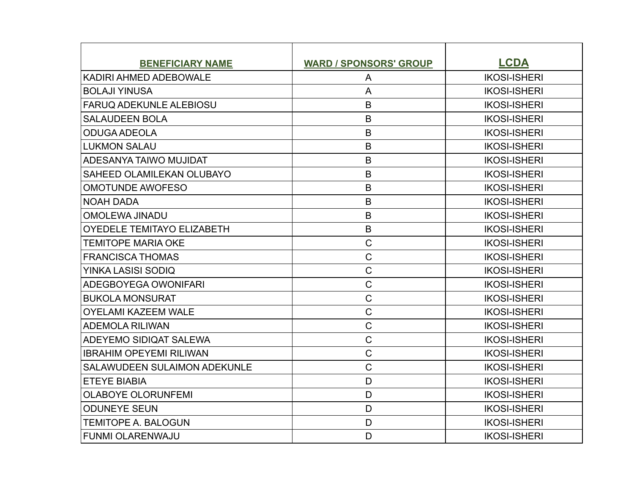| <b>BENEFICIARY NAME</b>             | <b>WARD / SPONSORS' GROUP</b> | <b>LCDA</b>         |
|-------------------------------------|-------------------------------|---------------------|
| KADIRI AHMED ADEBOWALE              | A                             | <b>IKOSI-ISHERI</b> |
| <b>BOLAJI YINUSA</b>                | A                             | <b>IKOSI-ISHERI</b> |
| <b>FARUQ ADEKUNLE ALEBIOSU</b>      | B                             | <b>IKOSI-ISHERI</b> |
| <b>SALAUDEEN BOLA</b>               | B                             | <b>IKOSI-ISHERI</b> |
| <b>ODUGA ADEOLA</b>                 | $\mathsf B$                   | <b>IKOSI-ISHERI</b> |
| <b>LUKMON SALAU</b>                 | B                             | <b>IKOSI-ISHERI</b> |
| ADESANYA TAIWO MUJIDAT              | B                             | <b>IKOSI-ISHERI</b> |
| SAHEED OLAMILEKAN OLUBAYO           | $\mathsf B$                   | <b>IKOSI-ISHERI</b> |
| <b>OMOTUNDE AWOFESO</b>             | B                             | <b>IKOSI-ISHERI</b> |
| <b>NOAH DADA</b>                    | B                             | <b>IKOSI-ISHERI</b> |
| <b>OMOLEWA JINADU</b>               | B                             | <b>IKOSI-ISHERI</b> |
| <b>OYEDELE TEMITAYO ELIZABETH</b>   | $\mathsf B$                   | <b>IKOSI-ISHERI</b> |
| <b>TEMITOPE MARIA OKE</b>           | $\mathsf C$                   | <b>IKOSI-ISHERI</b> |
| <b>FRANCISCA THOMAS</b>             | $\mathsf{C}$                  | <b>IKOSI-ISHERI</b> |
| YINKA LASISI SODIQ                  | $\mathsf{C}$                  | <b>IKOSI-ISHERI</b> |
| ADEGBOYEGA OWONIFARI                | $\mathsf C$                   | <b>IKOSI-ISHERI</b> |
| <b>BUKOLA MONSURAT</b>              | $\mathsf{C}$                  | <b>IKOSI-ISHERI</b> |
| <b>OYELAMI KAZEEM WALE</b>          | $\mathsf C$                   | <b>IKOSI-ISHERI</b> |
| <b>ADEMOLA RILIWAN</b>              | $\mathsf{C}$                  | <b>IKOSI-ISHERI</b> |
| ADEYEMO SIDIQAT SALEWA              | $\mathsf{C}$                  | <b>IKOSI-ISHERI</b> |
| <b>IBRAHIM OPEYEMI RILIWAN</b>      | $\mathsf{C}$                  | <b>IKOSI-ISHERI</b> |
| <b>SALAWUDEEN SULAIMON ADEKUNLE</b> | $\mathsf{C}$                  | <b>IKOSI-ISHERI</b> |
| <b>ETEYE BIABIA</b>                 | D                             | <b>IKOSI-ISHERI</b> |
| <b>OLABOYE OLORUNFEMI</b>           | D                             | <b>IKOSI-ISHERI</b> |
| <b>ODUNEYE SEUN</b>                 | D                             | <b>IKOSI-ISHERI</b> |
| <b>TEMITOPE A. BALOGUN</b>          | D                             | <b>IKOSI-ISHERI</b> |
| <b>FUNMI OLARENWAJU</b>             | D                             | <b>IKOSI-ISHERI</b> |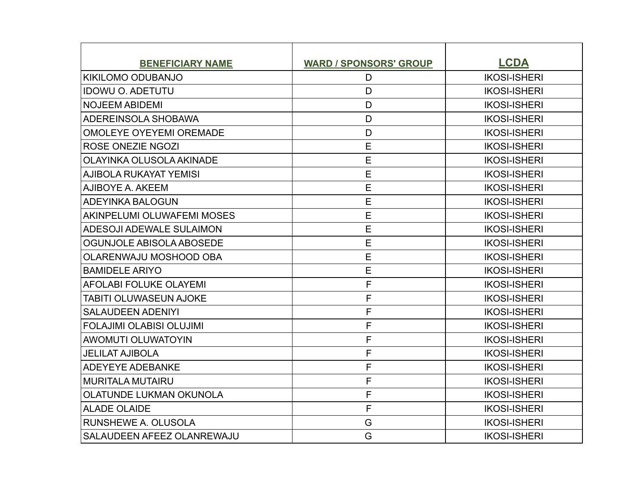| <b>BENEFICIARY NAME</b>         | <b>WARD / SPONSORS' GROUP</b> | <b>LCDA</b>         |
|---------------------------------|-------------------------------|---------------------|
| KIKILOMO ODUBANJO               | D                             | <b>IKOSI-ISHERI</b> |
| <b>IDOWU O. ADETUTU</b>         | D                             | <b>IKOSI-ISHERI</b> |
| <b>NOJEEM ABIDEMI</b>           | D                             | <b>IKOSI-ISHERI</b> |
| ADEREINSOLA SHOBAWA             | D                             | <b>IKOSI-ISHERI</b> |
| <b>OMOLEYE OYEYEMI OREMADE</b>  | D                             | <b>IKOSI-ISHERI</b> |
| <b>ROSE ONEZIE NGOZI</b>        | E                             | <b>IKOSI-ISHERI</b> |
| <b>OLAYINKA OLUSOLA AKINADE</b> | E                             | <b>IKOSI-ISHERI</b> |
| <b>AJIBOLA RUKAYAT YEMISI</b>   | E                             | <b>IKOSI-ISHERI</b> |
| AJIBOYE A. AKEEM                | E                             | <b>IKOSI-ISHERI</b> |
| <b>ADEYINKA BALOGUN</b>         | E                             | <b>IKOSI-ISHERI</b> |
| AKINPELUMI OLUWAFEMI MOSES      | E                             | <b>IKOSI-ISHERI</b> |
| ADESOJI ADEWALE SULAIMON        | E                             | <b>IKOSI-ISHERI</b> |
| OGUNJOLE ABISOLA ABOSEDE        | E                             | <b>IKOSI-ISHERI</b> |
| OLARENWAJU MOSHOOD OBA          | E                             | <b>IKOSI-ISHERI</b> |
| <b>BAMIDELE ARIYO</b>           | E                             | <b>IKOSI-ISHERI</b> |
| <b>AFOLABI FOLUKE OLAYEMI</b>   | F                             | <b>IKOSI-ISHERI</b> |
| <b>TABITI OLUWASEUN AJOKE</b>   | F                             | <b>IKOSI-ISHERI</b> |
| <b>SALAUDEEN ADENIYI</b>        | F                             | <b>IKOSI-ISHERI</b> |
| <b>FOLAJIMI OLABISI OLUJIMI</b> | F                             | <b>IKOSI-ISHERI</b> |
| <b>AWOMUTI OLUWATOYIN</b>       | F                             | <b>IKOSI-ISHERI</b> |
| <b>JELILAT AJIBOLA</b>          | F                             | <b>IKOSI-ISHERI</b> |
| <b>ADEYEYE ADEBANKE</b>         | F                             | <b>IKOSI-ISHERI</b> |
| <b>MURITALA MUTAIRU</b>         | F                             | <b>IKOSI-ISHERI</b> |
| <b>OLATUNDE LUKMAN OKUNOLA</b>  | F                             | <b>IKOSI-ISHERI</b> |
| <b>ALADE OLAIDE</b>             | F                             | <b>IKOSI-ISHERI</b> |
| RUNSHEWE A. OLUSOLA             | G                             | <b>IKOSI-ISHERI</b> |
| SALAUDEEN AFEEZ OLANREWAJU      | G                             | <b>IKOSI-ISHERI</b> |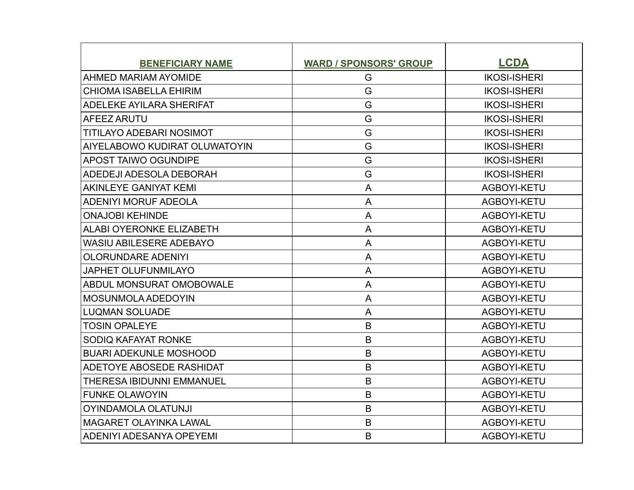| <b>BENEFICIARY NAME</b>              | <b>WARD / SPONSORS' GROUP</b> | <b>LCDA</b>         |
|--------------------------------------|-------------------------------|---------------------|
| <b>AHMED MARIAM AYOMIDE</b>          | G                             | <b>IKOSI-ISHERI</b> |
| <b>CHIOMA ISABELLA EHIRIM</b>        | G                             | <b>IKOSI-ISHERI</b> |
| <b>ADELEKE AYILARA SHERIFAT</b>      | G                             | <b>IKOSI-ISHERI</b> |
| AFEEZ ARUTU                          | G                             | <b>IKOSI-ISHERI</b> |
| <b>TITILAYO ADEBARI NOSIMOT</b>      | G                             | <b>IKOSI-ISHERI</b> |
| <b>AIYELABOWO KUDIRAT OLUWATOYIN</b> | G                             | <b>IKOSI-ISHERI</b> |
| <b>APOST TAIWO OGUNDIPE</b>          | G                             | <b>IKOSI-ISHERI</b> |
| ADEDEJI ADESOLA DEBORAH              | G                             | <b>IKOSI-ISHERI</b> |
| AKINLEYE GANIYAT KEMI                | A                             | AGBOYI-KETU         |
| <b>ADENIYI MORUF ADEOLA</b>          | A                             | AGBOYI-KETU         |
| <b>ONAJOBI KEHINDE</b>               | A                             | AGBOYI-KETU         |
| <b>ALABI OYERONKE ELIZABETH</b>      | A                             | AGBOYI-KETU         |
| <b>WASIU ABILESERE ADEBAYO</b>       | A                             | AGBOYI-KETU         |
| <b>OLORUNDARE ADENIYI</b>            | A                             | AGBOYI-KETU         |
| <b>JAPHET OLUFUNMILAYO</b>           | $\overline{A}$                | AGBOYI-KETU         |
| ABDUL MONSURAT OMOBOWALE             | A                             | AGBOYI-KETU         |
| <b>MOSUNMOLA ADEDOYIN</b>            | A                             | AGBOYI-KETU         |
| <b>LUQMAN SOLUADE</b>                | A                             | AGBOYI-KETU         |
| <b>TOSIN OPALEYE</b>                 | B                             | AGBOYI-KETU         |
| SODIQ KAFAYAT RONKE                  | B                             | AGBOYI-KETU         |
| <b>BUARI ADEKUNLE MOSHOOD</b>        | B                             | AGBOYI-KETU         |
| ADETOYE ABOSEDE RASHIDAT             | B                             | AGBOYI-KETU         |
| THERESA IBIDUNNI EMMANUEL            | $\mathsf B$                   | AGBOYI-KETU         |
| <b>FUNKE OLAWOYIN</b>                | B                             | AGBOYI-KETU         |
| <b>OYINDAMOLA OLATUNJI</b>           | B                             | AGBOYI-KETU         |
| <b>MAGARET OLAYINKA LAWAL</b>        | B                             | AGBOYI-KETU         |
| ADENIYI ADESANYA OPEYEMI             | B                             | AGBOYI-KETU         |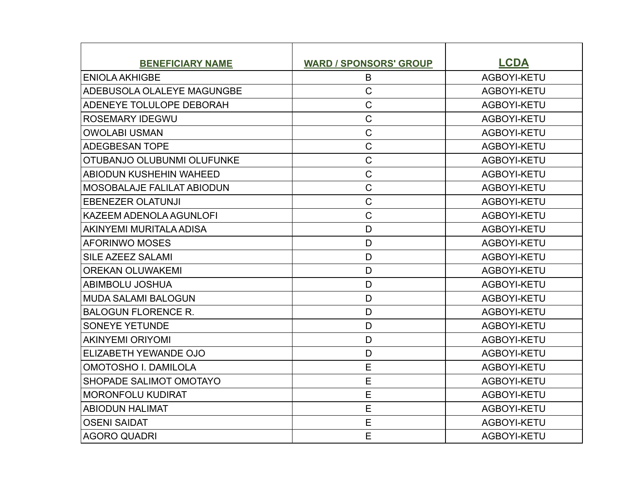| <b>BENEFICIARY NAME</b>           | <b>WARD / SPONSORS' GROUP</b> | <b>LCDA</b> |
|-----------------------------------|-------------------------------|-------------|
| <b>ENIOLA AKHIGBE</b>             | B                             | AGBOYI-KETU |
| ADEBUSOLA OLALEYE MAGUNGBE        | $\mathsf C$                   | AGBOYI-KETU |
| <b>ADENEYE TOLULOPE DEBORAH</b>   | $\mathsf C$                   | AGBOYI-KETU |
| <b>ROSEMARY IDEGWU</b>            | $\mathsf C$                   | AGBOYI-KETU |
| <b>OWOLABI USMAN</b>              | $\mathsf C$                   | AGBOYI-KETU |
| <b>ADEGBESAN TOPE</b>             | $\overline{C}$                | AGBOYI-KETU |
| OTUBANJO OLUBUNMI OLUFUNKE        | $\mathsf C$                   | AGBOYI-KETU |
| ABIODUN KUSHEHIN WAHEED           | $\mathsf C$                   | AGBOYI-KETU |
| <b>MOSOBALAJE FALILAT ABIODUN</b> | $\mathsf C$                   | AGBOYI-KETU |
| <b>EBENEZER OLATUNJI</b>          | $\mathsf C$                   | AGBOYI-KETU |
| KAZEEM ADENOLA AGUNLOFI           | $\mathsf C$                   | AGBOYI-KETU |
| AKINYEMI MURITALA ADISA           | D                             | AGBOYI-KETU |
| <b>AFORINWO MOSES</b>             | D                             | AGBOYI-KETU |
| <b>SILE AZEEZ SALAMI</b>          | D                             | AGBOYI-KETU |
| <b>OREKAN OLUWAKEMI</b>           | D                             | AGBOYI-KETU |
| <b>ABIMBOLU JOSHUA</b>            | D                             | AGBOYI-KETU |
| <b>MUDA SALAMI BALOGUN</b>        | D                             | AGBOYI-KETU |
| <b>BALOGUN FLORENCE R.</b>        | D                             | AGBOYI-KETU |
| <b>SONEYE YETUNDE</b>             | D                             | AGBOYI-KETU |
| <b>AKINYEMI ORIYOMI</b>           | D                             | AGBOYI-KETU |
| ELIZABETH YEWANDE OJO             | D                             | AGBOYI-KETU |
| <b>OMOTOSHO I. DAMILOLA</b>       | E                             | AGBOYI-KETU |
| SHOPADE SALIMOT OMOTAYO           | E                             | AGBOYI-KETU |
| <b>MORONFOLU KUDIRAT</b>          | E                             | AGBOYI-KETU |
| <b>ABIODUN HALIMAT</b>            | E                             | AGBOYI-KETU |
| <b>OSENI SAIDAT</b>               | E                             | AGBOYI-KETU |
| AGORO QUADRI                      | E                             | AGBOYI-KETU |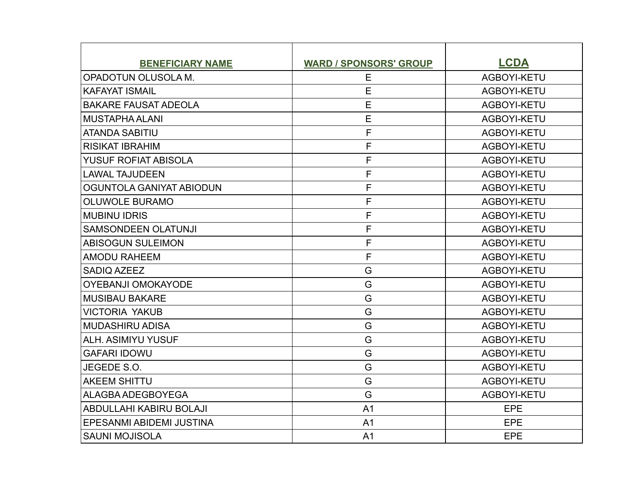| <b>BENEFICIARY NAME</b>     | <b>WARD / SPONSORS' GROUP</b> | <b>LCDA</b> |
|-----------------------------|-------------------------------|-------------|
| OPADOTUN OLUSOLA M.         | Е                             | AGBOYI-KETU |
| <b>KAFAYAT ISMAIL</b>       | E                             | AGBOYI-KETU |
| <b>BAKARE FAUSAT ADEOLA</b> | E                             | AGBOYI-KETU |
| <b>MUSTAPHA ALANI</b>       | E                             | AGBOYI-KETU |
| <b>ATANDA SABITIU</b>       | F                             | AGBOYI-KETU |
| <b>RISIKAT IBRAHIM</b>      | F                             | AGBOYI-KETU |
| <b>YUSUF ROFIAT ABISOLA</b> | F                             | AGBOYI-KETU |
| <b>LAWAL TAJUDEEN</b>       | F                             | AGBOYI-KETU |
| OGUNTOLA GANIYAT ABIODUN    | F                             | AGBOYI-KETU |
| <b>OLUWOLE BURAMO</b>       | F                             | AGBOYI-KETU |
| <b>MUBINU IDRIS</b>         | F                             | AGBOYI-KETU |
| <b>SAMSONDEEN OLATUNJI</b>  | F                             | AGBOYI-KETU |
| <b>ABISOGUN SULEIMON</b>    | F                             | AGBOYI-KETU |
| <b>AMODU RAHEEM</b>         | F                             | AGBOYI-KETU |
| <b>SADIQ AZEEZ</b>          | G                             | AGBOYI-KETU |
| OYEBANJI OMOKAYODE          | G                             | AGBOYI-KETU |
| <b>MUSIBAU BAKARE</b>       | G                             | AGBOYI-KETU |
| <b>VICTORIA YAKUB</b>       | G                             | AGBOYI-KETU |
| <b>MUDASHIRU ADISA</b>      | G                             | AGBOYI-KETU |
| <b>ALH. ASIMIYU YUSUF</b>   | G                             | AGBOYI-KETU |
| <b>GAFARI IDOWU</b>         | G                             | AGBOYI-KETU |
| JEGEDE S.O.                 | G                             | AGBOYI-KETU |
| <b>AKEEM SHITTU</b>         | G                             | AGBOYI-KETU |
| ALAGBA ADEGBOYEGA           | G                             | AGBOYI-KETU |
| ABDULLAHI KABIRU BOLAJI     | A <sub>1</sub>                | EPE         |
| EPESANMI ABIDEMI JUSTINA    | A <sub>1</sub>                | EPE         |
| <b>SAUNI MOJISOLA</b>       | A <sub>1</sub>                | <b>EPE</b>  |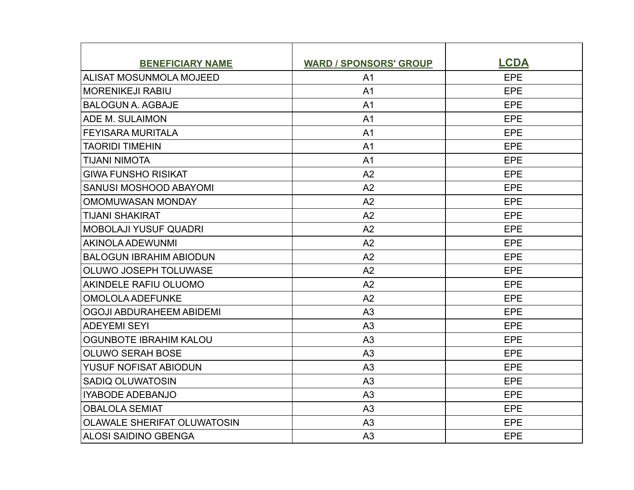| <b>BENEFICIARY NAME</b>            | <b>WARD / SPONSORS' GROUP</b> | <b>LCDA</b> |
|------------------------------------|-------------------------------|-------------|
| ALISAT MOSUNMOLA MOJEED            | A <sub>1</sub>                | EPE         |
| <b>MORENIKEJI RABIU</b>            | A <sub>1</sub>                | <b>EPE</b>  |
| <b>BALOGUN A. AGBAJE</b>           | A <sub>1</sub>                | EPE         |
| ADE M. SULAIMON                    | A <sub>1</sub>                | <b>EPE</b>  |
| <b>FEYISARA MURITALA</b>           | A <sub>1</sub>                | EPE         |
| <b>TAORIDI TIMEHIN</b>             | A <sub>1</sub>                | EPE         |
| <b>TIJANI NIMOTA</b>               | A <sub>1</sub>                | <b>EPE</b>  |
| <b>GIWA FUNSHO RISIKAT</b>         | A <sub>2</sub>                | <b>EPE</b>  |
| <b>SANUSI MOSHOOD ABAYOMI</b>      | A2                            | EPE         |
| <b>OMOMUWASAN MONDAY</b>           | A2                            | EPE         |
| <b>TIJANI SHAKIRAT</b>             | A2                            | <b>EPE</b>  |
| <b>MOBOLAJI YUSUF QUADRI</b>       | A <sub>2</sub>                | EPE         |
| AKINOLA ADEWUNMI                   | A2                            | <b>EPE</b>  |
| <b>BALOGUN IBRAHIM ABIODUN</b>     | A2                            | <b>EPE</b>  |
| OLUWO JOSEPH TOLUWASE              | A2                            | EPE         |
| AKINDELE RAFIU OLUOMO              | A2                            | <b>EPE</b>  |
| <b>OMOLOLA ADEFUNKE</b>            | A2                            | EPE         |
| OGOJI ABDURAHEEM ABIDEMI           | A <sub>3</sub>                | EPE         |
| <b>ADEYEMI SEYI</b>                | A3                            | <b>EPE</b>  |
| <b>OGUNBOTE IBRAHIM KALOU</b>      | A3                            | EPE         |
| <b>OLUWO SERAH BOSE</b>            | A <sub>3</sub>                | EPE         |
| YUSUF NOFISAT ABIODUN              | A3                            | EPE         |
| <b>SADIQ OLUWATOSIN</b>            | A <sub>3</sub>                | <b>EPE</b>  |
| <b>IYABODE ADEBANJO</b>            | A <sub>3</sub>                | EPE         |
| <b>OBALOLA SEMIAT</b>              | A <sub>3</sub>                | <b>EPE</b>  |
| <b>OLAWALE SHERIFAT OLUWATOSIN</b> | A3                            | <b>EPE</b>  |
| <b>ALOSI SAIDINO GBENGA</b>        | A <sub>3</sub>                | <b>EPE</b>  |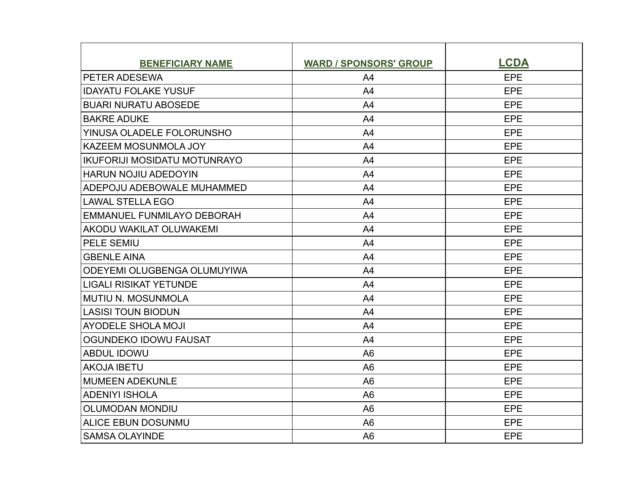| <b>BENEFICIARY NAME</b>             | <b>WARD / SPONSORS' GROUP</b> | <b>LCDA</b> |
|-------------------------------------|-------------------------------|-------------|
| PETER ADESEWA                       | A <sub>4</sub>                | EPE         |
| <b>IDAYATU FOLAKE YUSUF</b>         | A <sub>4</sub>                | <b>EPE</b>  |
| <b>BUARI NURATU ABOSEDE</b>         | A <sub>4</sub>                | EPE         |
| <b>BAKRE ADUKE</b>                  | A4                            | EPE         |
| YINUSA OLADELE FOLORUNSHO           | A <sub>4</sub>                | EPE         |
| <b>KAZEEM MOSUNMOLA JOY</b>         | A4                            | <b>EPE</b>  |
| <b>IKUFORIJI MOSIDATU MOTUNRAYO</b> | A <sub>4</sub>                | EPE         |
| <b>HARUN NOJIU ADEDOYIN</b>         | A <sub>4</sub>                | EPE         |
| ADEPOJU ADEBOWALE MUHAMMED          | A4                            | <b>EPE</b>  |
| <b>LAWAL STELLA EGO</b>             | A <sub>4</sub>                | EPE         |
| EMMANUEL FUNMILAYO DEBORAH          | A <sub>4</sub>                | <b>EPE</b>  |
| AKODU WAKILAT OLUWAKEMI             | A <sup>4</sup>                | <b>EPE</b>  |
| <b>PELE SEMIU</b>                   | A <sub>4</sub>                | EPE         |
| <b>GBENLE AINA</b>                  | A <sup>4</sup>                | <b>EPE</b>  |
| ODEYEMI OLUGBENGA OLUMUYIWA         | A <sub>4</sub>                | EPE         |
| <b>LIGALI RISIKAT YETUNDE</b>       | A <sub>4</sub>                | EPE         |
| <b>MUTIU N. MOSUNMOLA</b>           | A <sub>4</sub>                | EPE         |
| <b>LASISI TOUN BIODUN</b>           | A4                            | <b>EPE</b>  |
| <b>AYODELE SHOLA MOJI</b>           | A <sub>4</sub>                | EPE         |
| OGUNDEKO IDOWU FAUSAT               | A4                            | EPE         |
| <b>ABDUL IDOWU</b>                  | A <sub>6</sub>                | <b>EPE</b>  |
| <b>AKOJA IBETU</b>                  | A <sub>6</sub>                | EPE         |
| <b>MUMEEN ADEKUNLE</b>              | A <sub>6</sub>                | EPE         |
| <b>ADENIYI ISHOLA</b>               | A <sub>6</sub>                | EPE         |
| <b>OLUMODAN MONDIU</b>              | A <sub>6</sub>                | EPE         |
| <b>ALICE EBUN DOSUNMU</b>           | A <sub>6</sub>                | EPE         |
| <b>SAMSA OLAYINDE</b>               | A <sub>6</sub>                | <b>EPE</b>  |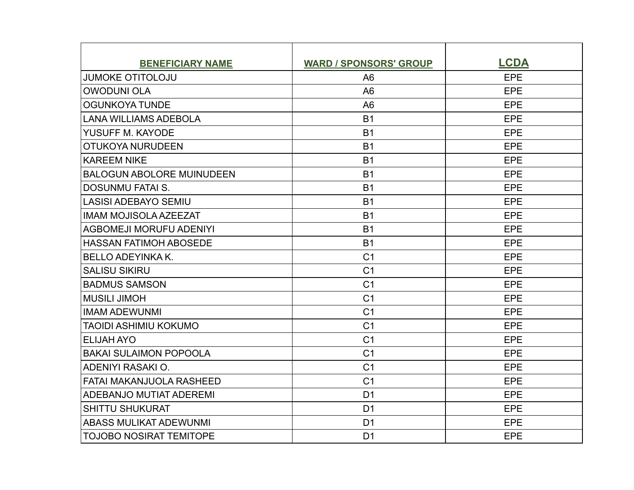| <b>BENEFICIARY NAME</b>          | <b>WARD / SPONSORS' GROUP</b> | <b>LCDA</b> |
|----------------------------------|-------------------------------|-------------|
| <b>JUMOKE OTITOLOJU</b>          | A <sub>6</sub>                | EPE         |
| <b>OWODUNI OLA</b>               | A <sub>6</sub>                | <b>EPE</b>  |
| <b>OGUNKOYA TUNDE</b>            | A <sub>6</sub>                | EPE         |
| <b>LANA WILLIAMS ADEBOLA</b>     | <b>B1</b>                     | EPE         |
| YUSUFF M. KAYODE                 | <b>B1</b>                     | EPE         |
| OTUKOYA NURUDEEN                 | <b>B1</b>                     | <b>EPE</b>  |
| <b>KAREEM NIKE</b>               | <b>B1</b>                     | EPE         |
| <b>BALOGUN ABOLORE MUINUDEEN</b> | <b>B1</b>                     | EPE         |
| <b>DOSUNMU FATAI S.</b>          | <b>B1</b>                     | <b>EPE</b>  |
| <b>LASISI ADEBAYO SEMIU</b>      | <b>B1</b>                     | EPE         |
| <b>IMAM MOJISOLA AZEEZAT</b>     | <b>B1</b>                     | <b>EPE</b>  |
| <b>AGBOMEJI MORUFU ADENIYI</b>   | <b>B1</b>                     | EPE         |
| <b>HASSAN FATIMOH ABOSEDE</b>    | <b>B1</b>                     | EPE         |
| <b>BELLO ADEYINKA K.</b>         | C <sub>1</sub>                | EPE         |
| <b>SALISU SIKIRU</b>             | C <sub>1</sub>                | EPE         |
| <b>BADMUS SAMSON</b>             | C <sub>1</sub>                | EPE         |
| <b>MUSILI JIMOH</b>              | C <sub>1</sub>                | EPE         |
| <b>IMAM ADEWUNMI</b>             | C <sub>1</sub>                | <b>EPE</b>  |
| TAOIDI ASHIMIU KOKUMO            | C <sub>1</sub>                | EPE         |
| <b>ELIJAH AYO</b>                | C <sub>1</sub>                | EPE         |
| <b>BAKAI SULAIMON POPOOLA</b>    | C <sub>1</sub>                | <b>EPE</b>  |
| ADENIYI RASAKI O.                | C <sub>1</sub>                | EPE         |
| <b>FATAI MAKANJUOLA RASHEED</b>  | C <sub>1</sub>                | EPE         |
| <b>ADEBANJO MUTIAT ADEREMI</b>   | D <sub>1</sub>                | EPE         |
| <b>SHITTU SHUKURAT</b>           | D <sub>1</sub>                | EPE         |
| <b>ABASS MULIKAT ADEWUNMI</b>    | D <sub>1</sub>                | EPE         |
| <b>TOJOBO NOSIRAT TEMITOPE</b>   | D <sub>1</sub>                | <b>EPE</b>  |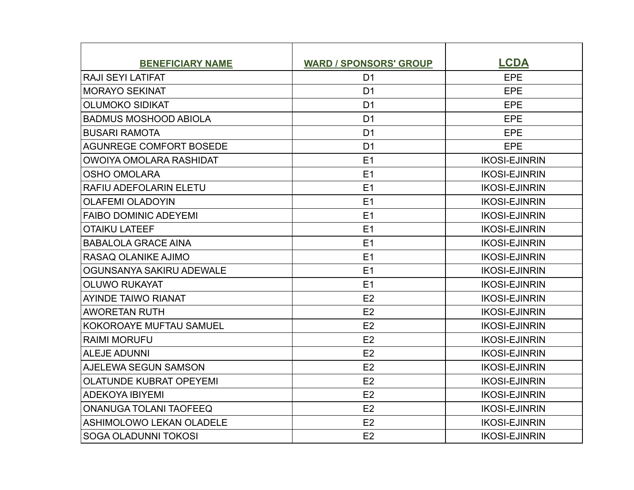| <b>BENEFICIARY NAME</b>        | <b>WARD / SPONSORS' GROUP</b> | <b>LCDA</b>          |
|--------------------------------|-------------------------------|----------------------|
| <b>RAJI SEYI LATIFAT</b>       | D <sub>1</sub>                | EPE                  |
| <b>MORAYO SEKINAT</b>          | D <sub>1</sub>                | <b>EPE</b>           |
| <b>OLUMOKO SIDIKAT</b>         | D <sub>1</sub>                | EPE                  |
| <b>BADMUS MOSHOOD ABIOLA</b>   | D <sub>1</sub>                | EPE                  |
| <b>BUSARI RAMOTA</b>           | D <sub>1</sub>                | EPE                  |
| AGUNREGE COMFORT BOSEDE        | D <sub>1</sub>                | <b>EPE</b>           |
| OWOIYA OMOLARA RASHIDAT        | E1                            | <b>IKOSI-EJINRIN</b> |
| <b>OSHO OMOLARA</b>            | E1                            | <b>IKOSI-EJINRIN</b> |
| RAFIU ADEFOLARIN ELETU         | E1                            | <b>IKOSI-EJINRIN</b> |
| <b>OLAFEMI OLADOYIN</b>        | E1                            | <b>IKOSI-EJINRIN</b> |
| <b>FAIBO DOMINIC ADEYEMI</b>   | E1                            | <b>IKOSI-EJINRIN</b> |
| <b>OTAIKU LATEEF</b>           | E1                            | <b>IKOSI-EJINRIN</b> |
| <b>BABALOLA GRACE AINA</b>     | E1                            | <b>IKOSI-EJINRIN</b> |
| RASAQ OLANIKE AJIMO            | E1                            | <b>IKOSI-EJINRIN</b> |
| OGUNSANYA SAKIRU ADEWALE       | E1                            | <b>IKOSI-EJINRIN</b> |
| <b>OLUWO RUKAYAT</b>           | E1                            | <b>IKOSI-EJINRIN</b> |
| <b>AYINDE TAIWO RIANAT</b>     | E2                            | <b>IKOSI-EJINRIN</b> |
| <b>AWORETAN RUTH</b>           | E2                            | <b>IKOSI-EJINRIN</b> |
| <b>KOKOROAYE MUFTAU SAMUEL</b> | E2                            | <b>IKOSI-EJINRIN</b> |
| <b>RAIMI MORUFU</b>            | E2                            | <b>IKOSI-EJINRIN</b> |
| <b>ALEJE ADUNNI</b>            | E2                            | <b>IKOSI-EJINRIN</b> |
| AJELEWA SEGUN SAMSON           | E2                            | <b>IKOSI-EJINRIN</b> |
| <b>OLATUNDE KUBRAT OPEYEMI</b> | E2                            | <b>IKOSI-EJINRIN</b> |
| <b>ADEKOYA IBIYEMI</b>         | E2                            | <b>IKOSI-EJINRIN</b> |
| <b>ONANUGA TOLANI TAOFEEQ</b>  | E <sub>2</sub>                | <b>IKOSI-EJINRIN</b> |
| ASHIMOLOWO LEKAN OLADELE       | E2                            | <b>IKOSI-EJINRIN</b> |
| SOGA OLADUNNI TOKOSI           | E2                            | <b>IKOSI-EJINRIN</b> |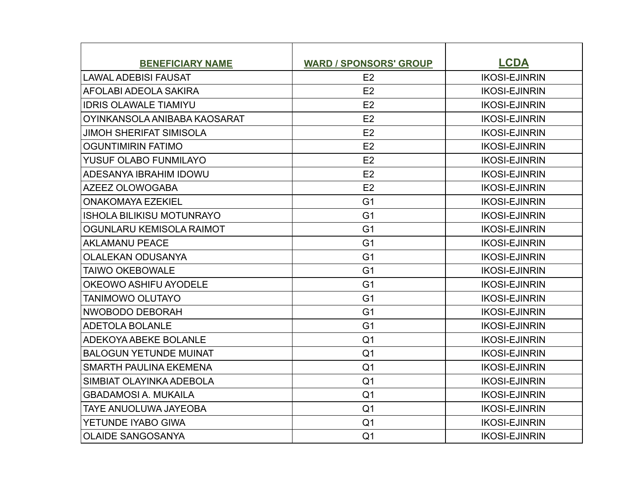| <b>BENEFICIARY NAME</b>          | <b>WARD / SPONSORS' GROUP</b> | <b>LCDA</b>          |
|----------------------------------|-------------------------------|----------------------|
| <b>LAWAL ADEBISI FAUSAT</b>      | E2                            | <b>IKOSI-EJINRIN</b> |
| AFOLABI ADEOLA SAKIRA            | E2                            | <b>IKOSI-EJINRIN</b> |
| <b>IDRIS OLAWALE TIAMIYU</b>     | E2                            | <b>IKOSI-EJINRIN</b> |
| OYINKANSOLA ANIBABA KAOSARAT     | E2                            | <b>IKOSI-EJINRIN</b> |
| <b>JIMOH SHERIFAT SIMISOLA</b>   | E2                            | <b>IKOSI-EJINRIN</b> |
| <b>OGUNTIMIRIN FATIMO</b>        | E2                            | <b>IKOSI-EJINRIN</b> |
| YUSUF OLABO FUNMILAYO            | E2                            | <b>IKOSI-EJINRIN</b> |
| ADESANYA IBRAHIM IDOWU           | E <sub>2</sub>                | <b>IKOSI-EJINRIN</b> |
| AZEEZ OLOWOGABA                  | E2                            | <b>IKOSI-EJINRIN</b> |
| <b>ONAKOMAYA EZEKIEL</b>         | G <sub>1</sub>                | <b>IKOSI-EJINRIN</b> |
| <b>ISHOLA BILIKISU MOTUNRAYO</b> | G <sub>1</sub>                | <b>IKOSI-EJINRIN</b> |
| OGUNLARU KEMISOLA RAIMOT         | G <sub>1</sub>                | <b>IKOSI-EJINRIN</b> |
| <b>AKLAMANU PEACE</b>            | G <sub>1</sub>                | <b>IKOSI-EJINRIN</b> |
| <b>OLALEKAN ODUSANYA</b>         | G <sub>1</sub>                | <b>IKOSI-EJINRIN</b> |
| <b>TAIWO OKEBOWALE</b>           | G <sub>1</sub>                | <b>IKOSI-EJINRIN</b> |
| OKEOWO ASHIFU AYODELE            | G <sub>1</sub>                | <b>IKOSI-EJINRIN</b> |
| <b>TANIMOWO OLUTAYO</b>          | G <sub>1</sub>                | <b>IKOSI-EJINRIN</b> |
| NWOBODO DEBORAH                  | G <sub>1</sub>                | <b>IKOSI-EJINRIN</b> |
| <b>ADETOLA BOLANLE</b>           | G <sub>1</sub>                | <b>IKOSI-EJINRIN</b> |
| <b>ADEKOYA ABEKE BOLANLE</b>     | Q <sub>1</sub>                | <b>IKOSI-EJINRIN</b> |
| <b>BALOGUN YETUNDE MUINAT</b>    | Q <sub>1</sub>                | <b>IKOSI-EJINRIN</b> |
| SMARTH PAULINA EKEMENA           | Q <sub>1</sub>                | <b>IKOSI-EJINRIN</b> |
| SIMBIAT OLAYINKA ADEBOLA         | Q <sub>1</sub>                | <b>IKOSI-EJINRIN</b> |
| <b>GBADAMOSI A. MUKAILA</b>      | Q <sub>1</sub>                | <b>IKOSI-EJINRIN</b> |
| <b>TAYE ANUOLUWA JAYEOBA</b>     | Q <sub>1</sub>                | <b>IKOSI-EJINRIN</b> |
| YETUNDE IYABO GIWA               | Q <sub>1</sub>                | <b>IKOSI-EJINRIN</b> |
| <b>OLAIDE SANGOSANYA</b>         | Q <sub>1</sub>                | <b>IKOSI-EJINRIN</b> |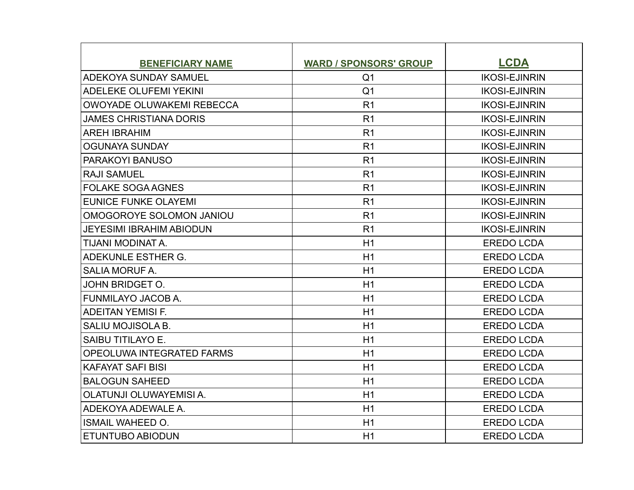| <b>BENEFICIARY NAME</b>         | <b>WARD / SPONSORS' GROUP</b> | <b>LCDA</b>          |
|---------------------------------|-------------------------------|----------------------|
| ADEKOYA SUNDAY SAMUEL           | Q <sub>1</sub>                | <b>IKOSI-EJINRIN</b> |
| <b>ADELEKE OLUFEMI YEKINI</b>   | Q <sub>1</sub>                | <b>IKOSI-EJINRIN</b> |
| OWOYADE OLUWAKEMI REBECCA       | R <sub>1</sub>                | <b>IKOSI-EJINRIN</b> |
| <b>JAMES CHRISTIANA DORIS</b>   | R <sub>1</sub>                | <b>IKOSI-EJINRIN</b> |
| <b>AREH IBRAHIM</b>             | R <sub>1</sub>                | <b>IKOSI-EJINRIN</b> |
| <b>OGUNAYA SUNDAY</b>           | R <sub>1</sub>                | <b>IKOSI-EJINRIN</b> |
| PARAKOYI BANUSO                 | R <sub>1</sub>                | <b>IKOSI-EJINRIN</b> |
| <b>RAJI SAMUEL</b>              | R <sub>1</sub>                | <b>IKOSI-EJINRIN</b> |
| <b>FOLAKE SOGA AGNES</b>        | R <sub>1</sub>                | <b>IKOSI-EJINRIN</b> |
| <b>EUNICE FUNKE OLAYEMI</b>     | R <sub>1</sub>                | <b>IKOSI-EJINRIN</b> |
| OMOGOROYE SOLOMON JANIOU        | R <sub>1</sub>                | <b>IKOSI-EJINRIN</b> |
| <b>JEYESIMI IBRAHIM ABIODUN</b> | R <sub>1</sub>                | <b>IKOSI-EJINRIN</b> |
| TIJANI MODINAT A.               | H1                            | <b>EREDO LCDA</b>    |
| ADEKUNLE ESTHER G.              | H1                            | <b>EREDO LCDA</b>    |
| <b>SALIA MORUF A.</b>           | H1                            | <b>EREDO LCDA</b>    |
| <b>JOHN BRIDGET O.</b>          | H1                            | <b>EREDO LCDA</b>    |
| FUNMILAYO JACOB A.              | H1                            | <b>EREDO LCDA</b>    |
| <b>ADEITAN YEMISI F.</b>        | H1                            | <b>EREDO LCDA</b>    |
| SALIU MOJISOLA B.               | H1                            | <b>EREDO LCDA</b>    |
| SAIBU TITILAYO E.               | H1                            | <b>EREDO LCDA</b>    |
| OPEOLUWA INTEGRATED FARMS       | H1                            | <b>EREDO LCDA</b>    |
| <b>KAFAYAT SAFI BISI</b>        | H1                            | <b>EREDO LCDA</b>    |
| <b>BALOGUN SAHEED</b>           | H1                            | <b>EREDO LCDA</b>    |
| OLATUNJI OLUWAYEMISI A.         | H1                            | <b>EREDO LCDA</b>    |
| ADEKOYA ADEWALE A.              | H1                            | <b>EREDO LCDA</b>    |
| <b>ISMAIL WAHEED O.</b>         | H1                            | <b>EREDO LCDA</b>    |
| <b>ETUNTUBO ABIODUN</b>         | H1                            | <b>EREDO LCDA</b>    |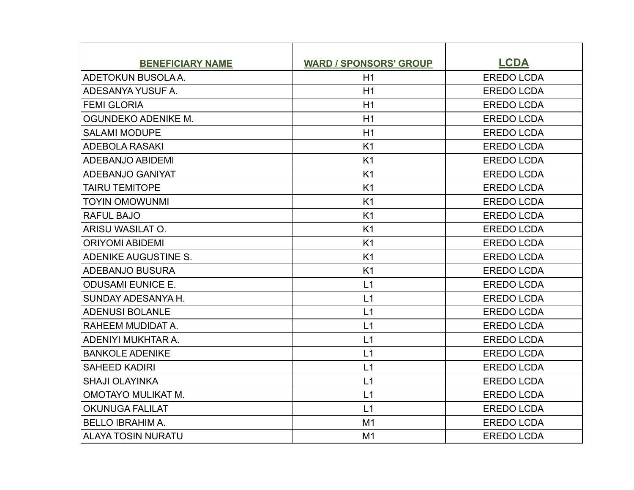| <b>BENEFICIARY NAME</b>   | <b>WARD / SPONSORS' GROUP</b> | <b>LCDA</b>       |
|---------------------------|-------------------------------|-------------------|
| ADETOKUN BUSOLA A.        | H1                            | <b>EREDO LCDA</b> |
| ADESANYA YUSUF A.         | H1                            | <b>EREDO LCDA</b> |
| <b>FEMI GLORIA</b>        | H1                            | <b>EREDO LCDA</b> |
| OGUNDEKO ADENIKE M.       | H1                            | <b>EREDO LCDA</b> |
| <b>SALAMI MODUPE</b>      | H1                            | <b>EREDO LCDA</b> |
| <b>ADEBOLA RASAKI</b>     | K1                            | <b>EREDO LCDA</b> |
| <b>ADEBANJO ABIDEMI</b>   | K1                            | <b>EREDO LCDA</b> |
| ADEBANJO GANIYAT          | K <sub>1</sub>                | <b>EREDO LCDA</b> |
| <b>TAIRU TEMITOPE</b>     | K <sub>1</sub>                | <b>EREDO LCDA</b> |
| <b>TOYIN OMOWUNMI</b>     | K <sub>1</sub>                | <b>EREDO LCDA</b> |
| <b>RAFUL BAJO</b>         | K1                            | <b>EREDO LCDA</b> |
| ARISU WASILAT O.          | K <sub>1</sub>                | <b>EREDO LCDA</b> |
| <b>ORIYOMI ABIDEMI</b>    | K <sub>1</sub>                | <b>EREDO LCDA</b> |
| ADENIKE AUGUSTINE S.      | K <sub>1</sub>                | <b>EREDO LCDA</b> |
| <b>ADEBANJO BUSURA</b>    | K <sub>1</sub>                | <b>EREDO LCDA</b> |
| <b>ODUSAMI EUNICE E.</b>  | L1                            | <b>EREDO LCDA</b> |
| SUNDAY ADESANYA H.        | L1                            | <b>EREDO LCDA</b> |
| <b>ADENUSI BOLANLE</b>    | L1                            | <b>EREDO LCDA</b> |
| RAHEEM MUDIDAT A.         | L1                            | <b>EREDO LCDA</b> |
| ADENIYI MUKHTAR A.        | L1                            | <b>EREDO LCDA</b> |
| <b>BANKOLE ADENIKE</b>    | L1                            | <b>EREDO LCDA</b> |
| <b>SAHEED KADIRI</b>      | L1                            | <b>EREDO LCDA</b> |
| <b>SHAJI OLAYINKA</b>     | L1                            | <b>EREDO LCDA</b> |
| <b>OMOTAYO MULIKAT M.</b> | L1                            | <b>EREDO LCDA</b> |
| <b>OKUNUGA FALILAT</b>    | L1                            | <b>EREDO LCDA</b> |
| <b>BELLO IBRAHIMA.</b>    | M1                            | <b>EREDO LCDA</b> |
| <b>ALAYA TOSIN NURATU</b> | M1                            | <b>EREDO LCDA</b> |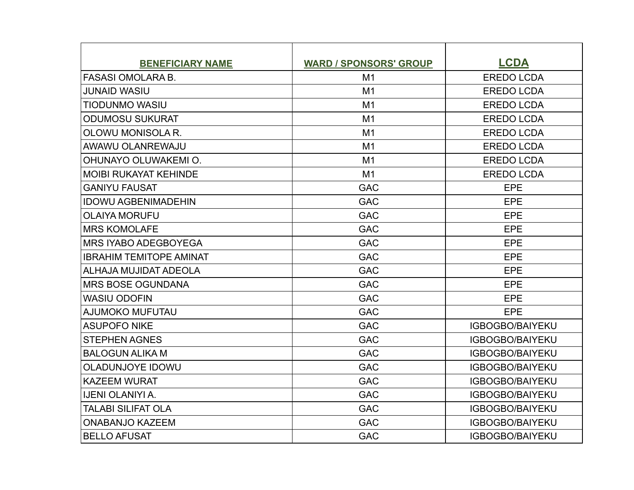| <b>BENEFICIARY NAME</b>        | <b>WARD / SPONSORS' GROUP</b> | <b>LCDA</b>            |
|--------------------------------|-------------------------------|------------------------|
| <b>FASASI OMOLARA B.</b>       | M <sub>1</sub>                | <b>EREDO LCDA</b>      |
| <b>JUNAID WASIU</b>            | M1                            | <b>EREDO LCDA</b>      |
| <b>TIODUNMO WASIU</b>          | M1                            | <b>EREDO LCDA</b>      |
| <b>ODUMOSU SUKURAT</b>         | M <sub>1</sub>                | <b>EREDO LCDA</b>      |
| OLOWU MONISOLA R.              | M1                            | <b>EREDO LCDA</b>      |
| <b>AWAWU OLANREWAJU</b>        | M1                            | <b>EREDO LCDA</b>      |
| OHUNAYO OLUWAKEMI O.           | M1                            | <b>EREDO LCDA</b>      |
| <b>MOIBI RUKAYAT KEHINDE</b>   | M1                            | <b>EREDO LCDA</b>      |
| <b>GANIYU FAUSAT</b>           | <b>GAC</b>                    | <b>EPE</b>             |
| <b>IDOWU AGBENIMADEHIN</b>     | <b>GAC</b>                    | EPE                    |
| <b>OLAIYA MORUFU</b>           | <b>GAC</b>                    | EPE                    |
| <b>MRS KOMOLAFE</b>            | <b>GAC</b>                    | EPE                    |
| <b>MRS IYABO ADEGBOYEGA</b>    | <b>GAC</b>                    | <b>EPE</b>             |
| <b>IBRAHIM TEMITOPE AMINAT</b> | <b>GAC</b>                    | EPE                    |
| ALHAJA MUJIDAT ADEOLA          | <b>GAC</b>                    | EPE                    |
| <b>MRS BOSE OGUNDANA</b>       | <b>GAC</b>                    | <b>EPE</b>             |
| <b>WASIU ODOFIN</b>            | <b>GAC</b>                    | EPE                    |
| AJUMOKO MUFUTAU                | <b>GAC</b>                    | <b>EPE</b>             |
| <b>ASUPOFO NIKE</b>            | <b>GAC</b>                    | <b>IGBOGBO/BAIYEKU</b> |
| <b>STEPHEN AGNES</b>           | <b>GAC</b>                    | <b>IGBOGBO/BAIYEKU</b> |
| <b>BALOGUN ALIKA M</b>         | <b>GAC</b>                    | <b>IGBOGBO/BAIYEKU</b> |
| <b>OLADUNJOYE IDOWU</b>        | <b>GAC</b>                    | <b>IGBOGBO/BAIYEKU</b> |
| <b>KAZEEM WURAT</b>            | <b>GAC</b>                    | <b>IGBOGBO/BAIYEKU</b> |
| <b>IJENI OLANIYI A.</b>        | <b>GAC</b>                    | <b>IGBOGBO/BAIYEKU</b> |
| TALABI SILIFAT OLA             | <b>GAC</b>                    | <b>IGBOGBO/BAIYEKU</b> |
| <b>ONABANJO KAZEEM</b>         | <b>GAC</b>                    | <b>IGBOGBO/BAIYEKU</b> |
| <b>BELLO AFUSAT</b>            | <b>GAC</b>                    | <b>IGBOGBO/BAIYEKU</b> |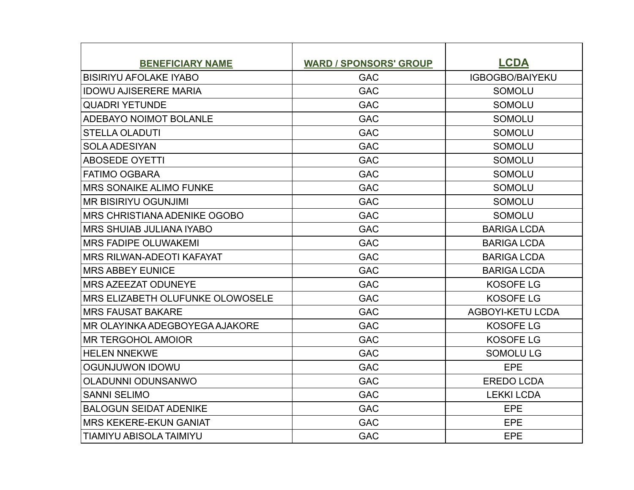| <b>BENEFICIARY NAME</b>               | <b>WARD / SPONSORS' GROUP</b> | <b>LCDA</b>             |
|---------------------------------------|-------------------------------|-------------------------|
| <b>BISIRIYU AFOLAKE IYABO</b>         | <b>GAC</b>                    | <b>IGBOGBO/BAIYEKU</b>  |
| <b>IDOWU AJISERERE MARIA</b>          | <b>GAC</b>                    | <b>SOMOLU</b>           |
| <b>QUADRI YETUNDE</b>                 | <b>GAC</b>                    | <b>SOMOLU</b>           |
| ADEBAYO NOIMOT BOLANLE                | <b>GAC</b>                    | <b>SOMOLU</b>           |
| <b>STELLA OLADUTI</b>                 | <b>GAC</b>                    | <b>SOMOLU</b>           |
| <b>SOLA ADESIYAN</b>                  | <b>GAC</b>                    | <b>SOMOLU</b>           |
| <b>ABOSEDE OYETTI</b>                 | <b>GAC</b>                    | <b>SOMOLU</b>           |
| <b>FATIMO OGBARA</b>                  | <b>GAC</b>                    | <b>SOMOLU</b>           |
| <b>MRS SONAIKE ALIMO FUNKE</b>        | <b>GAC</b>                    | <b>SOMOLU</b>           |
| <b>IMR BISIRIYU OGUNJIMI</b>          | <b>GAC</b>                    | <b>SOMOLU</b>           |
| <b>MRS CHRISTIANA ADENIKE OGOBO</b>   | <b>GAC</b>                    | <b>SOMOLU</b>           |
| <b>MRS SHUIAB JULIANA IYABO</b>       | <b>GAC</b>                    | <b>BARIGA LCDA</b>      |
| IMRS FADIPE OLUWAKEMI                 | <b>GAC</b>                    | <b>BARIGA LCDA</b>      |
| IMRS RILWAN-ADEOTI KAFAYAT            | <b>GAC</b>                    | <b>BARIGA LCDA</b>      |
| <b>IMRS ABBEY EUNICE</b>              | <b>GAC</b>                    | <b>BARIGA LCDA</b>      |
| <b>MRS AZEEZAT ODUNEYE</b>            | <b>GAC</b>                    | <b>KOSOFE LG</b>        |
| MRS ELIZABETH OLUFUNKE OLOWOSELE      | <b>GAC</b>                    | <b>KOSOFE LG</b>        |
| <b>MRS FAUSAT BAKARE</b>              | <b>GAC</b>                    | <b>AGBOYI-KETU LCDA</b> |
| <b>MR OLAYINKA ADEGBOYEGA AJAKORE</b> | <b>GAC</b>                    | <b>KOSOFE LG</b>        |
| <b>IMR TERGOHOL AMOIOR</b>            | <b>GAC</b>                    | <b>KOSOFE LG</b>        |
| <b>HELEN NNEKWE</b>                   | <b>GAC</b>                    | <b>SOMOLULG</b>         |
| <b>OGUNJUWON IDOWU</b>                | <b>GAC</b>                    | <b>EPE</b>              |
| <b>OLADUNNI ODUNSANWO</b>             | <b>GAC</b>                    | <b>EREDO LCDA</b>       |
| <b>SANNI SELIMO</b>                   | <b>GAC</b>                    | <b>LEKKI LCDA</b>       |
| <b>BALOGUN SEIDAT ADENIKE</b>         | <b>GAC</b>                    | EPE                     |
| <b>MRS KEKERE-EKUN GANIAT</b>         | <b>GAC</b>                    | EPE                     |
| <b>TIAMIYU ABISOLA TAIMIYU</b>        | <b>GAC</b>                    | EPE                     |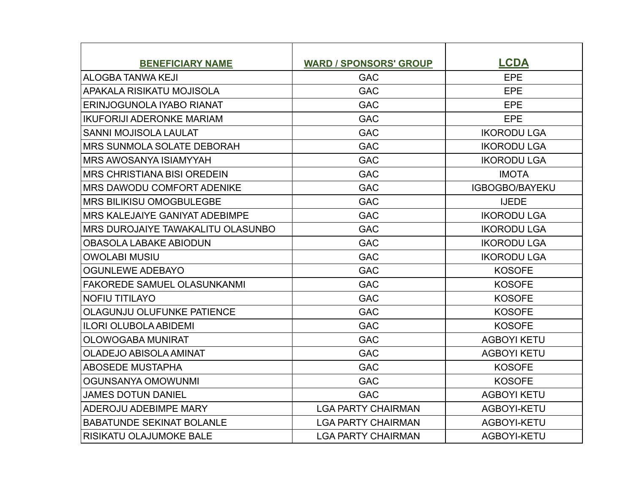| <b>BENEFICIARY NAME</b>               | <b>WARD / SPONSORS' GROUP</b> | <b>LCDA</b>           |
|---------------------------------------|-------------------------------|-----------------------|
| <b>ALOGBA TANWA KEJI</b>              | <b>GAC</b>                    | EPE                   |
| APAKALA RISIKATU MOJISOLA             | <b>GAC</b>                    | <b>EPE</b>            |
| <b>ERINJOGUNOLA IYABO RIANAT</b>      | <b>GAC</b>                    | EPE                   |
| <b>IKUFORIJI ADERONKE MARIAM</b>      | <b>GAC</b>                    | <b>EPE</b>            |
| <b>SANNI MOJISOLA LAULAT</b>          | <b>GAC</b>                    | <b>IKORODU LGA</b>    |
| <b>MRS SUNMOLA SOLATE DEBORAH</b>     | <b>GAC</b>                    | <b>IKORODU LGA</b>    |
| <b>MRS AWOSANYA ISIAMYYAH</b>         | <b>GAC</b>                    | <b>IKORODU LGA</b>    |
| IMRS CHRISTIANA BISI OREDEIN          | <b>GAC</b>                    | <b>IMOTA</b>          |
| <b>MRS DAWODU COMFORT ADENIKE</b>     | <b>GAC</b>                    | <b>IGBOGBO/BAYEKU</b> |
| <b>IMRS BILIKISU OMOGBULEGBE</b>      | <b>GAC</b>                    | <b>IJEDE</b>          |
| <b>MRS KALEJAIYE GANIYAT ADEBIMPE</b> | <b>GAC</b>                    | <b>IKORODU LGA</b>    |
| MRS DUROJAIYE TAWAKALITU OLASUNBO     | <b>GAC</b>                    | <b>IKORODU LGA</b>    |
| <b>OBASOLA LABAKE ABIODUN</b>         | <b>GAC</b>                    | <b>IKORODU LGA</b>    |
| <b>OWOLABI MUSIU</b>                  | <b>GAC</b>                    | <b>IKORODU LGA</b>    |
| <b>OGUNLEWE ADEBAYO</b>               | <b>GAC</b>                    | <b>KOSOFE</b>         |
| <b>FAKOREDE SAMUEL OLASUNKANMI</b>    | <b>GAC</b>                    | <b>KOSOFE</b>         |
| <b>NOFIU TITILAYO</b>                 | <b>GAC</b>                    | <b>KOSOFE</b>         |
| OLAGUNJU OLUFUNKE PATIENCE            | <b>GAC</b>                    | <b>KOSOFE</b>         |
| <b>ILORI OLUBOLA ABIDEMI</b>          | <b>GAC</b>                    | <b>KOSOFE</b>         |
| <b>OLOWOGABA MUNIRAT</b>              | <b>GAC</b>                    | <b>AGBOYI KETU</b>    |
| <b>OLADEJO ABISOLA AMINAT</b>         | <b>GAC</b>                    | <b>AGBOYI KETU</b>    |
| <b>ABOSEDE MUSTAPHA</b>               | <b>GAC</b>                    | <b>KOSOFE</b>         |
| OGUNSANYA OMOWUNMI                    | <b>GAC</b>                    | <b>KOSOFE</b>         |
| <b>JAMES DOTUN DANIEL</b>             | <b>GAC</b>                    | <b>AGBOYI KETU</b>    |
| ADEROJU ADEBIMPE MARY                 | <b>LGA PARTY CHAIRMAN</b>     | AGBOYI-KETU           |
| <b>BABATUNDE SEKINAT BOLANLE</b>      | <b>LGA PARTY CHAIRMAN</b>     | <b>AGBOYI-KETU</b>    |
| <b>RISIKATU OLAJUMOKE BALE</b>        | <b>LGA PARTY CHAIRMAN</b>     | AGBOYI-KETU           |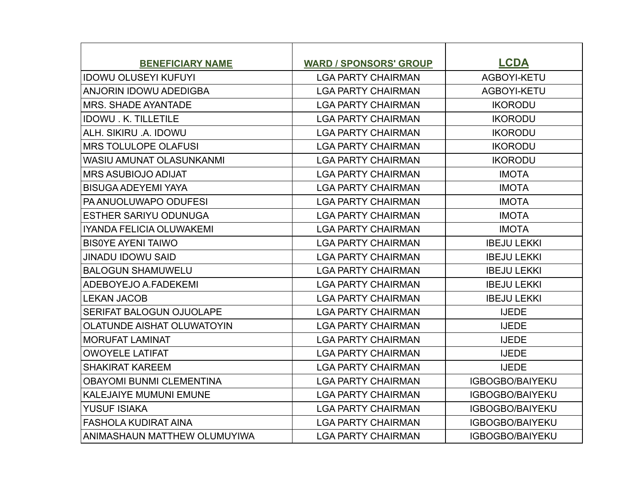| <b>BENEFICIARY NAME</b>           | <b>WARD / SPONSORS' GROUP</b> | <b>LCDA</b>            |
|-----------------------------------|-------------------------------|------------------------|
| IIDOWU OLUSEYI KUFUYI             | <b>LGA PARTY CHAIRMAN</b>     | AGBOYI-KETU            |
| <b>ANJORIN IDOWU ADEDIGBA</b>     | <b>LGA PARTY CHAIRMAN</b>     | AGBOYI-KETU            |
| <b>IMRS. SHADE AYANTADE</b>       | <b>LGA PARTY CHAIRMAN</b>     | <b>IKORODU</b>         |
| <b>IDOWU. K. TILLETILE</b>        | <b>LGA PARTY CHAIRMAN</b>     | <b>IKORODU</b>         |
| ALH. SIKIRU .A. IDOWU             | <b>LGA PARTY CHAIRMAN</b>     | <b>IKORODU</b>         |
| IMRS TOLULOPE OLAFUSI             | <b>LGA PARTY CHAIRMAN</b>     | <b>IKORODU</b>         |
| <b>WASIU AMUNAT OLASUNKANMI</b>   | <b>LGA PARTY CHAIRMAN</b>     | <b>IKORODU</b>         |
| <b>MRS ASUBIOJO ADIJAT</b>        | <b>LGA PARTY CHAIRMAN</b>     | <b>IMOTA</b>           |
| <b>BISUGA ADEYEMI YAYA</b>        | <b>LGA PARTY CHAIRMAN</b>     | <b>IMOTA</b>           |
| <b>PA ANUOLUWAPO ODUFESI</b>      | <b>LGA PARTY CHAIRMAN</b>     | <b>IMOTA</b>           |
| <b>ESTHER SARIYU ODUNUGA</b>      | <b>LGA PARTY CHAIRMAN</b>     | <b>IMOTA</b>           |
| <b>IYANDA FELICIA OLUWAKEMI</b>   | <b>LGA PARTY CHAIRMAN</b>     | <b>IMOTA</b>           |
| <b>BISOYE AYENI TAIWO</b>         | <b>LGA PARTY CHAIRMAN</b>     | <b>IBEJU LEKKI</b>     |
| <b>JINADU IDOWU SAID</b>          | <b>LGA PARTY CHAIRMAN</b>     | <b>IBEJU LEKKI</b>     |
| <b>BALOGUN SHAMUWELU</b>          | <b>LGA PARTY CHAIRMAN</b>     | <b>IBEJU LEKKI</b>     |
| ADEBOYEJO A FADEKEMI              | <b>LGA PARTY CHAIRMAN</b>     | <b>IBEJU LEKKI</b>     |
| <b>ILEKAN JACOB</b>               | <b>LGA PARTY CHAIRMAN</b>     | <b>IBEJU LEKKI</b>     |
| SERIFAT BALOGUN OJUOLAPE          | <b>LGA PARTY CHAIRMAN</b>     | <b>IJEDE</b>           |
| <b>OLATUNDE AISHAT OLUWATOYIN</b> | <b>LGA PARTY CHAIRMAN</b>     | <b>IJEDE</b>           |
| MORUFAT LAMINAT                   | <b>LGA PARTY CHAIRMAN</b>     | <b>IJEDE</b>           |
| <b>OWOYELE LATIFAT</b>            | <b>LGA PARTY CHAIRMAN</b>     | <b>IJEDE</b>           |
| <b>SHAKIRAT KAREEM</b>            | <b>LGA PARTY CHAIRMAN</b>     | <b>IJEDE</b>           |
| <b>OBAYOMI BUNMI CLEMENTINA</b>   | <b>LGA PARTY CHAIRMAN</b>     | <b>IGBOGBO/BAIYEKU</b> |
| <b>KALEJAIYE MUMUNI EMUNE</b>     | <b>LGA PARTY CHAIRMAN</b>     | <b>IGBOGBO/BAIYEKU</b> |
| <b>YUSUF ISIAKA</b>               | <b>LGA PARTY CHAIRMAN</b>     | <b>IGBOGBO/BAIYEKU</b> |
| <b>FASHOLA KUDIRAT AINA</b>       | <b>LGA PARTY CHAIRMAN</b>     | <b>IGBOGBO/BAIYEKU</b> |
| ANIMASHAUN MATTHEW OLUMUYIWA      | <b>LGA PARTY CHAIRMAN</b>     | <b>IGBOGBO/BAIYEKU</b> |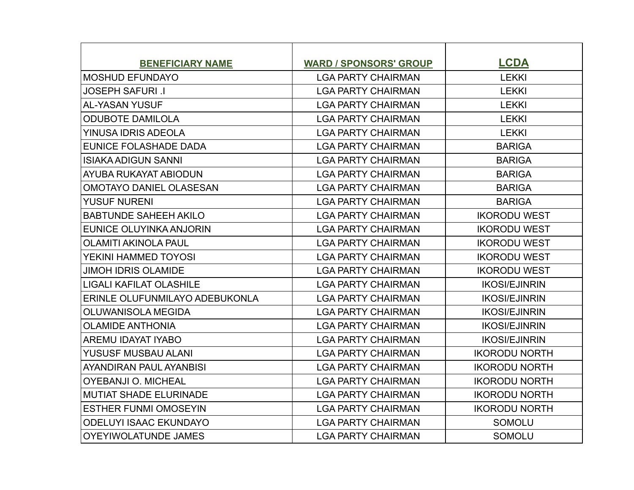| <b>BENEFICIARY NAME</b>        | <b>WARD / SPONSORS' GROUP</b> | <b>LCDA</b>          |
|--------------------------------|-------------------------------|----------------------|
| <b>MOSHUD EFUNDAYO</b>         | <b>LGA PARTY CHAIRMAN</b>     | <b>LEKKI</b>         |
| <b>JOSEPH SAFURI .I</b>        | <b>LGA PARTY CHAIRMAN</b>     | <b>LEKKI</b>         |
| <b>AL-YASAN YUSUF</b>          | <b>LGA PARTY CHAIRMAN</b>     | <b>LEKKI</b>         |
| <b>ODUBOTE DAMILOLA</b>        | <b>LGA PARTY CHAIRMAN</b>     | <b>LEKKI</b>         |
| YINUSA IDRIS ADEOLA            | <b>LGA PARTY CHAIRMAN</b>     | <b>LEKKI</b>         |
| EUNICE FOLASHADE DADA          | <b>LGA PARTY CHAIRMAN</b>     | <b>BARIGA</b>        |
| <b>ISIAKA ADIGUN SANNI</b>     | <b>LGA PARTY CHAIRMAN</b>     | <b>BARIGA</b>        |
| AYUBA RUKAYAT ABIODUN          | <b>LGA PARTY CHAIRMAN</b>     | <b>BARIGA</b>        |
| OMOTAYO DANIEL OLASESAN        | <b>LGA PARTY CHAIRMAN</b>     | <b>BARIGA</b>        |
| <b>YUSUF NURENI</b>            | <b>LGA PARTY CHAIRMAN</b>     | <b>BARIGA</b>        |
| <b>BABTUNDE SAHEEH AKILO</b>   | <b>LGA PARTY CHAIRMAN</b>     | <b>IKORODU WEST</b>  |
| EUNICE OLUYINKA ANJORIN        | <b>LGA PARTY CHAIRMAN</b>     | <b>IKORODU WEST</b>  |
| <b>OLAMITI AKINOLA PAUL</b>    | <b>LGA PARTY CHAIRMAN</b>     | <b>IKORODU WEST</b>  |
| YEKINI HAMMED TOYOSI           | <b>LGA PARTY CHAIRMAN</b>     | <b>IKORODU WEST</b>  |
| <b>JIMOH IDRIS OLAMIDE</b>     | <b>LGA PARTY CHAIRMAN</b>     | <b>IKORODU WEST</b>  |
| <b>LIGALI KAFILAT OLASHILE</b> | <b>LGA PARTY CHAIRMAN</b>     | <b>IKOSI/EJINRIN</b> |
| ERINLE OLUFUNMILAYO ADEBUKONLA | <b>LGA PARTY CHAIRMAN</b>     | <b>IKOSI/EJINRIN</b> |
| <b>OLUWANISOLA MEGIDA</b>      | <b>LGA PARTY CHAIRMAN</b>     | <b>IKOSI/EJINRIN</b> |
| <b>OLAMIDE ANTHONIA</b>        | <b>LGA PARTY CHAIRMAN</b>     | <b>IKOSI/EJINRIN</b> |
| AREMU IDAYAT IYABO             | <b>LGA PARTY CHAIRMAN</b>     | <b>IKOSI/EJINRIN</b> |
| YUSUSF MUSBAU ALANI            | <b>LGA PARTY CHAIRMAN</b>     | <b>IKORODU NORTH</b> |
| <b>AYANDIRAN PAUL AYANBISI</b> | <b>LGA PARTY CHAIRMAN</b>     | <b>IKORODU NORTH</b> |
| <b>OYEBANJI O. MICHEAL</b>     | <b>LGA PARTY CHAIRMAN</b>     | <b>IKORODU NORTH</b> |
| <b>MUTIAT SHADE ELURINADE</b>  | <b>LGA PARTY CHAIRMAN</b>     | <b>IKORODU NORTH</b> |
| <b>ESTHER FUNMI OMOSEYIN</b>   | <b>LGA PARTY CHAIRMAN</b>     | <b>IKORODU NORTH</b> |
| <b>ODELUYI ISAAC EKUNDAYO</b>  | <b>LGA PARTY CHAIRMAN</b>     | <b>SOMOLU</b>        |
| <b>OYEYIWOLATUNDE JAMES</b>    | <b>LGA PARTY CHAIRMAN</b>     | <b>SOMOLU</b>        |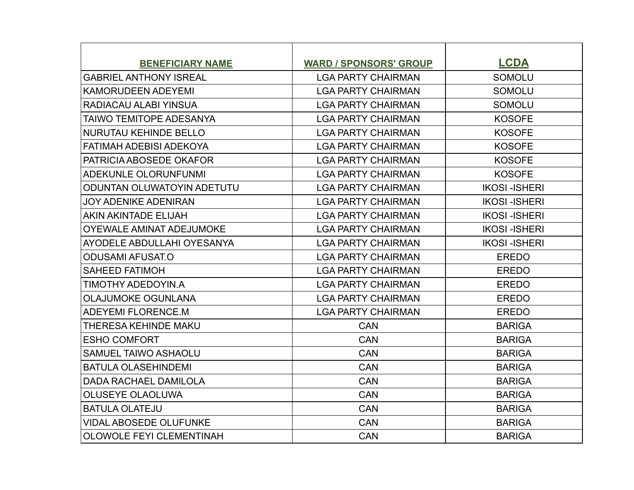| <b>BENEFICIARY NAME</b>           | <b>WARD / SPONSORS' GROUP</b> | <b>LCDA</b>         |
|-----------------------------------|-------------------------------|---------------------|
| <b>GABRIEL ANTHONY ISREAL</b>     | <b>LGA PARTY CHAIRMAN</b>     | <b>SOMOLU</b>       |
| <b>KAMORUDEEN ADEYEMI</b>         | <b>LGA PARTY CHAIRMAN</b>     | <b>SOMOLU</b>       |
| RADIACAU ALABI YINSUA             | <b>LGA PARTY CHAIRMAN</b>     | <b>SOMOLU</b>       |
| <b>TAIWO TEMITOPE ADESANYA</b>    | <b>LGA PARTY CHAIRMAN</b>     | <b>KOSOFE</b>       |
| <b>NURUTAU KEHINDE BELLO</b>      | <b>LGA PARTY CHAIRMAN</b>     | <b>KOSOFE</b>       |
| <b>FATIMAH ADEBISI ADEKOYA</b>    | <b>LGA PARTY CHAIRMAN</b>     | <b>KOSOFE</b>       |
| PATRICIA ABOSEDE OKAFOR           | <b>LGA PARTY CHAIRMAN</b>     | <b>KOSOFE</b>       |
| ADEKUNLE OLORUNFUNMI              | <b>LGA PARTY CHAIRMAN</b>     | <b>KOSOFE</b>       |
| <b>ODUNTAN OLUWATOYIN ADETUTU</b> | <b>LGA PARTY CHAIRMAN</b>     | <b>IKOSI-ISHERI</b> |
| <b>JOY ADENIKE ADENIRAN</b>       | <b>LGA PARTY CHAIRMAN</b>     | <b>IKOSI-ISHERI</b> |
| AKIN AKINTADE ELIJAH              | <b>LGA PARTY CHAIRMAN</b>     | <b>IKOSI-ISHERI</b> |
| <b>OYEWALE AMINAT ADEJUMOKE</b>   | <b>LGA PARTY CHAIRMAN</b>     | <b>IKOSI-ISHERI</b> |
| AYODELE ABDULLAHI OYESANYA        | <b>LGA PARTY CHAIRMAN</b>     | <b>IKOSI-ISHERI</b> |
| <b>ODUSAMI AFUSAT.O</b>           | <b>LGA PARTY CHAIRMAN</b>     | <b>EREDO</b>        |
| <b>SAHEED FATIMOH</b>             | <b>LGA PARTY CHAIRMAN</b>     | <b>EREDO</b>        |
| TIMOTHY ADEDOYIN.A                | <b>LGA PARTY CHAIRMAN</b>     | <b>EREDO</b>        |
| <b>OLAJUMOKE OGUNLANA</b>         | <b>LGA PARTY CHAIRMAN</b>     | <b>EREDO</b>        |
| <b>ADEYEMI FLORENCE.M</b>         | <b>LGA PARTY CHAIRMAN</b>     | <b>EREDO</b>        |
| THERESA KEHINDE MAKU              | <b>CAN</b>                    | <b>BARIGA</b>       |
| <b>ESHO COMFORT</b>               | <b>CAN</b>                    | <b>BARIGA</b>       |
| SAMUEL TAIWO ASHAOLU              | <b>CAN</b>                    | <b>BARIGA</b>       |
| <b>BATULA OLASEHINDEMI</b>        | <b>CAN</b>                    | <b>BARIGA</b>       |
| <b>DADA RACHAEL DAMILOLA</b>      | <b>CAN</b>                    | <b>BARIGA</b>       |
| <b>OLUSEYE OLAOLUWA</b>           | <b>CAN</b>                    | <b>BARIGA</b>       |
| <b>BATULA OLATEJU</b>             | <b>CAN</b>                    | <b>BARIGA</b>       |
| <b>VIDAL ABOSEDE OLUFUNKE</b>     | CAN                           | <b>BARIGA</b>       |
| <b>OLOWOLE FEYI CLEMENTINAH</b>   | <b>CAN</b>                    | <b>BARIGA</b>       |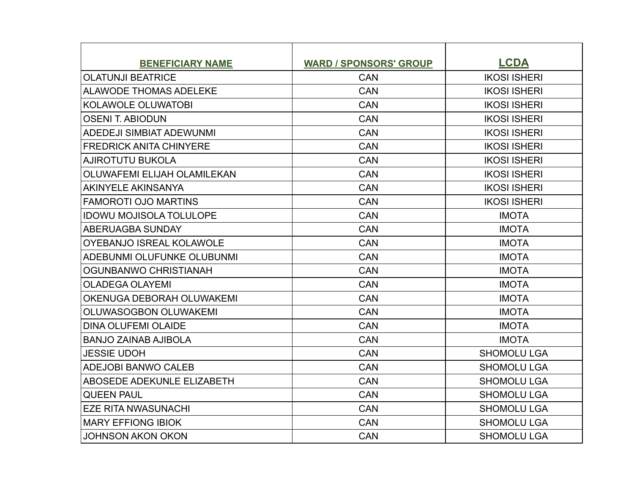| <b>BENEFICIARY NAME</b>           | <b>WARD / SPONSORS' GROUP</b> | <b>LCDA</b>         |
|-----------------------------------|-------------------------------|---------------------|
| <b>OLATUNJI BEATRICE</b>          | <b>CAN</b>                    | <b>IKOSI ISHERI</b> |
| <b>ALAWODE THOMAS ADELEKE</b>     | CAN                           | <b>IKOSI ISHERI</b> |
| <b>KOLAWOLE OLUWATOBI</b>         | <b>CAN</b>                    | <b>IKOSI ISHERI</b> |
| <b>OSENI T. ABIODUN</b>           | <b>CAN</b>                    | <b>IKOSI ISHERI</b> |
| <b>ADEDEJI SIMBIAT ADEWUNMI</b>   | <b>CAN</b>                    | <b>IKOSI ISHERI</b> |
| <b>FREDRICK ANITA CHINYERE</b>    | <b>CAN</b>                    | <b>IKOSI ISHERI</b> |
| <b>AJIROTUTU BUKOLA</b>           | <b>CAN</b>                    | <b>IKOSI ISHERI</b> |
| OLUWAFEMI ELIJAH OLAMILEKAN       | <b>CAN</b>                    | <b>IKOSI ISHERI</b> |
| <b>AKINYELE AKINSANYA</b>         | <b>CAN</b>                    | <b>IKOSI ISHERI</b> |
| FAMOROTI OJO MARTINS              | <b>CAN</b>                    | <b>IKOSI ISHERI</b> |
| <b>IDOWU MOJISOLA TOLULOPE</b>    | <b>CAN</b>                    | <b>IMOTA</b>        |
| ABERUAGBA SUNDAY                  | <b>CAN</b>                    | <b>IMOTA</b>        |
| <b>OYEBANJO ISREAL KOLAWOLE</b>   | <b>CAN</b>                    | <b>IMOTA</b>        |
| ADEBUNMI OLUFUNKE OLUBUNMI        | <b>CAN</b>                    | <b>IMOTA</b>        |
| OGUNBANWO CHRISTIANAH             | <b>CAN</b>                    | <b>IMOTA</b>        |
| <b>OLADEGA OLAYEMI</b>            | <b>CAN</b>                    | <b>IMOTA</b>        |
| OKENUGA DEBORAH OLUWAKEMI         | <b>CAN</b>                    | <b>IMOTA</b>        |
| OLUWASOGBON OLUWAKEMI             | <b>CAN</b>                    | <b>IMOTA</b>        |
| <b>DINA OLUFEMI OLAIDE</b>        | <b>CAN</b>                    | <b>IMOTA</b>        |
| <b>BANJO ZAINAB AJIBOLA</b>       | <b>CAN</b>                    | <b>IMOTA</b>        |
| <b>JESSIE UDOH</b>                | <b>CAN</b>                    | <b>SHOMOLU LGA</b>  |
| <b>ADEJOBI BANWO CALEB</b>        | <b>CAN</b>                    | <b>SHOMOLU LGA</b>  |
| <b>ABOSEDE ADEKUNLE ELIZABETH</b> | <b>CAN</b>                    | <b>SHOMOLU LGA</b>  |
| <b>QUEEN PAUL</b>                 | <b>CAN</b>                    | <b>SHOMOLU LGA</b>  |
| <b>EZE RITA NWASUNACHI</b>        | <b>CAN</b>                    | <b>SHOMOLU LGA</b>  |
| <b>MARY EFFIONG IBIOK</b>         | CAN                           | <b>SHOMOLU LGA</b>  |
| <b>JOHNSON AKON OKON</b>          | <b>CAN</b>                    | <b>SHOMOLU LGA</b>  |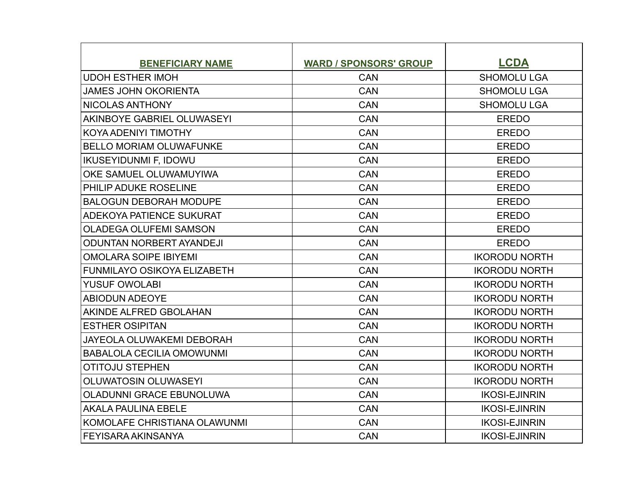| <b>BENEFICIARY NAME</b>            | <b>WARD / SPONSORS' GROUP</b> | <b>LCDA</b>          |
|------------------------------------|-------------------------------|----------------------|
| <b>UDOH ESTHER IMOH</b>            | <b>CAN</b>                    | <b>SHOMOLU LGA</b>   |
| <b>JAMES JOHN OKORIENTA</b>        | <b>CAN</b>                    | <b>SHOMOLU LGA</b>   |
| NICOLAS ANTHONY                    | <b>CAN</b>                    | <b>SHOMOLU LGA</b>   |
| AKINBOYE GABRIEL OLUWASEYI         | <b>CAN</b>                    | <b>EREDO</b>         |
| KOYA ADENIYI TIMOTHY               | <b>CAN</b>                    | <b>EREDO</b>         |
| <b>BELLO MORIAM OLUWAFUNKE</b>     | <b>CAN</b>                    | <b>EREDO</b>         |
| <b>IKUSEYIDUNMI F, IDOWU</b>       | <b>CAN</b>                    | <b>EREDO</b>         |
| OKE SAMUEL OLUWAMUYIWA             | CAN                           | <b>EREDO</b>         |
| PHILIP ADUKE ROSELINE              | <b>CAN</b>                    | <b>EREDO</b>         |
| <b>BALOGUN DEBORAH MODUPE</b>      | <b>CAN</b>                    | <b>EREDO</b>         |
| ADEKOYA PATIENCE SUKURAT           | <b>CAN</b>                    | <b>EREDO</b>         |
| <b>OLADEGA OLUFEMI SAMSON</b>      | <b>CAN</b>                    | <b>EREDO</b>         |
| <b>ODUNTAN NORBERT AYANDEJI</b>    | <b>CAN</b>                    | <b>EREDO</b>         |
| <b>OMOLARA SOIPE IBIYEMI</b>       | <b>CAN</b>                    | <b>IKORODU NORTH</b> |
| <b>FUNMILAYO OSIKOYA ELIZABETH</b> | CAN                           | <b>IKORODU NORTH</b> |
| <b>YUSUF OWOLABI</b>               | <b>CAN</b>                    | <b>IKORODU NORTH</b> |
| <b>ABIODUN ADEOYE</b>              | <b>CAN</b>                    | <b>IKORODU NORTH</b> |
| AKINDE ALFRED GBOLAHAN             | <b>CAN</b>                    | <b>IKORODU NORTH</b> |
| <b>ESTHER OSIPITAN</b>             | <b>CAN</b>                    | <b>IKORODU NORTH</b> |
| <b>JAYEOLA OLUWAKEMI DEBORAH</b>   | <b>CAN</b>                    | <b>IKORODU NORTH</b> |
| <b>BABALOLA CECILIA OMOWUNMI</b>   | <b>CAN</b>                    | <b>IKORODU NORTH</b> |
| <b>OTITOJU STEPHEN</b>             | <b>CAN</b>                    | <b>IKORODU NORTH</b> |
| <b>OLUWATOSIN OLUWASEYI</b>        | <b>CAN</b>                    | <b>IKORODU NORTH</b> |
| <b>OLADUNNI GRACE EBUNOLUWA</b>    | <b>CAN</b>                    | <b>IKOSI-EJINRIN</b> |
| <b>AKALA PAULINA EBELE</b>         | <b>CAN</b>                    | <b>IKOSI-EJINRIN</b> |
| KOMOLAFE CHRISTIANA OLAWUNMI       | <b>CAN</b>                    | <b>IKOSI-EJINRIN</b> |
| FEYISARA AKINSANYA                 | <b>CAN</b>                    | <b>IKOSI-EJINRIN</b> |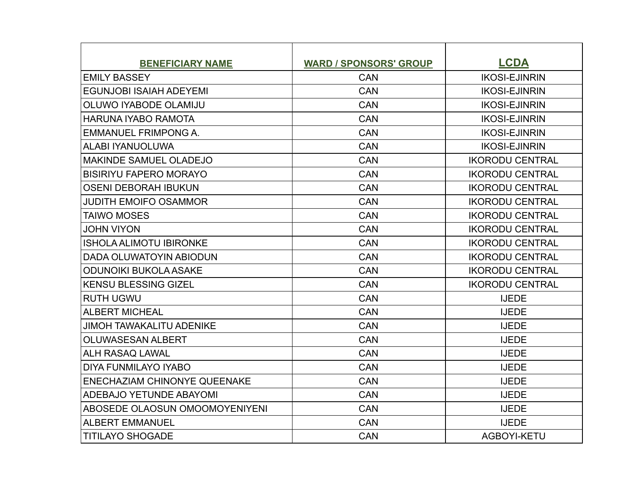| <b>BENEFICIARY NAME</b>               | <b>WARD / SPONSORS' GROUP</b> | <b>LCDA</b>            |
|---------------------------------------|-------------------------------|------------------------|
| <b>EMILY BASSEY</b>                   | <b>CAN</b>                    | <b>IKOSI-EJINRIN</b>   |
| <b>EGUNJOBI ISAIAH ADEYEMI</b>        | <b>CAN</b>                    | <b>IKOSI-EJINRIN</b>   |
| OLUWO IYABODE OLAMIJU                 | CAN                           | <b>IKOSI-EJINRIN</b>   |
| <b>HARUNA IYABO RAMOTA</b>            | <b>CAN</b>                    | <b>IKOSI-EJINRIN</b>   |
| <b>EMMANUEL FRIMPONG A.</b>           | <b>CAN</b>                    | <b>IKOSI-EJINRIN</b>   |
| ALABI IYANUOLUWA                      | <b>CAN</b>                    | <b>IKOSI-EJINRIN</b>   |
| <b>MAKINDE SAMUEL OLADEJO</b>         | <b>CAN</b>                    | <b>IKORODU CENTRAL</b> |
| <b>BISIRIYU FAPERO MORAYO</b>         | CAN                           | <b>IKORODU CENTRAL</b> |
| <b>OSENI DEBORAH IBUKUN</b>           | <b>CAN</b>                    | <b>IKORODU CENTRAL</b> |
| <b>JUDITH EMOIFO OSAMMOR</b>          | <b>CAN</b>                    | <b>IKORODU CENTRAL</b> |
| <b>TAIWO MOSES</b>                    | <b>CAN</b>                    | <b>IKORODU CENTRAL</b> |
| <b>JOHN VIYON</b>                     | <b>CAN</b>                    | <b>IKORODU CENTRAL</b> |
| <b>ISHOLA ALIMOTU IBIRONKE</b>        | CAN                           | <b>IKORODU CENTRAL</b> |
| DADA OLUWATOYIN ABIODUN               | <b>CAN</b>                    | <b>IKORODU CENTRAL</b> |
| <b>ODUNOIKI BUKOLA ASAKE</b>          | <b>CAN</b>                    | <b>IKORODU CENTRAL</b> |
| <b>KENSU BLESSING GIZEL</b>           | <b>CAN</b>                    | <b>IKORODU CENTRAL</b> |
| <b>RUTH UGWU</b>                      | <b>CAN</b>                    | <b>IJEDE</b>           |
| <b>ALBERT MICHEAL</b>                 | <b>CAN</b>                    | <b>IJEDE</b>           |
| <b>JIMOH TAWAKALITU ADENIKE</b>       | <b>CAN</b>                    | <b>IJEDE</b>           |
| <b>OLUWASESAN ALBERT</b>              | <b>CAN</b>                    | <b>IJEDE</b>           |
| <b>ALH RASAQ LAWAL</b>                | <b>CAN</b>                    | <b>IJEDE</b>           |
| <b>DIYA FUNMILAYO IYABO</b>           | <b>CAN</b>                    | <b>IJEDE</b>           |
| ENECHAZIAM CHINONYE QUEENAKE          | <b>CAN</b>                    | <b>IJEDE</b>           |
| <b>ADEBAJO YETUNDE ABAYOMI</b>        | <b>CAN</b>                    | <b>IJEDE</b>           |
| <b>ABOSEDE OLAOSUN OMOOMOYENIYENI</b> | <b>CAN</b>                    | <b>IJEDE</b>           |
| <b>ALBERT EMMANUEL</b>                | <b>CAN</b>                    | <b>IJEDE</b>           |
| <b>TITILAYO SHOGADE</b>               | <b>CAN</b>                    | AGBOYI-KETU            |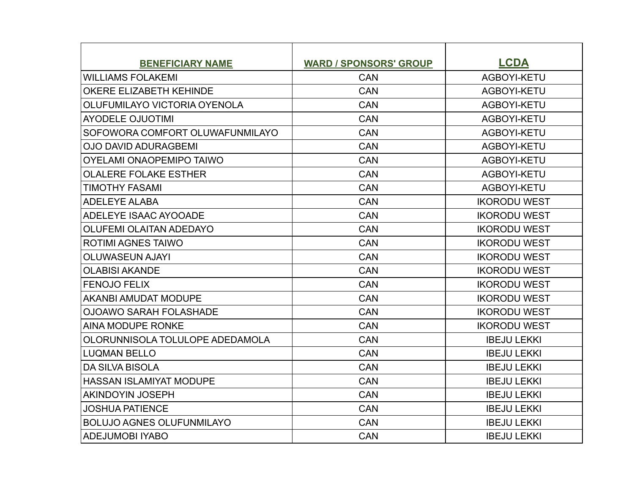| <b>BENEFICIARY NAME</b>          | <b>WARD / SPONSORS' GROUP</b> | <b>LCDA</b>         |
|----------------------------------|-------------------------------|---------------------|
| <b>WILLIAMS FOLAKEMI</b>         | <b>CAN</b>                    | AGBOYI-KETU         |
| <b>OKERE ELIZABETH KEHINDE</b>   | <b>CAN</b>                    | AGBOYI-KETU         |
| OLUFUMILAYO VICTORIA OYENOLA     | <b>CAN</b>                    | AGBOYI-KETU         |
| <b>AYODELE OJUOTIMI</b>          | <b>CAN</b>                    | AGBOYI-KETU         |
| SOFOWORA COMFORT OLUWAFUNMILAYO  | CAN                           | AGBOYI-KETU         |
| <b>OJO DAVID ADURAGBEMI</b>      | <b>CAN</b>                    | AGBOYI-KETU         |
| <b>OYELAMI ONAOPEMIPO TAIWO</b>  | <b>CAN</b>                    | AGBOYI-KETU         |
| <b>OLALERE FOLAKE ESTHER</b>     | CAN                           | AGBOYI-KETU         |
| <b>TIMOTHY FASAMI</b>            | <b>CAN</b>                    | AGBOYI-KETU         |
| <b>ADELEYE ALABA</b>             | <b>CAN</b>                    | <b>IKORODU WEST</b> |
| ADELEYE ISAAC AYOOADE            | <b>CAN</b>                    | <b>IKORODU WEST</b> |
| OLUFEMI OLAITAN ADEDAYO          | CAN                           | <b>IKORODU WEST</b> |
| <b>ROTIMI AGNES TAIWO</b>        | <b>CAN</b>                    | <b>IKORODU WEST</b> |
| <b>OLUWASEUN AJAYI</b>           | <b>CAN</b>                    | <b>IKORODU WEST</b> |
| <b>OLABISI AKANDE</b>            | CAN                           | <b>IKORODU WEST</b> |
| <b>FENOJO FELIX</b>              | <b>CAN</b>                    | <b>IKORODU WEST</b> |
| <b>AKANBI AMUDAT MODUPE</b>      | <b>CAN</b>                    | <b>IKORODU WEST</b> |
| <b>OJOAWO SARAH FOLASHADE</b>    | <b>CAN</b>                    | <b>IKORODU WEST</b> |
| AINA MODUPE RONKE                | <b>CAN</b>                    | <b>IKORODU WEST</b> |
| OLORUNNISOLA TOLULOPE ADEDAMOLA  | <b>CAN</b>                    | <b>IBEJU LEKKI</b>  |
| <b>LUQMAN BELLO</b>              | <b>CAN</b>                    | <b>IBEJU LEKKI</b>  |
| <b>DA SILVA BISOLA</b>           | <b>CAN</b>                    | <b>IBEJU LEKKI</b>  |
| <b>HASSAN ISLAMIYAT MODUPE</b>   | <b>CAN</b>                    | <b>IBEJU LEKKI</b>  |
| <b>AKINDOYIN JOSEPH</b>          | <b>CAN</b>                    | <b>IBEJU LEKKI</b>  |
| <b>JOSHUA PATIENCE</b>           | <b>CAN</b>                    | <b>IBEJU LEKKI</b>  |
| <b>BOLUJO AGNES OLUFUNMILAYO</b> | <b>CAN</b>                    | <b>IBEJU LEKKI</b>  |
| <b>ADEJUMOBI IYABO</b>           | <b>CAN</b>                    | <b>IBEJU LEKKI</b>  |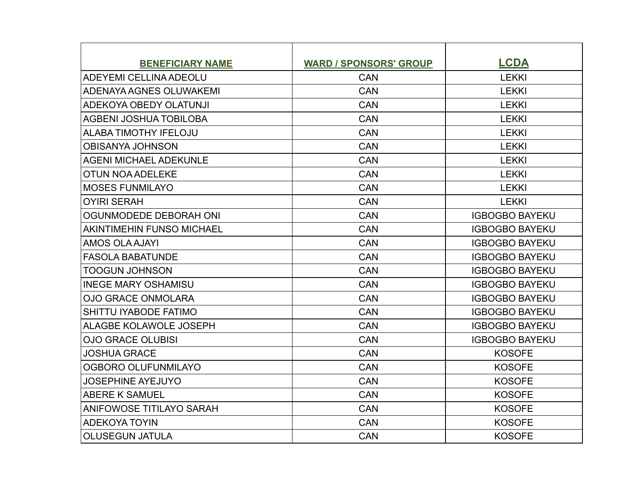| <b>BENEFICIARY NAME</b>         | <b>WARD / SPONSORS' GROUP</b> | <b>LCDA</b>           |
|---------------------------------|-------------------------------|-----------------------|
| <b>ADEYEMI CELLINA ADEOLU</b>   | <b>CAN</b>                    | <b>LEKKI</b>          |
| <b>ADENAYA AGNES OLUWAKEMI</b>  | <b>CAN</b>                    | <b>LEKKI</b>          |
| ADEKOYA OBEDY OLATUNJI          | <b>CAN</b>                    | <b>LEKKI</b>          |
| AGBENI JOSHUA TOBILOBA          | <b>CAN</b>                    | <b>LEKKI</b>          |
| <b>ALABA TIMOTHY IFELOJU</b>    | <b>CAN</b>                    | <b>LEKKI</b>          |
| <b>OBISANYA JOHNSON</b>         | CAN                           | <b>LEKKI</b>          |
| <b>AGENI MICHAEL ADEKUNLE</b>   | <b>CAN</b>                    | <b>LEKKI</b>          |
| <b>OTUN NOA ADELEKE</b>         | <b>CAN</b>                    | <b>LEKKI</b>          |
| <b>MOSES FUNMILAYO</b>          | <b>CAN</b>                    | <b>LEKKI</b>          |
| <b>OYIRI SERAH</b>              | <b>CAN</b>                    | <b>LEKKI</b>          |
| OGUNMODEDE DEBORAH ONI          | <b>CAN</b>                    | <b>IGBOGBO BAYEKU</b> |
| AKINTIMEHIN FUNSO MICHAEL       | <b>CAN</b>                    | <b>IGBOGBO BAYEKU</b> |
| <b>AMOS OLA AJAYI</b>           | <b>CAN</b>                    | <b>IGBOGBO BAYEKU</b> |
| <b>FASOLA BABATUNDE</b>         | <b>CAN</b>                    | <b>IGBOGBO BAYEKU</b> |
| <b>TOOGUN JOHNSON</b>           | <b>CAN</b>                    | <b>IGBOGBO BAYEKU</b> |
| <b>INEGE MARY OSHAMISU</b>      | <b>CAN</b>                    | <b>IGBOGBO BAYEKU</b> |
| <b>OJO GRACE ONMOLARA</b>       | <b>CAN</b>                    | <b>IGBOGBO BAYEKU</b> |
| SHITTU IYABODE FATIMO           | <b>CAN</b>                    | <b>IGBOGBO BAYEKU</b> |
| ALAGBE KOLAWOLE JOSEPH          | <b>CAN</b>                    | <b>IGBOGBO BAYEKU</b> |
| <b>OJO GRACE OLUBISI</b>        | <b>CAN</b>                    | <b>IGBOGBO BAYEKU</b> |
| <b>JOSHUA GRACE</b>             | <b>CAN</b>                    | <b>KOSOFE</b>         |
| OGBORO OLUFUNMILAYO             | <b>CAN</b>                    | <b>KOSOFE</b>         |
| <b>JOSEPHINE AYEJUYO</b>        | <b>CAN</b>                    | <b>KOSOFE</b>         |
| <b>ABERE K SAMUEL</b>           | <b>CAN</b>                    | <b>KOSOFE</b>         |
| <b>ANIFOWOSE TITILAYO SARAH</b> | <b>CAN</b>                    | <b>KOSOFE</b>         |
| <b>ADEKOYA TOYIN</b>            | <b>CAN</b>                    | <b>KOSOFE</b>         |
| <b>OLUSEGUN JATULA</b>          | <b>CAN</b>                    | <b>KOSOFE</b>         |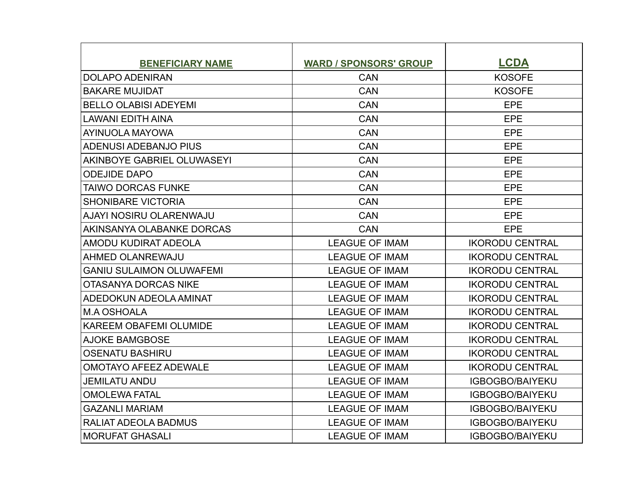| <b>BENEFICIARY NAME</b>         | <b>WARD / SPONSORS' GROUP</b> | <b>LCDA</b>            |
|---------------------------------|-------------------------------|------------------------|
| <b>DOLAPO ADENIRAN</b>          | <b>CAN</b>                    | <b>KOSOFE</b>          |
| <b>BAKARE MUJIDAT</b>           | <b>CAN</b>                    | <b>KOSOFE</b>          |
| <b>BELLO OLABISI ADEYEMI</b>    | <b>CAN</b>                    | EPE                    |
| <b>LAWANI EDITH AINA</b>        | <b>CAN</b>                    | <b>EPE</b>             |
| AYINUOLA MAYOWA                 | <b>CAN</b>                    | EPE                    |
| ADENUSI ADEBANJO PIUS           | <b>CAN</b>                    | <b>EPE</b>             |
| AKINBOYE GABRIEL OLUWASEYI      | <b>CAN</b>                    | EPE                    |
| <b>ODEJIDE DAPO</b>             | CAN                           | <b>EPE</b>             |
| TAIWO DORCAS FUNKE              | <b>CAN</b>                    | <b>EPE</b>             |
| <b>SHONIBARE VICTORIA</b>       | <b>CAN</b>                    | EPE                    |
| AJAYI NOSIRU OLARENWAJU         | <b>CAN</b>                    | <b>EPE</b>             |
| AKINSANYA OLABANKE DORCAS       | <b>CAN</b>                    | <b>EPE</b>             |
| AMODU KUDIRAT ADEOLA            | <b>LEAGUE OF IMAM</b>         | <b>IKORODU CENTRAL</b> |
| AHMED OLANREWAJU                | <b>LEAGUE OF IMAM</b>         | <b>IKORODU CENTRAL</b> |
| <b>GANIU SULAIMON OLUWAFEMI</b> | <b>LEAGUE OF IMAM</b>         | <b>IKORODU CENTRAL</b> |
| <b>OTASANYA DORCAS NIKE</b>     | <b>LEAGUE OF IMAM</b>         | <b>IKORODU CENTRAL</b> |
| ADEDOKUN ADEOLA AMINAT          | <b>LEAGUE OF IMAM</b>         | <b>IKORODU CENTRAL</b> |
| <b>M.A OSHOALA</b>              | <b>LEAGUE OF IMAM</b>         | <b>IKORODU CENTRAL</b> |
| <b>KAREEM OBAFEMI OLUMIDE</b>   | <b>LEAGUE OF IMAM</b>         | <b>IKORODU CENTRAL</b> |
| <b>AJOKE BAMGBOSE</b>           | <b>LEAGUE OF IMAM</b>         | <b>IKORODU CENTRAL</b> |
| <b>OSENATU BASHIRU</b>          | <b>LEAGUE OF IMAM</b>         | <b>IKORODU CENTRAL</b> |
| <b>OMOTAYO AFEEZ ADEWALE</b>    | <b>LEAGUE OF IMAM</b>         | <b>IKORODU CENTRAL</b> |
| <b>JEMILATU ANDU</b>            | <b>LEAGUE OF IMAM</b>         | <b>IGBOGBO/BAIYEKU</b> |
| <b>OMOLEWA FATAL</b>            | <b>LEAGUE OF IMAM</b>         | <b>IGBOGBO/BAIYEKU</b> |
| <b>GAZANLI MARIAM</b>           | <b>LEAGUE OF IMAM</b>         | <b>IGBOGBO/BAIYEKU</b> |
| <b>RALIAT ADEOLA BADMUS</b>     | <b>LEAGUE OF IMAM</b>         | <b>IGBOGBO/BAIYEKU</b> |
| <b>MORUFAT GHASALI</b>          | <b>LEAGUE OF IMAM</b>         | <b>IGBOGBO/BAIYEKU</b> |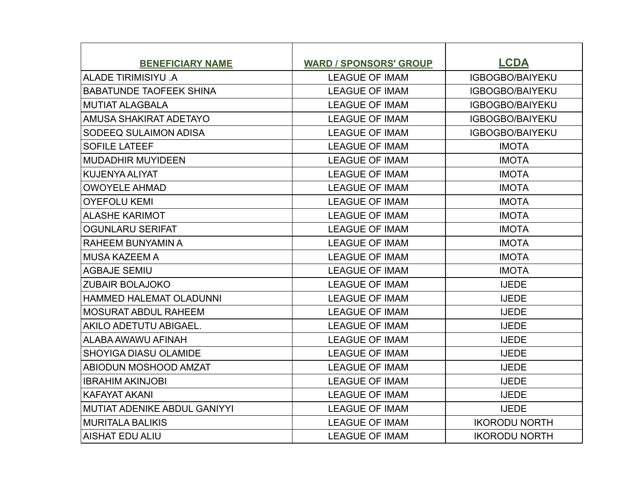| <b>BENEFICIARY NAME</b>             | <b>WARD / SPONSORS' GROUP</b> | <b>LCDA</b>            |
|-------------------------------------|-------------------------------|------------------------|
| ALADE TIRIMISIYU .A                 | <b>LEAGUE OF IMAM</b>         | <b>IGBOGBO/BAIYEKU</b> |
| <b>BABATUNDE TAOFEEK SHINA</b>      | <b>LEAGUE OF IMAM</b>         | <b>IGBOGBO/BAIYEKU</b> |
| <b>MUTIAT ALAGBALA</b>              | <b>LEAGUE OF IMAM</b>         | <b>IGBOGBO/BAIYEKU</b> |
| AMUSA SHAKIRAT ADETAYO              | <b>LEAGUE OF IMAM</b>         | <b>IGBOGBO/BAIYEKU</b> |
| SODEEQ SULAIMON ADISA               | <b>LEAGUE OF IMAM</b>         | <b>IGBOGBO/BAIYEKU</b> |
| <b>SOFILE LATEEF</b>                | <b>LEAGUE OF IMAM</b>         | <b>IMOTA</b>           |
| <b>MUDADHIR MUYIDEEN</b>            | <b>LEAGUE OF IMAM</b>         | <b>IMOTA</b>           |
| <b>KUJENYA ALIYAT</b>               | <b>LEAGUE OF IMAM</b>         | <b>IMOTA</b>           |
| <b>OWOYELE AHMAD</b>                | <b>LEAGUE OF IMAM</b>         | <b>IMOTA</b>           |
| <b>OYEFOLU KEMI</b>                 | <b>LEAGUE OF IMAM</b>         | <b>IMOTA</b>           |
| <b>ALASHE KARIMOT</b>               | <b>LEAGUE OF IMAM</b>         | <b>IMOTA</b>           |
| <b>OGUNLARU SERIFAT</b>             | <b>LEAGUE OF IMAM</b>         | <b>IMOTA</b>           |
| RAHEEM BUNYAMIN A                   | <b>LEAGUE OF IMAM</b>         | <b>IMOTA</b>           |
| <b>MUSA KAZEEM A</b>                | <b>LEAGUE OF IMAM</b>         | <b>IMOTA</b>           |
| <b>AGBAJE SEMIU</b>                 | <b>LEAGUE OF IMAM</b>         | <b>IMOTA</b>           |
| <b>ZUBAIR BOLAJOKO</b>              | <b>LEAGUE OF IMAM</b>         | <b>IJEDE</b>           |
| <b>HAMMED HALEMAT OLADUNNI</b>      | <b>LEAGUE OF IMAM</b>         | <b>IJEDE</b>           |
| <b>MOSURAT ABDUL RAHEEM</b>         | <b>LEAGUE OF IMAM</b>         | <b>IJEDE</b>           |
| AKILO ADETUTU ABIGAEL.              | <b>LEAGUE OF IMAM</b>         | <b>IJEDE</b>           |
| ALABA AWAWU AFINAH                  | <b>LEAGUE OF IMAM</b>         | <b>IJEDE</b>           |
| <b>SHOYIGA DIASU OLAMIDE</b>        | <b>LEAGUE OF IMAM</b>         | <b>IJEDE</b>           |
| <b>ABIODUN MOSHOOD AMZAT</b>        | <b>LEAGUE OF IMAM</b>         | <b>IJEDE</b>           |
| <b>IBRAHIM AKINJOBI</b>             | <b>LEAGUE OF IMAM</b>         | <b>IJEDE</b>           |
| <b>KAFAYAT AKANI</b>                | <b>LEAGUE OF IMAM</b>         | <b>IJEDE</b>           |
| <b>MUTIAT ADENIKE ABDUL GANIYYI</b> | <b>LEAGUE OF IMAM</b>         | <b>IJEDE</b>           |
| <b>MURITALA BALIKIS</b>             | <b>LEAGUE OF IMAM</b>         | <b>IKORODU NORTH</b>   |
| <b>AISHAT EDU ALIU</b>              | <b>LEAGUE OF IMAM</b>         | <b>IKORODU NORTH</b>   |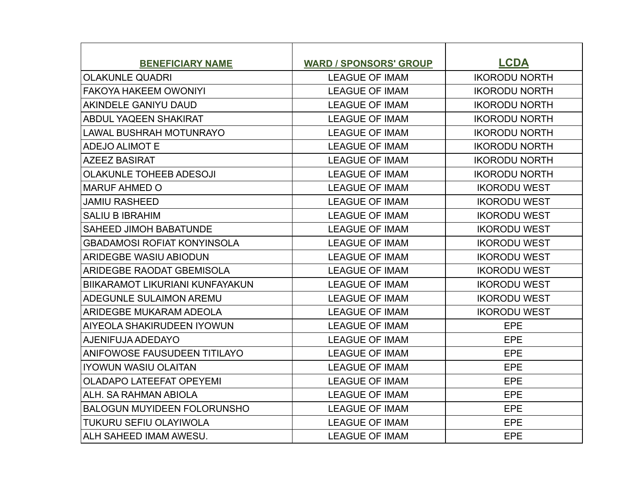| <b>BENEFICIARY NAME</b>            | <b>WARD / SPONSORS' GROUP</b> | <b>LCDA</b>          |
|------------------------------------|-------------------------------|----------------------|
| <b>OLAKUNLE QUADRI</b>             | <b>LEAGUE OF IMAM</b>         | <b>IKORODU NORTH</b> |
| <b>FAKOYA HAKEEM OWONIYI</b>       | <b>LEAGUE OF IMAM</b>         | <b>IKORODU NORTH</b> |
| <b>AKINDELE GANIYU DAUD</b>        | <b>LEAGUE OF IMAM</b>         | <b>IKORODU NORTH</b> |
| ABDUL YAQEEN SHAKIRAT              | <b>LEAGUE OF IMAM</b>         | <b>IKORODU NORTH</b> |
| <b>LAWAL BUSHRAH MOTUNRAYO</b>     | <b>LEAGUE OF IMAM</b>         | <b>IKORODU NORTH</b> |
| <b>ADEJO ALIMOT E</b>              | <b>LEAGUE OF IMAM</b>         | <b>IKORODU NORTH</b> |
| <b>AZEEZ BASIRAT</b>               | <b>LEAGUE OF IMAM</b>         | <b>IKORODU NORTH</b> |
| <b>OLAKUNLE TOHEEB ADESOJI</b>     | <b>LEAGUE OF IMAM</b>         | <b>IKORODU NORTH</b> |
| <b>MARUF AHMED O</b>               | <b>LEAGUE OF IMAM</b>         | <b>IKORODU WEST</b>  |
| <b>JAMIU RASHEED</b>               | <b>LEAGUE OF IMAM</b>         | <b>IKORODU WEST</b>  |
| <b>SALIU B IBRAHIM</b>             | <b>LEAGUE OF IMAM</b>         | <b>IKORODU WEST</b>  |
| <b>SAHEED JIMOH BABATUNDE</b>      | <b>LEAGUE OF IMAM</b>         | <b>IKORODU WEST</b>  |
| <b>GBADAMOSI ROFIAT KONYINSOLA</b> | <b>LEAGUE OF IMAM</b>         | <b>IKORODU WEST</b>  |
| <b>ARIDEGBE WASIU ABIODUN</b>      | <b>LEAGUE OF IMAM</b>         | <b>IKORODU WEST</b>  |
| ARIDEGBE RAODAT GBEMISOLA          | <b>LEAGUE OF IMAM</b>         | <b>IKORODU WEST</b>  |
| BIIKARAMOT LIKURIANI KUNFAYAKUN    | <b>LEAGUE OF IMAM</b>         | <b>IKORODU WEST</b>  |
| ADEGUNLE SULAIMON AREMU            | <b>LEAGUE OF IMAM</b>         | <b>IKORODU WEST</b>  |
| ARIDEGBE MUKARAM ADEOLA            | <b>LEAGUE OF IMAM</b>         | <b>IKORODU WEST</b>  |
| AIYEOLA SHAKIRUDEEN IYOWUN         | <b>LEAGUE OF IMAM</b>         | <b>EPE</b>           |
| AJENIFUJA ADEDAYO                  | <b>LEAGUE OF IMAM</b>         | EPE                  |
| ANIFOWOSE FAUSUDEEN TITILAYO       | <b>LEAGUE OF IMAM</b>         | <b>EPE</b>           |
| <b>IYOWUN WASIU OLAITAN</b>        | <b>LEAGUE OF IMAM</b>         | <b>EPE</b>           |
| <b>OLADAPO LATEEFAT OPEYEMI</b>    | <b>LEAGUE OF IMAM</b>         | EPE                  |
| ALH. SA RAHMAN ABIOLA              | <b>LEAGUE OF IMAM</b>         | EPE                  |
| <b>BALOGUN MUYIDEEN FOLORUNSHO</b> | <b>LEAGUE OF IMAM</b>         | <b>EPE</b>           |
| <b>TUKURU SEFIU OLAYIWOLA</b>      | <b>LEAGUE OF IMAM</b>         | <b>EPE</b>           |
| ALH SAHEED IMAM AWESU.             | <b>LEAGUE OF IMAM</b>         | <b>EPE</b>           |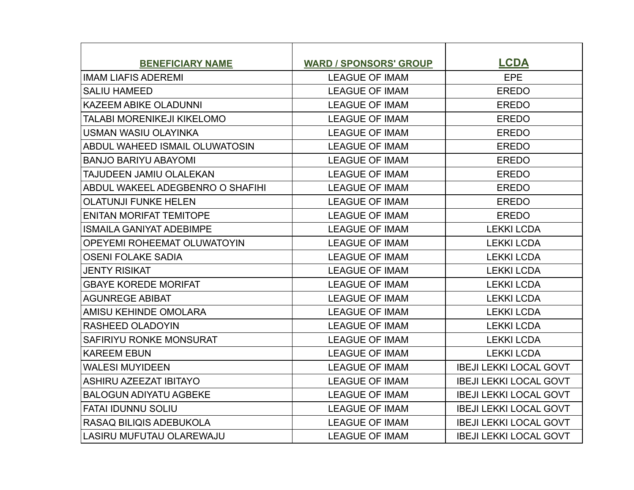| <b>BENEFICIARY NAME</b>          | <b>WARD / SPONSORS' GROUP</b> | <b>LCDA</b>                   |
|----------------------------------|-------------------------------|-------------------------------|
| <b>IMAM LIAFIS ADEREMI</b>       | <b>LEAGUE OF IMAM</b>         | <b>EPE</b>                    |
| <b>SALIU HAMEED</b>              | <b>LEAGUE OF IMAM</b>         | <b>EREDO</b>                  |
| KAZEEM ABIKE OLADUNNI            | <b>LEAGUE OF IMAM</b>         | <b>EREDO</b>                  |
| TALABI MORENIKEJI KIKELOMO       | <b>LEAGUE OF IMAM</b>         | <b>EREDO</b>                  |
| <b>USMAN WASIU OLAYINKA</b>      | <b>LEAGUE OF IMAM</b>         | <b>EREDO</b>                  |
| ABDUL WAHEED ISMAIL OLUWATOSIN   | <b>LEAGUE OF IMAM</b>         | <b>EREDO</b>                  |
| <b>BANJO BARIYU ABAYOMI</b>      | <b>LEAGUE OF IMAM</b>         | <b>EREDO</b>                  |
| TAJUDEEN JAMIU OLALEKAN          | <b>LEAGUE OF IMAM</b>         | <b>EREDO</b>                  |
| ABDUL WAKEEL ADEGBENRO O SHAFIHI | <b>LEAGUE OF IMAM</b>         | <b>EREDO</b>                  |
| <b>OLATUNJI FUNKE HELEN</b>      | <b>LEAGUE OF IMAM</b>         | <b>EREDO</b>                  |
| <b>ENITAN MORIFAT TEMITOPE</b>   | <b>LEAGUE OF IMAM</b>         | <b>EREDO</b>                  |
| <b>ISMAILA GANIYAT ADEBIMPE</b>  | <b>LEAGUE OF IMAM</b>         | <b>LEKKI LCDA</b>             |
| OPEYEMI ROHEEMAT OLUWATOYIN      | <b>LEAGUE OF IMAM</b>         | <b>LEKKI LCDA</b>             |
| <b>OSENI FOLAKE SADIA</b>        | <b>LEAGUE OF IMAM</b>         | <b>LEKKI LCDA</b>             |
| <b>JENTY RISIKAT</b>             | <b>LEAGUE OF IMAM</b>         | <b>LEKKI LCDA</b>             |
| <b>GBAYE KOREDE MORIFAT</b>      | <b>LEAGUE OF IMAM</b>         | <b>LEKKI LCDA</b>             |
| <b>AGUNREGE ABIBAT</b>           | <b>LEAGUE OF IMAM</b>         | <b>LEKKI LCDA</b>             |
| AMISU KEHINDE OMOLARA            | <b>LEAGUE OF IMAM</b>         | <b>LEKKI LCDA</b>             |
| <b>RASHEED OLADOYIN</b>          | <b>LEAGUE OF IMAM</b>         | <b>LEKKI LCDA</b>             |
| SAFIRIYU RONKE MONSURAT          | <b>LEAGUE OF IMAM</b>         | <b>LEKKI LCDA</b>             |
| <b>KAREEM EBUN</b>               | <b>LEAGUE OF IMAM</b>         | <b>LEKKI LCDA</b>             |
| <b>WALESI MUYIDEEN</b>           | <b>LEAGUE OF IMAM</b>         | <b>IBEJI LEKKI LOCAL GOVT</b> |
| <b>ASHIRU AZEEZAT IBITAYO</b>    | <b>LEAGUE OF IMAM</b>         | <b>IBEJI LEKKI LOCAL GOVT</b> |
| <b>BALOGUN ADIYATU AGBEKE</b>    | <b>LEAGUE OF IMAM</b>         | <b>IBEJI LEKKI LOCAL GOVT</b> |
| <b>FATAI IDUNNU SOLIU</b>        | <b>LEAGUE OF IMAM</b>         | <b>IBEJI LEKKI LOCAL GOVT</b> |
| RASAQ BILIQIS ADEBUKOLA          | <b>LEAGUE OF IMAM</b>         | <b>IBEJI LEKKI LOCAL GOVT</b> |
| LASIRU MUFUTAU OLAREWAJU         | <b>LEAGUE OF IMAM</b>         | <b>IBEJI LEKKI LOCAL GOVT</b> |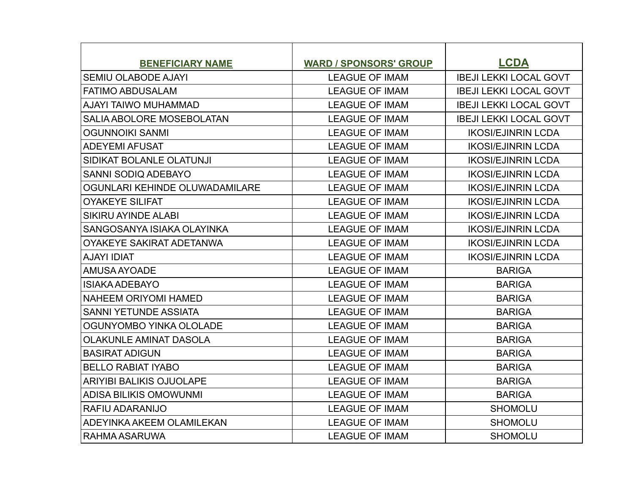| <b>BENEFICIARY NAME</b>         | <b>WARD / SPONSORS' GROUP</b> | <b>LCDA</b>                   |
|---------------------------------|-------------------------------|-------------------------------|
| <b>SEMIU OLABODE AJAYI</b>      | <b>LEAGUE OF IMAM</b>         | <b>IBEJI LEKKI LOCAL GOVT</b> |
| <b>FATIMO ABDUSALAM</b>         | <b>LEAGUE OF IMAM</b>         | <b>IBEJI LEKKI LOCAL GOVT</b> |
| AJAYI TAIWO MUHAMMAD            | <b>LEAGUE OF IMAM</b>         | <b>IBEJI LEKKI LOCAL GOVT</b> |
| SALIA ABOLORE MOSEBOLATAN       | <b>LEAGUE OF IMAM</b>         | <b>IBEJI LEKKI LOCAL GOVT</b> |
| <b>OGUNNOIKI SANMI</b>          | <b>LEAGUE OF IMAM</b>         | <b>IKOSI/EJINRIN LCDA</b>     |
| <b>ADEYEMI AFUSAT</b>           | <b>LEAGUE OF IMAM</b>         | <b>IKOSI/EJINRIN LCDA</b>     |
| SIDIKAT BOLANLE OLATUNJI        | <b>LEAGUE OF IMAM</b>         | <b>IKOSI/EJINRIN LCDA</b>     |
| <b>SANNI SODIQ ADEBAYO</b>      | <b>LEAGUE OF IMAM</b>         | <b>IKOSI/EJINRIN LCDA</b>     |
| OGUNLARI KEHINDE OLUWADAMILARE  | <b>LEAGUE OF IMAM</b>         | <b>IKOSI/EJINRIN LCDA</b>     |
| <b>OYAKEYE SILIFAT</b>          | <b>LEAGUE OF IMAM</b>         | <b>IKOSI/EJINRIN LCDA</b>     |
| SIKIRU AYINDE ALABI             | <b>LEAGUE OF IMAM</b>         | <b>IKOSI/EJINRIN LCDA</b>     |
| SANGOSANYA ISIAKA OLAYINKA      | <b>LEAGUE OF IMAM</b>         | <b>IKOSI/EJINRIN LCDA</b>     |
| OYAKEYE SAKIRAT ADETANWA        | <b>LEAGUE OF IMAM</b>         | <b>IKOSI/EJINRIN LCDA</b>     |
| <b>AJAYI IDIAT</b>              | <b>LEAGUE OF IMAM</b>         | <b>IKOSI/EJINRIN LCDA</b>     |
| AMUSA AYOADE                    | <b>LEAGUE OF IMAM</b>         | <b>BARIGA</b>                 |
| <b>ISIAKA ADEBAYO</b>           | <b>LEAGUE OF IMAM</b>         | <b>BARIGA</b>                 |
| <b>NAHEEM ORIYOMI HAMED</b>     | <b>LEAGUE OF IMAM</b>         | <b>BARIGA</b>                 |
| <b>SANNI YETUNDE ASSIATA</b>    | <b>LEAGUE OF IMAM</b>         | <b>BARIGA</b>                 |
| OGUNYOMBO YINKA OLOLADE         | <b>LEAGUE OF IMAM</b>         | <b>BARIGA</b>                 |
| <b>OLAKUNLE AMINAT DASOLA</b>   | <b>LEAGUE OF IMAM</b>         | <b>BARIGA</b>                 |
| <b>BASIRAT ADIGUN</b>           | <b>LEAGUE OF IMAM</b>         | <b>BARIGA</b>                 |
| <b>BELLO RABIAT IYABO</b>       | <b>LEAGUE OF IMAM</b>         | <b>BARIGA</b>                 |
| <b>ARIYIBI BALIKIS OJUOLAPE</b> | <b>LEAGUE OF IMAM</b>         | <b>BARIGA</b>                 |
| ADISA BILIKIS OMOWUNMI          | <b>LEAGUE OF IMAM</b>         | <b>BARIGA</b>                 |
| RAFIU ADARANIJO                 | <b>LEAGUE OF IMAM</b>         | <b>SHOMOLU</b>                |
| ADEYINKA AKEEM OLAMILEKAN       | <b>LEAGUE OF IMAM</b>         | <b>SHOMOLU</b>                |
| RAHMA ASARUWA                   | <b>LEAGUE OF IMAM</b>         | <b>SHOMOLU</b>                |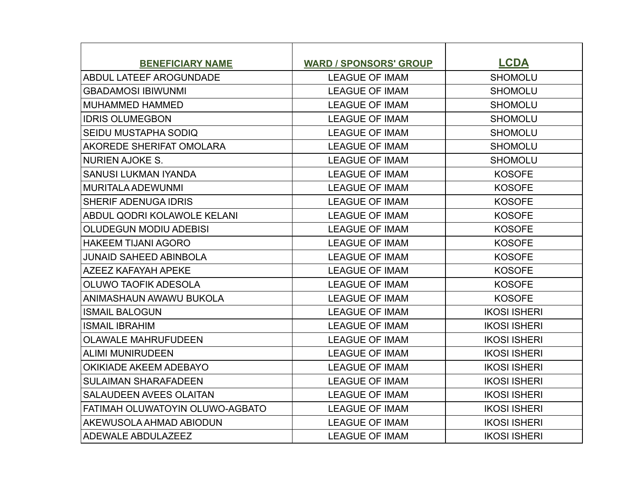| <b>BENEFICIARY NAME</b>         | <b>WARD / SPONSORS' GROUP</b> | <b>LCDA</b>         |
|---------------------------------|-------------------------------|---------------------|
| ABDUL LATEEF AROGUNDADE         | <b>LEAGUE OF IMAM</b>         | <b>SHOMOLU</b>      |
| <b>GBADAMOSI IBIWUNMI</b>       | <b>LEAGUE OF IMAM</b>         | <b>SHOMOLU</b>      |
| <b>MUHAMMED HAMMED</b>          | <b>LEAGUE OF IMAM</b>         | <b>SHOMOLU</b>      |
| <b>IDRIS OLUMEGBON</b>          | <b>LEAGUE OF IMAM</b>         | <b>SHOMOLU</b>      |
| SEIDU MUSTAPHA SODIQ            | <b>LEAGUE OF IMAM</b>         | <b>SHOMOLU</b>      |
| AKOREDE SHERIFAT OMOLARA        | <b>LEAGUE OF IMAM</b>         | <b>SHOMOLU</b>      |
| <b>NURIEN AJOKE S.</b>          | <b>LEAGUE OF IMAM</b>         | <b>SHOMOLU</b>      |
| <b>SANUSI LUKMAN IYANDA</b>     | <b>LEAGUE OF IMAM</b>         | <b>KOSOFE</b>       |
| <b>MURITALA ADEWUNMI</b>        | <b>LEAGUE OF IMAM</b>         | <b>KOSOFE</b>       |
| <b>SHERIF ADENUGA IDRIS</b>     | <b>LEAGUE OF IMAM</b>         | <b>KOSOFE</b>       |
| ABDUL QODRI KOLAWOLE KELANI     | <b>LEAGUE OF IMAM</b>         | <b>KOSOFE</b>       |
| <b>OLUDEGUN MODIU ADEBISI</b>   | <b>LEAGUE OF IMAM</b>         | <b>KOSOFE</b>       |
| <b>HAKEEM TIJANI AGORO</b>      | <b>LEAGUE OF IMAM</b>         | <b>KOSOFE</b>       |
| <b>JUNAID SAHEED ABINBOLA</b>   | <b>LEAGUE OF IMAM</b>         | <b>KOSOFE</b>       |
| <b>AZEEZ KAFAYAH APEKE</b>      | <b>LEAGUE OF IMAM</b>         | <b>KOSOFE</b>       |
| <b>OLUWO TAOFIK ADESOLA</b>     | <b>LEAGUE OF IMAM</b>         | <b>KOSOFE</b>       |
| ANIMASHAUN AWAWU BUKOLA         | <b>LEAGUE OF IMAM</b>         | <b>KOSOFE</b>       |
| <b>ISMAIL BALOGUN</b>           | <b>LEAGUE OF IMAM</b>         | <b>IKOSI ISHERI</b> |
| <b>ISMAIL IBRAHIM</b>           | <b>LEAGUE OF IMAM</b>         | <b>IKOSI ISHERI</b> |
| <b>OLAWALE MAHRUFUDEEN</b>      | <b>LEAGUE OF IMAM</b>         | <b>IKOSI ISHERI</b> |
| <b>ALIMI MUNIRUDEEN</b>         | <b>LEAGUE OF IMAM</b>         | <b>IKOSI ISHERI</b> |
| OKIKIADE AKEEM ADEBAYO          | <b>LEAGUE OF IMAM</b>         | <b>IKOSI ISHERI</b> |
| <b>SULAIMAN SHARAFADEEN</b>     | <b>LEAGUE OF IMAM</b>         | <b>IKOSI ISHERI</b> |
| <b>SALAUDEEN AVEES OLAITAN</b>  | <b>LEAGUE OF IMAM</b>         | <b>IKOSI ISHERI</b> |
| FATIMAH OLUWATOYIN OLUWO-AGBATO | <b>LEAGUE OF IMAM</b>         | <b>IKOSI ISHERI</b> |
| AKEWUSOLA AHMAD ABIODUN         | <b>LEAGUE OF IMAM</b>         | <b>IKOSI ISHERI</b> |
| ADEWALE ABDULAZEEZ              | <b>LEAGUE OF IMAM</b>         | <b>IKOSI ISHERI</b> |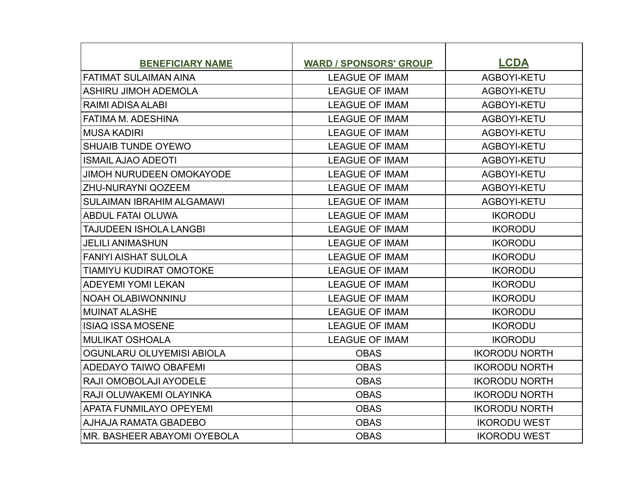| <b>BENEFICIARY NAME</b>          | <b>WARD / SPONSORS' GROUP</b> | <b>LCDA</b>          |
|----------------------------------|-------------------------------|----------------------|
| <b>FATIMAT SULAIMAN AINA</b>     | <b>LEAGUE OF IMAM</b>         | AGBOYI-KETU          |
| <b>ASHIRU JIMOH ADEMOLA</b>      | <b>LEAGUE OF IMAM</b>         | AGBOYI-KETU          |
| RAIMI ADISA ALABI                | <b>LEAGUE OF IMAM</b>         | AGBOYI-KETU          |
| FATIMA M. ADESHINA               | <b>LEAGUE OF IMAM</b>         | AGBOYI-KETU          |
| <b>MUSA KADIRI</b>               | <b>LEAGUE OF IMAM</b>         | AGBOYI-KETU          |
| <b>SHUAIB TUNDE OYEWO</b>        | <b>LEAGUE OF IMAM</b>         | AGBOYI-KETU          |
| <b>ISMAIL AJAO ADEOTI</b>        | <b>LEAGUE OF IMAM</b>         | AGBOYI-KETU          |
| <b>JIMOH NURUDEEN OMOKAYODE</b>  | <b>LEAGUE OF IMAM</b>         | AGBOYI-KETU          |
| <b>ZHU-NURAYNI QOZEEM</b>        | <b>LEAGUE OF IMAM</b>         | AGBOYI-KETU          |
| <b>SULAIMAN IBRAHIM ALGAMAWI</b> | <b>LEAGUE OF IMAM</b>         | AGBOYI-KETU          |
| <b>ABDUL FATAI OLUWA</b>         | <b>LEAGUE OF IMAM</b>         | <b>IKORODU</b>       |
| <b>TAJUDEEN ISHOLA LANGBI</b>    | <b>LEAGUE OF IMAM</b>         | <b>IKORODU</b>       |
| <b>JELILI ANIMASHUN</b>          | <b>LEAGUE OF IMAM</b>         | <b>IKORODU</b>       |
| <b>FANIYI AISHAT SULOLA</b>      | <b>LEAGUE OF IMAM</b>         | <b>IKORODU</b>       |
| <b>TIAMIYU KUDIRAT OMOTOKE</b>   | <b>LEAGUE OF IMAM</b>         | <b>IKORODU</b>       |
| <b>ADEYEMI YOMI LEKAN</b>        | <b>LEAGUE OF IMAM</b>         | <b>IKORODU</b>       |
| <b>NOAH OLABIWONNINU</b>         | <b>LEAGUE OF IMAM</b>         | <b>IKORODU</b>       |
| <b>MUINAT ALASHE</b>             | <b>LEAGUE OF IMAM</b>         | <b>IKORODU</b>       |
| <b>ISIAQ ISSA MOSENE</b>         | <b>LEAGUE OF IMAM</b>         | <b>IKORODU</b>       |
| <b>MULIKAT OSHOALA</b>           | <b>LEAGUE OF IMAM</b>         | <b>IKORODU</b>       |
| OGUNLARU OLUYEMISI ABIOLA        | <b>OBAS</b>                   | <b>IKORODU NORTH</b> |
| <b>ADEDAYO TAIWO OBAFEMI</b>     | <b>OBAS</b>                   | <b>IKORODU NORTH</b> |
| RAJI OMOBOLAJI AYODELE           | <b>OBAS</b>                   | <b>IKORODU NORTH</b> |
| RAJI OLUWAKEMI OLAYINKA          | <b>OBAS</b>                   | <b>IKORODU NORTH</b> |
| <b>APATA FUNMILAYO OPEYEMI</b>   | <b>OBAS</b>                   | <b>IKORODU NORTH</b> |
| <b>AJHAJA RAMATA GBADEBO</b>     | <b>OBAS</b>                   | <b>IKORODU WEST</b>  |
| MR. BASHEER ABAYOMI OYEBOLA      | <b>OBAS</b>                   | <b>IKORODU WEST</b>  |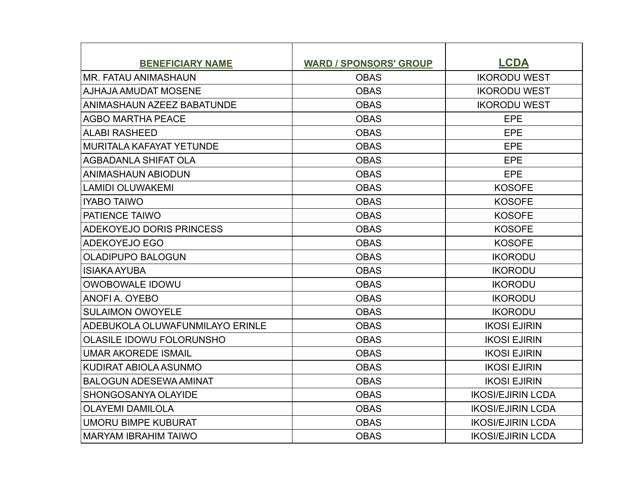| <b>BENEFICIARY NAME</b>         | <b>WARD / SPONSORS' GROUP</b> | <b>LCDA</b>              |
|---------------------------------|-------------------------------|--------------------------|
| <b>MR. FATAU ANIMASHAUN</b>     | <b>OBAS</b>                   | <b>IKORODU WEST</b>      |
| AJHAJA AMUDAT MOSENE            | <b>OBAS</b>                   | <b>IKORODU WEST</b>      |
| ANIMASHAUN AZEEZ BABATUNDE      | <b>OBAS</b>                   | <b>IKORODU WEST</b>      |
| <b>AGBO MARTHA PEACE</b>        | <b>OBAS</b>                   | <b>EPE</b>               |
| <b>ALABI RASHEED</b>            | <b>OBAS</b>                   | EPE                      |
| MURITALA KAFAYAT YETUNDE        | <b>OBAS</b>                   | <b>EPE</b>               |
| <b>AGBADANLA SHIFAT OLA</b>     | <b>OBAS</b>                   | <b>EPE</b>               |
| <b>ANIMASHAUN ABIODUN</b>       | <b>OBAS</b>                   | EPE                      |
| <b>LAMIDI OLUWAKEMI</b>         | <b>OBAS</b>                   | <b>KOSOFE</b>            |
| <b>IYABO TAIWO</b>              | <b>OBAS</b>                   | <b>KOSOFE</b>            |
| PATIENCE TAIWO                  | <b>OBAS</b>                   | <b>KOSOFE</b>            |
| ADEKOYEJO DORIS PRINCESS        | <b>OBAS</b>                   | <b>KOSOFE</b>            |
| <b>ADEKOYEJO EGO</b>            | <b>OBAS</b>                   | <b>KOSOFE</b>            |
| <b>OLADIPUPO BALOGUN</b>        | <b>OBAS</b>                   | <b>IKORODU</b>           |
| <b>ISIAKA AYUBA</b>             | <b>OBAS</b>                   | <b>IKORODU</b>           |
| <b>OWOBOWALE IDOWU</b>          | <b>OBAS</b>                   | <b>IKORODU</b>           |
| ANOFIA. OYEBO                   | <b>OBAS</b>                   | <b>IKORODU</b>           |
| <b>SULAIMON OWOYELE</b>         | <b>OBAS</b>                   | <b>IKORODU</b>           |
| ADEBUKOLA OLUWAFUNMILAYO ERINLE | <b>OBAS</b>                   | <b>IKOSI EJIRIN</b>      |
| <b>OLASILE IDOWU FOLORUNSHO</b> | <b>OBAS</b>                   | <b>IKOSI EJIRIN</b>      |
| <b>UMAR AKOREDE ISMAIL</b>      | <b>OBAS</b>                   | <b>IKOSI EJIRIN</b>      |
| KUDIRAT ABIOLA ASUNMO           | <b>OBAS</b>                   | <b>IKOSI EJIRIN</b>      |
| <b>BALOGUN ADESEWA AMINAT</b>   | <b>OBAS</b>                   | <b>IKOSI EJIRIN</b>      |
| SHONGOSANYA OLAYIDE             | <b>OBAS</b>                   | <b>IKOSI/EJIRIN LCDA</b> |
| <b>OLAYEMI DAMILOLA</b>         | <b>OBAS</b>                   | <b>IKOSI/EJIRIN LCDA</b> |
| <b>UMORU BIMPE KUBURAT</b>      | <b>OBAS</b>                   | <b>IKOSI/EJIRIN LCDA</b> |
| <b>MARYAM IBRAHIM TAIWO</b>     | <b>OBAS</b>                   | <b>IKOSI/EJIRIN LCDA</b> |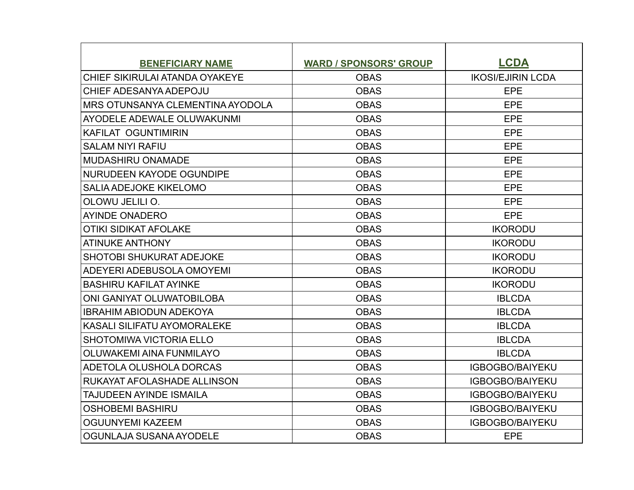| <b>BENEFICIARY NAME</b>            | <b>WARD / SPONSORS' GROUP</b> | <b>LCDA</b>              |
|------------------------------------|-------------------------------|--------------------------|
| CHIEF SIKIRULAI ATANDA OYAKEYE     | <b>OBAS</b>                   | <b>IKOSI/EJIRIN LCDA</b> |
| CHIEF ADESANYA ADEPOJU             | <b>OBAS</b>                   | <b>EPE</b>               |
| IMRS OTUNSANYA CLEMENTINA AYODOLA  | <b>OBAS</b>                   | EPE                      |
| AYODELE ADEWALE OLUWAKUNMI         | <b>OBAS</b>                   | <b>EPE</b>               |
| <b>KAFILAT OGUNTIMIRIN</b>         | <b>OBAS</b>                   | <b>EPE</b>               |
| <b>SALAM NIYI RAFIU</b>            | <b>OBAS</b>                   | <b>EPE</b>               |
| <b>MUDASHIRU ONAMADE</b>           | <b>OBAS</b>                   | <b>EPE</b>               |
| NURUDEEN KAYODE OGUNDIPE           | <b>OBAS</b>                   | <b>EPE</b>               |
| <b>SALIA ADEJOKE KIKELOMO</b>      | <b>OBAS</b>                   | EPE                      |
| OLOWU JELILI O.                    | <b>OBAS</b>                   | <b>EPE</b>               |
| AYINDE ONADERO                     | <b>OBAS</b>                   | <b>EPE</b>               |
| <b>OTIKI SIDIKAT AFOLAKE</b>       | <b>OBAS</b>                   | <b>IKORODU</b>           |
| <b>ATINUKE ANTHONY</b>             | <b>OBAS</b>                   | <b>IKORODU</b>           |
| <b>SHOTOBI SHUKURAT ADEJOKE</b>    | <b>OBAS</b>                   | <b>IKORODU</b>           |
| ADEYERI ADEBUSOLA OMOYEMI          | <b>OBAS</b>                   | <b>IKORODU</b>           |
| <b>BASHIRU KAFILAT AYINKE</b>      | <b>OBAS</b>                   | <b>IKORODU</b>           |
| ONI GANIYAT OLUWATOBILOBA          | <b>OBAS</b>                   | <b>IBLCDA</b>            |
| <b>IBRAHIM ABIODUN ADEKOYA</b>     | <b>OBAS</b>                   | <b>IBLCDA</b>            |
| <b>KASALI SILIFATU AYOMORALEKE</b> | <b>OBAS</b>                   | <b>IBLCDA</b>            |
| SHOTOMIWA VICTORIA ELLO            | <b>OBAS</b>                   | <b>IBLCDA</b>            |
| OLUWAKEMI AINA FUNMILAYO           | <b>OBAS</b>                   | <b>IBLCDA</b>            |
| ADETOLA OLUSHOLA DORCAS            | <b>OBAS</b>                   | <b>IGBOGBO/BAIYEKU</b>   |
| RUKAYAT AFOLASHADE ALLINSON        | <b>OBAS</b>                   | <b>IGBOGBO/BAIYEKU</b>   |
| <b>TAJUDEEN AYINDE ISMAILA</b>     | <b>OBAS</b>                   | <b>IGBOGBO/BAIYEKU</b>   |
| <b>OSHOBEMI BASHIRU</b>            | <b>OBAS</b>                   | <b>IGBOGBO/BAIYEKU</b>   |
| <b>OGUUNYEMI KAZEEM</b>            | <b>OBAS</b>                   | <b>IGBOGBO/BAIYEKU</b>   |
| OGUNLAJA SUSANA AYODELE            | <b>OBAS</b>                   | EPE                      |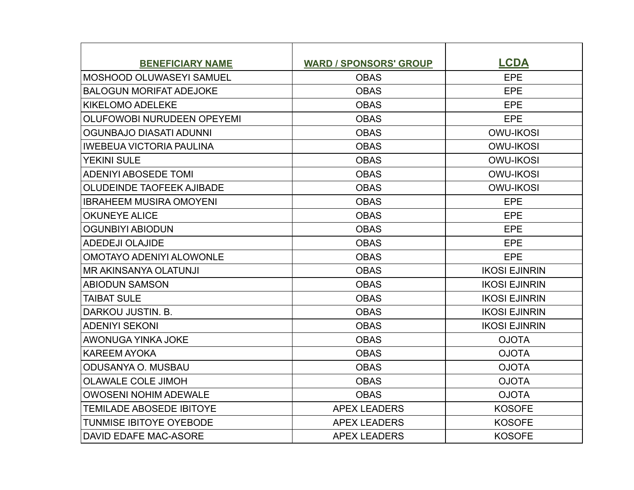| <b>BENEFICIARY NAME</b>          | <b>WARD / SPONSORS' GROUP</b> | <b>LCDA</b>          |
|----------------------------------|-------------------------------|----------------------|
| MOSHOOD OLUWASEYI SAMUEL         | <b>OBAS</b>                   | EPE                  |
| <b>BALOGUN MORIFAT ADEJOKE</b>   | <b>OBAS</b>                   | <b>EPE</b>           |
| KIKELOMO ADELEKE                 | <b>OBAS</b>                   | EPE                  |
| OLUFOWOBI NURUDEEN OPEYEMI       | <b>OBAS</b>                   | EPE                  |
| <b>OGUNBAJO DIASATI ADUNNI</b>   | <b>OBAS</b>                   | <b>OWU-IKOSI</b>     |
| <b>IWEBEUA VICTORIA PAULINA</b>  | <b>OBAS</b>                   | <b>OWU-IKOSI</b>     |
| <b>YEKINI SULE</b>               | <b>OBAS</b>                   | <b>OWU-IKOSI</b>     |
| <b>ADENIYI ABOSEDE TOMI</b>      | <b>OBAS</b>                   | <b>OWU-IKOSI</b>     |
| <b>OLUDEINDE TAOFEEK AJIBADE</b> | <b>OBAS</b>                   | <b>OWU-IKOSI</b>     |
| <b>IBRAHEEM MUSIRA OMOYENI</b>   | <b>OBAS</b>                   | EPE                  |
| <b>OKUNEYE ALICE</b>             | <b>OBAS</b>                   | <b>EPE</b>           |
| <b>OGUNBIYI ABIODUN</b>          | <b>OBAS</b>                   | <b>EPE</b>           |
| <b>ADEDEJI OLAJIDE</b>           | <b>OBAS</b>                   | EPE                  |
| <b>OMOTAYO ADENIYI ALOWONLE</b>  | <b>OBAS</b>                   | <b>EPE</b>           |
| MR AKINSANYA OLATUNJI            | <b>OBAS</b>                   | <b>IKOSI EJINRIN</b> |
| <b>ABIODUN SAMSON</b>            | <b>OBAS</b>                   | <b>IKOSI EJINRIN</b> |
| <b>TAIBAT SULE</b>               | <b>OBAS</b>                   | <b>IKOSI EJINRIN</b> |
| DARKOU JUSTIN, B.                | <b>OBAS</b>                   | <b>IKOSI EJINRIN</b> |
| <b>ADENIYI SEKONI</b>            | <b>OBAS</b>                   | <b>IKOSI EJINRIN</b> |
| AWONUGA YINKA JOKE               | <b>OBAS</b>                   | <b>OJOTA</b>         |
| <b>KAREEM AYOKA</b>              | <b>OBAS</b>                   | <b>OJOTA</b>         |
| ODUSANYA O. MUSBAU               | <b>OBAS</b>                   | <b>OJOTA</b>         |
| <b>OLAWALE COLE JIMOH</b>        | <b>OBAS</b>                   | <b>OJOTA</b>         |
| <b>OWOSENI NOHIM ADEWALE</b>     | <b>OBAS</b>                   | <b>OJOTA</b>         |
| <b>TEMILADE ABOSEDE IBITOYE</b>  | <b>APEX LEADERS</b>           | <b>KOSOFE</b>        |
| <b>TUNMISE IBITOYE OYEBODE</b>   | <b>APEX LEADERS</b>           | <b>KOSOFE</b>        |
| DAVID EDAFE MAC-ASORE            | <b>APEX LEADERS</b>           | <b>KOSOFE</b>        |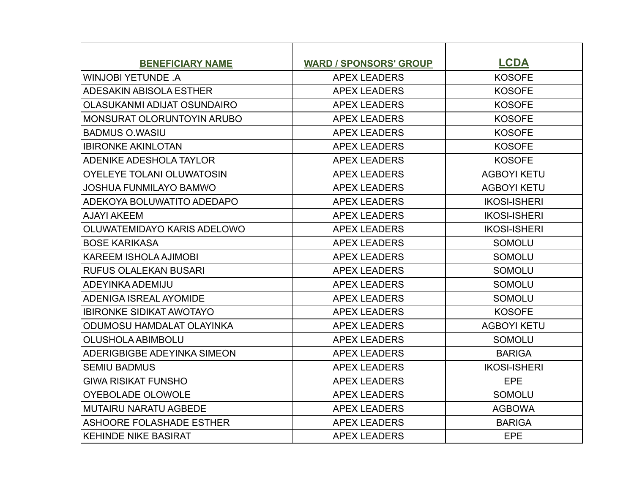| <b>BENEFICIARY NAME</b>           | <b>WARD / SPONSORS' GROUP</b> | <b>LCDA</b>         |
|-----------------------------------|-------------------------------|---------------------|
| <b>WINJOBI YETUNDE A</b>          | <b>APEX LEADERS</b>           | <b>KOSOFE</b>       |
| ADESAKIN ABISOLA ESTHER           | <b>APEX LEADERS</b>           | <b>KOSOFE</b>       |
| OLASUKANMI ADIJAT OSUNDAIRO       | <b>APEX LEADERS</b>           | <b>KOSOFE</b>       |
| <b>MONSURAT OLORUNTOYIN ARUBO</b> | <b>APEX LEADERS</b>           | <b>KOSOFE</b>       |
| <b>BADMUS O.WASIU</b>             | <b>APEX LEADERS</b>           | <b>KOSOFE</b>       |
| <b>IBIRONKE AKINLOTAN</b>         | <b>APEX LEADERS</b>           | <b>KOSOFE</b>       |
| ADENIKE ADESHOLA TAYLOR           | <b>APEX LEADERS</b>           | <b>KOSOFE</b>       |
| OYELEYE TOLANI OLUWATOSIN         | <b>APEX LEADERS</b>           | <b>AGBOYI KETU</b>  |
| <b>JOSHUA FUNMILAYO BAMWO</b>     | <b>APEX LEADERS</b>           | <b>AGBOYI KETU</b>  |
| ADEKOYA BOLUWATITO ADEDAPO        | <b>APEX LEADERS</b>           | <b>IKOSI-ISHERI</b> |
| <b>AJAYI AKEEM</b>                | <b>APEX LEADERS</b>           | <b>IKOSI-ISHERI</b> |
| OLUWATEMIDAYO KARIS ADELOWO       | <b>APEX LEADERS</b>           | <b>IKOSI-ISHERI</b> |
| <b>BOSE KARIKASA</b>              | <b>APEX LEADERS</b>           | <b>SOMOLU</b>       |
| <b>KAREEM ISHOLA AJIMOBI</b>      | <b>APEX LEADERS</b>           | <b>SOMOLU</b>       |
| <b>RUFUS OLALEKAN BUSARI</b>      | <b>APEX LEADERS</b>           | <b>SOMOLU</b>       |
| ADEYINKA ADEMIJU                  | <b>APEX LEADERS</b>           | <b>SOMOLU</b>       |
| <b>ADENIGA ISREAL AYOMIDE</b>     | <b>APEX LEADERS</b>           | <b>SOMOLU</b>       |
| <b>IBIRONKE SIDIKAT AWOTAYO</b>   | <b>APEX LEADERS</b>           | <b>KOSOFE</b>       |
| ODUMOSU HAMDALAT OLAYINKA         | <b>APEX LEADERS</b>           | <b>AGBOYI KETU</b>  |
| <b>OLUSHOLA ABIMBOLU</b>          | <b>APEX LEADERS</b>           | <b>SOMOLU</b>       |
| ADERIGBIGBE ADEYINKA SIMEON       | <b>APEX LEADERS</b>           | <b>BARIGA</b>       |
| <b>SEMIU BADMUS</b>               | <b>APEX LEADERS</b>           | <b>IKOSI-ISHERI</b> |
| <b>GIWA RISIKAT FUNSHO</b>        | <b>APEX LEADERS</b>           | EPE                 |
| <b>OYEBOLADE OLOWOLE</b>          | <b>APEX LEADERS</b>           | <b>SOMOLU</b>       |
| IMUTAIRU NARATU AGBEDE            | <b>APEX LEADERS</b>           | <b>AGBOWA</b>       |
| <b>ASHOORE FOLASHADE ESTHER</b>   | <b>APEX LEADERS</b>           | <b>BARIGA</b>       |
| <b>KEHINDE NIKE BASIRAT</b>       | <b>APEX LEADERS</b>           | <b>EPE</b>          |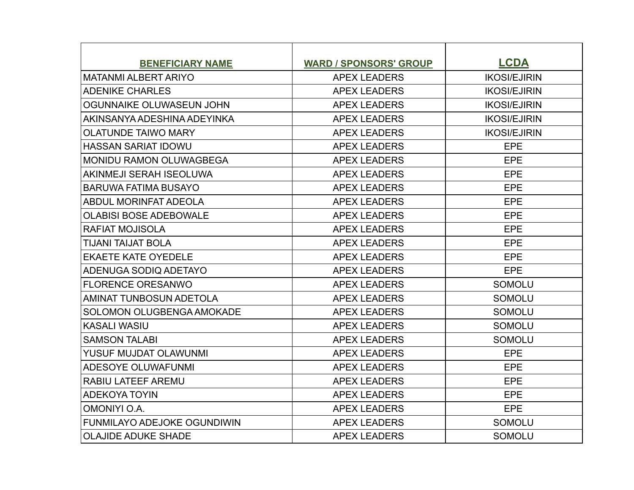| <b>BENEFICIARY NAME</b>            | <b>WARD / SPONSORS' GROUP</b> | <b>LCDA</b>         |
|------------------------------------|-------------------------------|---------------------|
| MATANMI ALBERT ARIYO               | <b>APEX LEADERS</b>           | <b>IKOSI/EJIRIN</b> |
| <b>ADENIKE CHARLES</b>             | <b>APEX LEADERS</b>           | <b>IKOSI/EJIRIN</b> |
| OGUNNAIKE OLUWASEUN JOHN           | <b>APEX LEADERS</b>           | <b>IKOSI/EJIRIN</b> |
| AKINSANYA ADESHINA ADEYINKA        | <b>APEX LEADERS</b>           | <b>IKOSI/EJIRIN</b> |
| <b>OLATUNDE TAIWO MARY</b>         | <b>APEX LEADERS</b>           | <b>IKOSI/EJIRIN</b> |
| <b>HASSAN SARIAT IDOWU</b>         | <b>APEX LEADERS</b>           | EPE                 |
| <b>MONIDU RAMON OLUWAGBEGA</b>     | <b>APEX LEADERS</b>           | EPE                 |
| AKINMEJI SERAH ISEOLUWA            | <b>APEX LEADERS</b>           | EPE                 |
| <b>BARUWA FATIMA BUSAYO</b>        | <b>APEX LEADERS</b>           | EPE                 |
| ABDUL MORINFAT ADEOLA              | <b>APEX LEADERS</b>           | EPE                 |
| <b>OLABISI BOSE ADEBOWALE</b>      | <b>APEX LEADERS</b>           | EPE                 |
| <b>RAFIAT MOJISOLA</b>             | <b>APEX LEADERS</b>           | EPE                 |
| <b>TIJANI TAIJAT BOLA</b>          | <b>APEX LEADERS</b>           | <b>EPE</b>          |
| <b>EKAETE KATE OYEDELE</b>         | <b>APEX LEADERS</b>           | EPE                 |
| ADENUGA SODIO ADETAYO              | <b>APEX LEADERS</b>           | EPE                 |
| <b>FLORENCE ORESANWO</b>           | <b>APEX LEADERS</b>           | <b>SOMOLU</b>       |
| <b>AMINAT TUNBOSUN ADETOLA</b>     | <b>APEX LEADERS</b>           | <b>SOMOLU</b>       |
| SOLOMON OLUGBENGA AMOKADE          | <b>APEX LEADERS</b>           | <b>SOMOLU</b>       |
| <b>KASALI WASIU</b>                | <b>APEX LEADERS</b>           | <b>SOMOLU</b>       |
| <b>SAMSON TALABI</b>               | <b>APEX LEADERS</b>           | <b>SOMOLU</b>       |
| <b>YUSUF MUJDAT OLAWUNMI</b>       | <b>APEX LEADERS</b>           | <b>EPE</b>          |
| <b>ADESOYE OLUWAFUNMI</b>          | <b>APEX LEADERS</b>           | <b>EPE</b>          |
| <b>RABIU LATEEF AREMU</b>          | <b>APEX LEADERS</b>           | EPE                 |
| <b>ADEKOYA TOYIN</b>               | <b>APEX LEADERS</b>           | EPE                 |
| <b>OMONIYI O.A.</b>                | <b>APEX LEADERS</b>           | EPE                 |
| <b>FUNMILAYO ADEJOKE OGUNDIWIN</b> | <b>APEX LEADERS</b>           | <b>SOMOLU</b>       |
| <b>OLAJIDE ADUKE SHADE</b>         | <b>APEX LEADERS</b>           | <b>SOMOLU</b>       |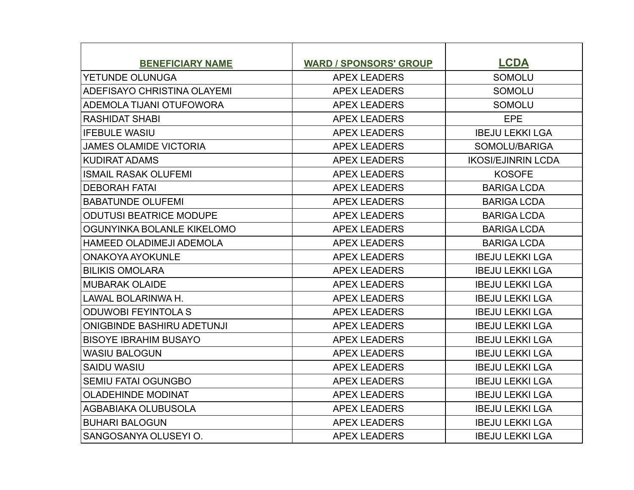| <b>BENEFICIARY NAME</b>           | <b>WARD / SPONSORS' GROUP</b> | <b>LCDA</b>               |
|-----------------------------------|-------------------------------|---------------------------|
| YETUNDE OLUNUGA                   | <b>APEX LEADERS</b>           | <b>SOMOLU</b>             |
| ADEFISAYO CHRISTINA OLAYEMI       | <b>APEX LEADERS</b>           | <b>SOMOLU</b>             |
| ADEMOLA TIJANI OTUFOWORA          | <b>APEX LEADERS</b>           | <b>SOMOLU</b>             |
| <b>RASHIDAT SHABI</b>             | <b>APEX LEADERS</b>           | <b>EPE</b>                |
| <b>IFEBULE WASIU</b>              | <b>APEX LEADERS</b>           | <b>IBEJU LEKKI LGA</b>    |
| <b>JAMES OLAMIDE VICTORIA</b>     | <b>APEX LEADERS</b>           | SOMOLU/BARIGA             |
| <b>KUDIRAT ADAMS</b>              | <b>APEX LEADERS</b>           | <b>IKOSI/EJINRIN LCDA</b> |
| <b>ISMAIL RASAK OLUFEMI</b>       | <b>APEX LEADERS</b>           | <b>KOSOFE</b>             |
| <b>DEBORAH FATAI</b>              | <b>APEX LEADERS</b>           | <b>BARIGA LCDA</b>        |
| <b>BABATUNDE OLUFEMI</b>          | <b>APEX LEADERS</b>           | <b>BARIGA LCDA</b>        |
| <b>ODUTUSI BEATRICE MODUPE</b>    | <b>APEX LEADERS</b>           | <b>BARIGA LCDA</b>        |
| OGUNYINKA BOLANLE KIKELOMO        | <b>APEX LEADERS</b>           | <b>BARIGA LCDA</b>        |
| <b>HAMEED OLADIMEJI ADEMOLA</b>   | <b>APEX LEADERS</b>           | <b>BARIGA LCDA</b>        |
| <b>ONAKOYA AYOKUNLE</b>           | <b>APEX LEADERS</b>           | <b>IBEJU LEKKI LGA</b>    |
| <b>BILIKIS OMOLARA</b>            | <b>APEX LEADERS</b>           | <b>IBEJU LEKKI LGA</b>    |
| <b>MUBARAK OLAIDE</b>             | <b>APEX LEADERS</b>           | <b>IBEJU LEKKI LGA</b>    |
| LAWAL BOLARINWA H.                | <b>APEX LEADERS</b>           | <b>IBEJU LEKKI LGA</b>    |
| <b>ODUWOBI FEYINTOLA S</b>        | <b>APEX LEADERS</b>           | <b>IBEJU LEKKI LGA</b>    |
| <b>ONIGBINDE BASHIRU ADETUNJI</b> | <b>APEX LEADERS</b>           | <b>IBEJU LEKKI LGA</b>    |
| <b>BISOYE IBRAHIM BUSAYO</b>      | <b>APEX LEADERS</b>           | <b>IBEJU LEKKI LGA</b>    |
| <b>WASIU BALOGUN</b>              | <b>APEX LEADERS</b>           | <b>IBEJU LEKKI LGA</b>    |
| <b>SAIDU WASIU</b>                | <b>APEX LEADERS</b>           | <b>IBEJU LEKKI LGA</b>    |
| <b>SEMIU FATAI OGUNGBO</b>        | <b>APEX LEADERS</b>           | <b>IBEJU LEKKI LGA</b>    |
| <b>OLADEHINDE MODINAT</b>         | <b>APEX LEADERS</b>           | <b>IBEJU LEKKI LGA</b>    |
| AGBABIAKA OLUBUSOLA               | <b>APEX LEADERS</b>           | <b>IBEJU LEKKI LGA</b>    |
| <b>BUHARI BALOGUN</b>             | <b>APEX LEADERS</b>           | <b>IBEJU LEKKI LGA</b>    |
| SANGOSANYA OLUSEYI O.             | <b>APEX LEADERS</b>           | <b>IBEJU LEKKI LGA</b>    |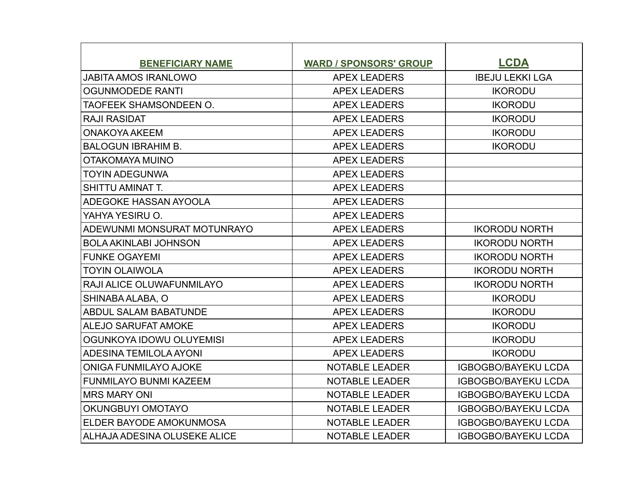| <b>BENEFICIARY NAME</b>          | <b>WARD / SPONSORS' GROUP</b> | <b>LCDA</b>                |
|----------------------------------|-------------------------------|----------------------------|
| <b>JABITA AMOS IRANLOWO</b>      | <b>APEX LEADERS</b>           | <b>IBEJU LEKKI LGA</b>     |
| <b>OGUNMODEDE RANTI</b>          | <b>APEX LEADERS</b>           | <b>IKORODU</b>             |
| TAOFEEK SHAMSONDEEN O.           | <b>APEX LEADERS</b>           | <b>IKORODU</b>             |
| <b>RAJI RASIDAT</b>              | <b>APEX LEADERS</b>           | <b>IKORODU</b>             |
| <b>ONAKOYA AKEEM</b>             | <b>APEX LEADERS</b>           | <b>IKORODU</b>             |
| <b>BALOGUN IBRAHIM B.</b>        | <b>APEX LEADERS</b>           | <b>IKORODU</b>             |
| OTAKOMAYA MUINO                  | <b>APEX LEADERS</b>           |                            |
| <b>TOYIN ADEGUNWA</b>            | <b>APEX LEADERS</b>           |                            |
| <b>SHITTU AMINAT T.</b>          | <b>APEX LEADERS</b>           |                            |
| <b>ADEGOKE HASSAN AYOOLA</b>     | <b>APEX LEADERS</b>           |                            |
| YAHYA YESIRU O.                  | <b>APEX LEADERS</b>           |                            |
| ADEWUNMI MONSURAT MOTUNRAYO      | <b>APEX LEADERS</b>           | <b>IKORODU NORTH</b>       |
| <b>BOLA AKINLABI JOHNSON</b>     | <b>APEX LEADERS</b>           | <b>IKORODU NORTH</b>       |
| <b>FUNKE OGAYEMI</b>             | <b>APEX LEADERS</b>           | <b>IKORODU NORTH</b>       |
| <b>TOYIN OLAIWOLA</b>            | <b>APEX LEADERS</b>           | <b>IKORODU NORTH</b>       |
| <b>RAJI ALICE OLUWAFUNMILAYO</b> | <b>APEX LEADERS</b>           | <b>IKORODU NORTH</b>       |
| SHINABA ALABA, O                 | <b>APEX LEADERS</b>           | <b>IKORODU</b>             |
| ABDUL SALAM BABATUNDE            | <b>APEX LEADERS</b>           | <b>IKORODU</b>             |
| <b>ALEJO SARUFAT AMOKE</b>       | <b>APEX LEADERS</b>           | <b>IKORODU</b>             |
| OGUNKOYA IDOWU OLUYEMISI         | <b>APEX LEADERS</b>           | <b>IKORODU</b>             |
| ADESINA TEMILOLA AYONI           | <b>APEX LEADERS</b>           | <b>IKORODU</b>             |
| <b>ONIGA FUNMILAYO AJOKE</b>     | <b>NOTABLE LEADER</b>         | <b>IGBOGBO/BAYEKU LCDA</b> |
| FUNMILAYO BUNMI KAZEEM           | <b>NOTABLE LEADER</b>         | <b>IGBOGBO/BAYEKU LCDA</b> |
| <b>MRS MARY ONI</b>              | <b>NOTABLE LEADER</b>         | <b>IGBOGBO/BAYEKU LCDA</b> |
| OKUNGBUYI OMOTAYO                | <b>NOTABLE LEADER</b>         | <b>IGBOGBO/BAYEKU LCDA</b> |
| ELDER BAYODE AMOKUNMOSA          | <b>NOTABLE LEADER</b>         | <b>IGBOGBO/BAYEKU LCDA</b> |
| ALHAJA ADESINA OLUSEKE ALICE     | <b>NOTABLE LEADER</b>         | <b>IGBOGBO/BAYEKU LCDA</b> |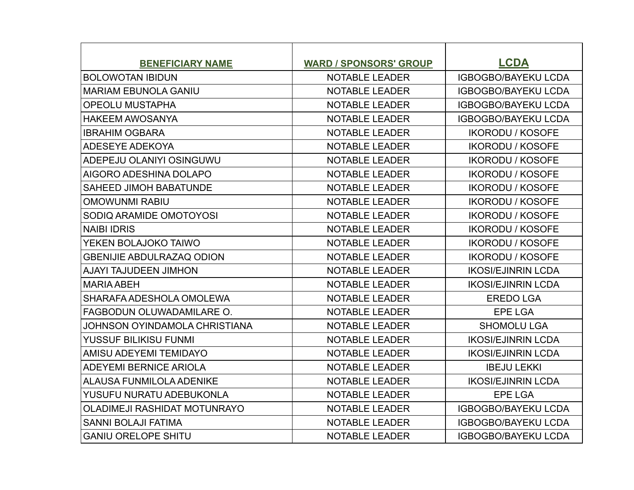| <b>BENEFICIARY NAME</b>             | <b>WARD / SPONSORS' GROUP</b> | <b>LCDA</b>                |
|-------------------------------------|-------------------------------|----------------------------|
| <b>BOLOWOTAN IBIDUN</b>             | <b>NOTABLE LEADER</b>         | <b>IGBOGBO/BAYEKU LCDA</b> |
| <b>MARIAM EBUNOLA GANIU</b>         | <b>NOTABLE LEADER</b>         | <b>IGBOGBO/BAYEKU LCDA</b> |
| <b>OPEOLU MUSTAPHA</b>              | <b>NOTABLE LEADER</b>         | <b>IGBOGBO/BAYEKU LCDA</b> |
| <b>HAKEEM AWOSANYA</b>              | <b>NOTABLE LEADER</b>         | <b>IGBOGBO/BAYEKU LCDA</b> |
| <b>IBRAHIM OGBARA</b>               | <b>NOTABLE LEADER</b>         | <b>IKORODU / KOSOFE</b>    |
| <b>ADESEYE ADEKOYA</b>              | <b>NOTABLE LEADER</b>         | <b>IKORODU / KOSOFE</b>    |
| ADEPEJU OLANIYI OSINGUWU            | <b>NOTABLE LEADER</b>         | <b>IKORODU / KOSOFE</b>    |
| AIGORO ADESHINA DOLAPO              | <b>NOTABLE LEADER</b>         | <b>IKORODU / KOSOFE</b>    |
| <b>SAHEED JIMOH BABATUNDE</b>       | <b>NOTABLE LEADER</b>         | <b>IKORODU / KOSOFE</b>    |
| <b>OMOWUNMI RABIU</b>               | <b>NOTABLE LEADER</b>         | <b>IKORODU / KOSOFE</b>    |
| SODIQ ARAMIDE OMOTOYOSI             | <b>NOTABLE LEADER</b>         | <b>IKORODU / KOSOFE</b>    |
| <b>NAIBI IDRIS</b>                  | <b>NOTABLE LEADER</b>         | <b>IKORODU / KOSOFE</b>    |
| YEKEN BOLAJOKO TAIWO                | <b>NOTABLE LEADER</b>         | <b>IKORODU / KOSOFE</b>    |
| <b>GBENIJIE ABDULRAZAQ ODION</b>    | <b>NOTABLE LEADER</b>         | <b>IKORODU / KOSOFE</b>    |
| <b>AJAYI TAJUDEEN JIMHON</b>        | <b>NOTABLE LEADER</b>         | <b>IKOSI/EJINRIN LCDA</b>  |
| <b>MARIA ABEH</b>                   | <b>NOTABLE LEADER</b>         | <b>IKOSI/EJINRIN LCDA</b>  |
| SHARAFA ADESHOLA OMOLEWA            | <b>NOTABLE LEADER</b>         | <b>EREDO LGA</b>           |
| FAGBODUN OLUWADAMILARE O.           | <b>NOTABLE LEADER</b>         | <b>EPE LGA</b>             |
| JOHNSON OYINDAMOLA CHRISTIANA       | <b>NOTABLE LEADER</b>         | <b>SHOMOLU LGA</b>         |
| YUSSUF BILIKISU FUNMI               | <b>NOTABLE LEADER</b>         | <b>IKOSI/EJINRIN LCDA</b>  |
| AMISU ADEYEMI TEMIDAYO              | <b>NOTABLE LEADER</b>         | <b>IKOSI/EJINRIN LCDA</b>  |
| <b>ADEYEMI BERNICE ARIOLA</b>       | <b>NOTABLE LEADER</b>         | <b>IBEJU LEKKI</b>         |
| <b>ALAUSA FUNMILOLA ADENIKE</b>     | <b>NOTABLE LEADER</b>         | <b>IKOSI/EJINRIN LCDA</b>  |
| YUSUFU NURATU ADEBUKONLA            | <b>NOTABLE LEADER</b>         | <b>EPE LGA</b>             |
| <b>OLADIMEJI RASHIDAT MOTUNRAYO</b> | <b>NOTABLE LEADER</b>         | <b>IGBOGBO/BAYEKU LCDA</b> |
| <b>SANNI BOLAJI FATIMA</b>          | <b>NOTABLE LEADER</b>         | <b>IGBOGBO/BAYEKU LCDA</b> |
| <b>GANIU ORELOPE SHITU</b>          | <b>NOTABLE LEADER</b>         | <b>IGBOGBO/BAYEKU LCDA</b> |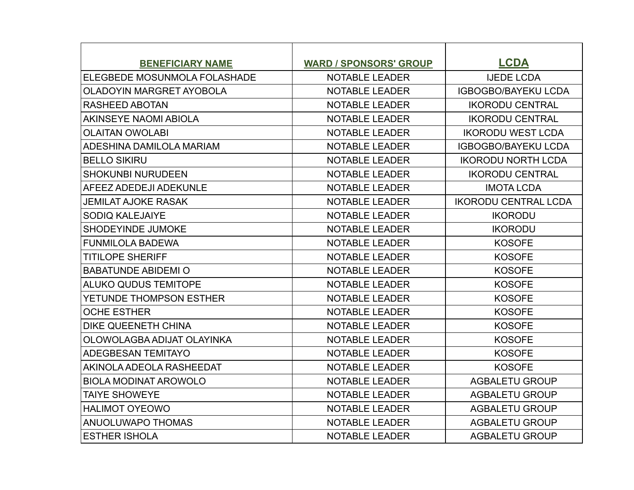| <b>BENEFICIARY NAME</b>         | <b>WARD / SPONSORS' GROUP</b> | <b>LCDA</b>                 |
|---------------------------------|-------------------------------|-----------------------------|
| ELEGBEDE MOSUNMOLA FOLASHADE    | <b>NOTABLE LEADER</b>         | <b>IJEDE LCDA</b>           |
| <b>OLADOYIN MARGRET AYOBOLA</b> | <b>NOTABLE LEADER</b>         | <b>IGBOGBO/BAYEKU LCDA</b>  |
| <b>RASHEED ABOTAN</b>           | <b>NOTABLE LEADER</b>         | <b>IKORODU CENTRAL</b>      |
| AKINSEYE NAOMI ABIOLA           | <b>NOTABLE LEADER</b>         | <b>IKORODU CENTRAL</b>      |
| <b>OLAITAN OWOLABI</b>          | <b>NOTABLE LEADER</b>         | <b>IKORODU WEST LCDA</b>    |
| ADESHINA DAMILOLA MARIAM        | <b>NOTABLE LEADER</b>         | <b>IGBOGBO/BAYEKU LCDA</b>  |
| <b>BELLO SIKIRU</b>             | <b>NOTABLE LEADER</b>         | <b>IKORODU NORTH LCDA</b>   |
| <b>SHOKUNBI NURUDEEN</b>        | <b>NOTABLE LEADER</b>         | <b>IKORODU CENTRAL</b>      |
| AFEEZ ADEDEJI ADEKUNLE          | <b>NOTABLE LEADER</b>         | <b>IMOTA LCDA</b>           |
| <b>JEMILAT AJOKE RASAK</b>      | <b>NOTABLE LEADER</b>         | <b>IKORODU CENTRAL LCDA</b> |
| <b>SODIQ KALEJAIYE</b>          | <b>NOTABLE LEADER</b>         | <b>IKORODU</b>              |
| <b>SHODEYINDE JUMOKE</b>        | <b>NOTABLE LEADER</b>         | <b>IKORODU</b>              |
| <b>FUNMILOLA BADEWA</b>         | <b>NOTABLE LEADER</b>         | <b>KOSOFE</b>               |
| <b>TITILOPE SHERIFF</b>         | <b>NOTABLE LEADER</b>         | <b>KOSOFE</b>               |
| <b>BABATUNDE ABIDEMI O</b>      | <b>NOTABLE LEADER</b>         | <b>KOSOFE</b>               |
| <b>ALUKO QUDUS TEMITOPE</b>     | <b>NOTABLE LEADER</b>         | <b>KOSOFE</b>               |
| YETUNDE THOMPSON ESTHER         | <b>NOTABLE LEADER</b>         | <b>KOSOFE</b>               |
| <b>OCHE ESTHER</b>              | <b>NOTABLE LEADER</b>         | <b>KOSOFE</b>               |
| <b>DIKE QUEENETH CHINA</b>      | <b>NOTABLE LEADER</b>         | <b>KOSOFE</b>               |
| OLOWOLAGBA ADIJAT OLAYINKA      | <b>NOTABLE LEADER</b>         | <b>KOSOFE</b>               |
| <b>ADEGBESAN TEMITAYO</b>       | <b>NOTABLE LEADER</b>         | <b>KOSOFE</b>               |
| AKINOLA ADEOLA RASHEEDAT        | <b>NOTABLE LEADER</b>         | <b>KOSOFE</b>               |
| <b>BIOLA MODINAT AROWOLO</b>    | <b>NOTABLE LEADER</b>         | <b>AGBALETU GROUP</b>       |
| <b>TAIYE SHOWEYE</b>            | <b>NOTABLE LEADER</b>         | <b>AGBALETU GROUP</b>       |
| <b>HALIMOT OYEOWO</b>           | <b>NOTABLE LEADER</b>         | <b>AGBALETU GROUP</b>       |
| ANUOLUWAPO THOMAS               | <b>NOTABLE LEADER</b>         | <b>AGBALETU GROUP</b>       |
| <b>ESTHER ISHOLA</b>            | <b>NOTABLE LEADER</b>         | <b>AGBALETU GROUP</b>       |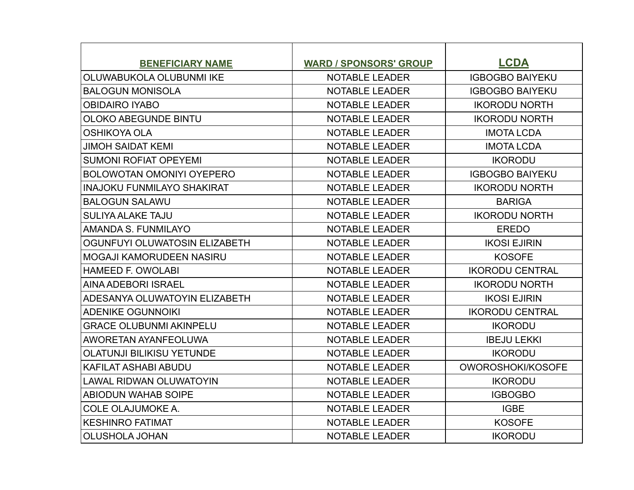| <b>BENEFICIARY NAME</b>           | <b>WARD / SPONSORS' GROUP</b> | <b>LCDA</b>            |
|-----------------------------------|-------------------------------|------------------------|
| OLUWABUKOLA OLUBUNMI IKE          | <b>NOTABLE LEADER</b>         | <b>IGBOGBO BAIYEKU</b> |
| <b>BALOGUN MONISOLA</b>           | <b>NOTABLE LEADER</b>         | <b>IGBOGBO BAIYEKU</b> |
| <b>OBIDAIRO IYABO</b>             | <b>NOTABLE LEADER</b>         | <b>IKORODU NORTH</b>   |
| OLOKO ABEGUNDE BINTU              | <b>NOTABLE LEADER</b>         | <b>IKORODU NORTH</b>   |
| <b>OSHIKOYA OLA</b>               | <b>NOTABLE LEADER</b>         | <b>IMOTA LCDA</b>      |
| <b>JIMOH SAIDAT KEMI</b>          | <b>NOTABLE LEADER</b>         | <b>IMOTA LCDA</b>      |
| <b>SUMONI ROFIAT OPEYEMI</b>      | <b>NOTABLE LEADER</b>         | <b>IKORODU</b>         |
| <b>BOLOWOTAN OMONIYI OYEPERO</b>  | <b>NOTABLE LEADER</b>         | <b>IGBOGBO BAIYEKU</b> |
| <b>INAJOKU FUNMILAYO SHAKIRAT</b> | <b>NOTABLE LEADER</b>         | <b>IKORODU NORTH</b>   |
| <b>BALOGUN SALAWU</b>             | <b>NOTABLE LEADER</b>         | <b>BARIGA</b>          |
| <b>SULIYA ALAKE TAJU</b>          | <b>NOTABLE LEADER</b>         | <b>IKORODU NORTH</b>   |
| AMANDA S. FUNMILAYO               | <b>NOTABLE LEADER</b>         | <b>EREDO</b>           |
| OGUNFUYI OLUWATOSIN ELIZABETH     | <b>NOTABLE LEADER</b>         | <b>IKOSI EJIRIN</b>    |
| MOGAJI KAMORUDEEN NASIRU          | <b>NOTABLE LEADER</b>         | <b>KOSOFE</b>          |
| <b>HAMEED F. OWOLABI</b>          | <b>NOTABLE LEADER</b>         | <b>IKORODU CENTRAL</b> |
| <b>AINA ADEBORI ISRAEL</b>        | <b>NOTABLE LEADER</b>         | <b>IKORODU NORTH</b>   |
| ADESANYA OLUWATOYIN ELIZABETH     | <b>NOTABLE LEADER</b>         | <b>IKOSI EJIRIN</b>    |
| <b>ADENIKE OGUNNOIKI</b>          | <b>NOTABLE LEADER</b>         | <b>IKORODU CENTRAL</b> |
| <b>GRACE OLUBUNMI AKINPELU</b>    | <b>NOTABLE LEADER</b>         | <b>IKORODU</b>         |
| AWORETAN AYANFEOLUWA              | <b>NOTABLE LEADER</b>         | <b>IBEJU LEKKI</b>     |
| <b>OLATUNJI BILIKISU YETUNDE</b>  | <b>NOTABLE LEADER</b>         | <b>IKORODU</b>         |
| <b>KAFILAT ASHABI ABUDU</b>       | <b>NOTABLE LEADER</b>         | OWOROSHOKI/KOSOFE      |
| <b>LAWAL RIDWAN OLUWATOYIN</b>    | <b>NOTABLE LEADER</b>         | <b>IKORODU</b>         |
| <b>ABIODUN WAHAB SOIPE</b>        | <b>NOTABLE LEADER</b>         | <b>IGBOGBO</b>         |
| <b>COLE OLAJUMOKE A.</b>          | <b>NOTABLE LEADER</b>         | <b>IGBE</b>            |
| <b>KESHINRO FATIMAT</b>           | <b>NOTABLE LEADER</b>         | <b>KOSOFE</b>          |
| <b>OLUSHOLA JOHAN</b>             | <b>NOTABLE LEADER</b>         | <b>IKORODU</b>         |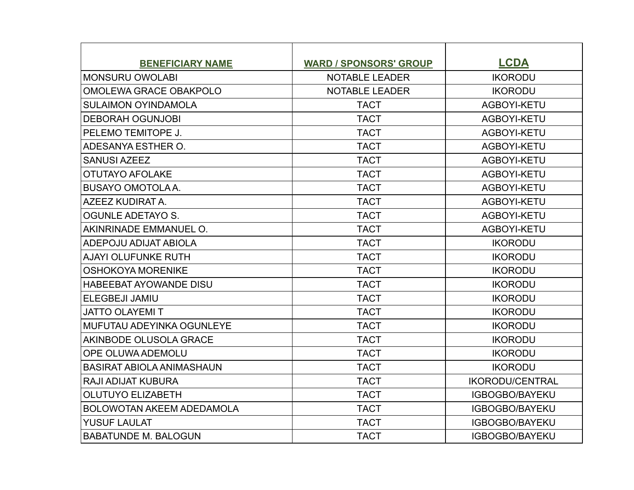| <b>BENEFICIARY NAME</b>          | <b>WARD / SPONSORS' GROUP</b> | <b>LCDA</b>            |
|----------------------------------|-------------------------------|------------------------|
| <b>MONSURU OWOLABI</b>           | <b>NOTABLE LEADER</b>         | <b>IKORODU</b>         |
| OMOLEWA GRACE OBAKPOLO           | <b>NOTABLE LEADER</b>         | <b>IKORODU</b>         |
| <b>SULAIMON OYINDAMOLA</b>       | <b>TACT</b>                   | AGBOYI-KETU            |
| <b>DEBORAH OGUNJOBI</b>          | <b>TACT</b>                   | AGBOYI-KETU            |
| PELEMO TEMITOPE J.               | <b>TACT</b>                   | AGBOYI-KETU            |
| ADESANYA ESTHER O.               | <b>TACT</b>                   | AGBOYI-KETU            |
| <b>SANUSI AZEEZ</b>              | <b>TACT</b>                   | AGBOYI-KETU            |
| <b>OTUTAYO AFOLAKE</b>           | <b>TACT</b>                   | AGBOYI-KETU            |
| <b>BUSAYO OMOTOLA A.</b>         | <b>TACT</b>                   | AGBOYI-KETU            |
| AZEEZ KUDIRAT A.                 | <b>TACT</b>                   | AGBOYI-KETU            |
| <b>OGUNLE ADETAYO S.</b>         | <b>TACT</b>                   | AGBOYI-KETU            |
| AKINRINADE EMMANUEL O.           | <b>TACT</b>                   | AGBOYI-KETU            |
| ADEPOJU ADIJAT ABIOLA            | <b>TACT</b>                   | <b>IKORODU</b>         |
| <b>AJAYI OLUFUNKE RUTH</b>       | <b>TACT</b>                   | <b>IKORODU</b>         |
| <b>OSHOKOYA MORENIKE</b>         | <b>TACT</b>                   | <b>IKORODU</b>         |
| <b>HABEEBAT AYOWANDE DISU</b>    | <b>TACT</b>                   | <b>IKORODU</b>         |
| <b>ELEGBEJI JAMIU</b>            | <b>TACT</b>                   | <b>IKORODU</b>         |
| <b>JATTO OLAYEMIT</b>            | <b>TACT</b>                   | <b>IKORODU</b>         |
| MUFUTAU ADEYINKA OGUNLEYE        | <b>TACT</b>                   | <b>IKORODU</b>         |
| AKINBODE OLUSOLA GRACE           | <b>TACT</b>                   | <b>IKORODU</b>         |
| OPE OLUWA ADEMOLU                | <b>TACT</b>                   | <b>IKORODU</b>         |
| <b>BASIRAT ABIOLA ANIMASHAUN</b> | <b>TACT</b>                   | <b>IKORODU</b>         |
| <b>RAJI ADIJAT KUBURA</b>        | <b>TACT</b>                   | <b>IKORODU/CENTRAL</b> |
| <b>OLUTUYO ELIZABETH</b>         | <b>TACT</b>                   | <b>IGBOGBO/BAYEKU</b>  |
| <b>BOLOWOTAN AKEEM ADEDAMOLA</b> | <b>TACT</b>                   | <b>IGBOGBO/BAYEKU</b>  |
| <b>YUSUF LAULAT</b>              | <b>TACT</b>                   | <b>IGBOGBO/BAYEKU</b>  |
| <b>BABATUNDE M. BALOGUN</b>      | <b>TACT</b>                   | <b>IGBOGBO/BAYEKU</b>  |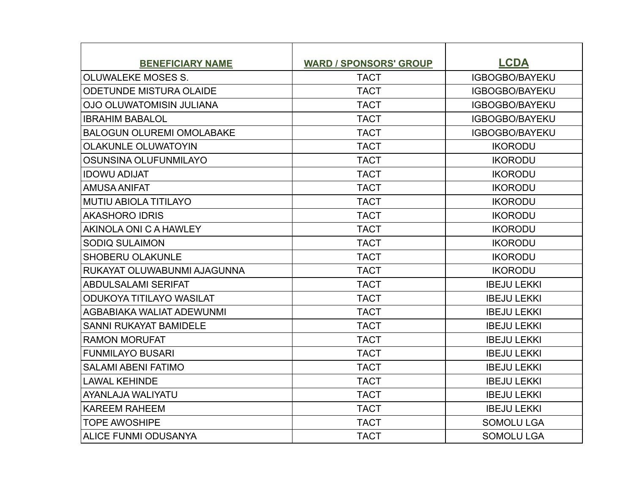| <b>BENEFICIARY NAME</b>          | <b>WARD / SPONSORS' GROUP</b> | <b>LCDA</b>           |
|----------------------------------|-------------------------------|-----------------------|
| <b>OLUWALEKE MOSES S.</b>        | <b>TACT</b>                   | <b>IGBOGBO/BAYEKU</b> |
| <b>ODETUNDE MISTURA OLAIDE</b>   | <b>TACT</b>                   | IGBOGBO/BAYEKU        |
| <b>OJO OLUWATOMISIN JULIANA</b>  | <b>TACT</b>                   | <b>IGBOGBO/BAYEKU</b> |
| <b>IBRAHIM BABALOL</b>           | <b>TACT</b>                   | <b>IGBOGBO/BAYEKU</b> |
| <b>BALOGUN OLUREMI OMOLABAKE</b> | <b>TACT</b>                   | <b>IGBOGBO/BAYEKU</b> |
| <b>OLAKUNLE OLUWATOYIN</b>       | <b>TACT</b>                   | <b>IKORODU</b>        |
| OSUNSINA OLUFUNMILAYO            | <b>TACT</b>                   | <b>IKORODU</b>        |
| <b>IDOWU ADIJAT</b>              | <b>TACT</b>                   | <b>IKORODU</b>        |
| <b>AMUSA ANIFAT</b>              | <b>TACT</b>                   | <b>IKORODU</b>        |
| <b>MUTIU ABIOLA TITILAYO</b>     | <b>TACT</b>                   | <b>IKORODU</b>        |
| <b>AKASHORO IDRIS</b>            | <b>TACT</b>                   | <b>IKORODU</b>        |
| AKINOLA ONI C A HAWLEY           | <b>TACT</b>                   | <b>IKORODU</b>        |
| <b>SODIQ SULAIMON</b>            | <b>TACT</b>                   | <b>IKORODU</b>        |
| <b>SHOBERU OLAKUNLE</b>          | <b>TACT</b>                   | <b>IKORODU</b>        |
| RUKAYAT OLUWABUNMI AJAGUNNA      | <b>TACT</b>                   | <b>IKORODU</b>        |
| <b>ABDULSALAMI SERIFAT</b>       | <b>TACT</b>                   | <b>IBEJU LEKKI</b>    |
| <b>ODUKOYA TITILAYO WASILAT</b>  | <b>TACT</b>                   | <b>IBEJU LEKKI</b>    |
| AGBABIAKA WALIAT ADEWUNMI        | <b>TACT</b>                   | <b>IBEJU LEKKI</b>    |
| <b>SANNI RUKAYAT BAMIDELE</b>    | <b>TACT</b>                   | <b>IBEJU LEKKI</b>    |
| <b>RAMON MORUFAT</b>             | <b>TACT</b>                   | <b>IBEJU LEKKI</b>    |
| <b>FUNMILAYO BUSARI</b>          | <b>TACT</b>                   | <b>IBEJU LEKKI</b>    |
| <b>SALAMI ABENI FATIMO</b>       | <b>TACT</b>                   | <b>IBEJU LEKKI</b>    |
| <b>LAWAL KEHINDE</b>             | <b>TACT</b>                   | <b>IBEJU LEKKI</b>    |
| AYANLAJA WALIYATU                | <b>TACT</b>                   | <b>IBEJU LEKKI</b>    |
| <b>KAREEM RAHEEM</b>             | <b>TACT</b>                   | <b>IBEJU LEKKI</b>    |
| <b>TOPE AWOSHIPE</b>             | <b>TACT</b>                   | <b>SOMOLU LGA</b>     |
| ALICE FUNMI ODUSANYA             | <b>TACT</b>                   | <b>SOMOLU LGA</b>     |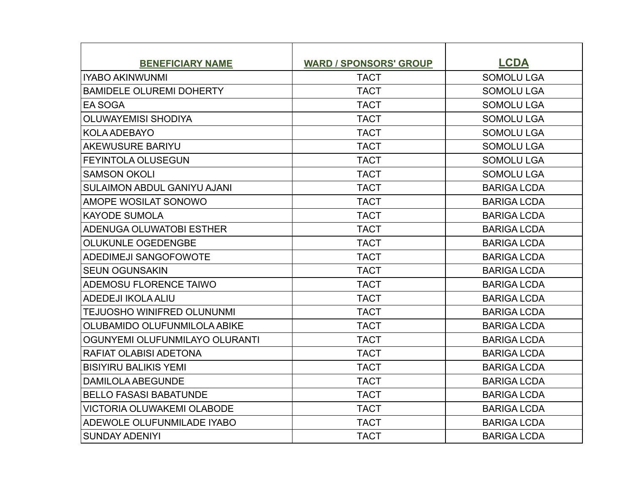| <b>BENEFICIARY NAME</b>            | <b>WARD / SPONSORS' GROUP</b> | <b>LCDA</b>        |
|------------------------------------|-------------------------------|--------------------|
| <b>IYABO AKINWUNMI</b>             | <b>TACT</b>                   | <b>SOMOLU LGA</b>  |
| <b>BAMIDELE OLUREMI DOHERTY</b>    | <b>TACT</b>                   | <b>SOMOLU LGA</b>  |
| EA SOGA                            | <b>TACT</b>                   | <b>SOMOLU LGA</b>  |
| <b>OLUWAYEMISI SHODIYA</b>         | <b>TACT</b>                   | <b>SOMOLU LGA</b>  |
| <b>KOLA ADEBAYO</b>                | <b>TACT</b>                   | <b>SOMOLU LGA</b>  |
| <b>AKEWUSURE BARIYU</b>            | <b>TACT</b>                   | <b>SOMOLU LGA</b>  |
| FEYINTOLA OLUSEGUN                 | <b>TACT</b>                   | <b>SOMOLU LGA</b>  |
| <b>SAMSON OKOLI</b>                | <b>TACT</b>                   | <b>SOMOLU LGA</b>  |
| <b>SULAIMON ABDUL GANIYU AJANI</b> | <b>TACT</b>                   | <b>BARIGA LCDA</b> |
| AMOPE WOSILAT SONOWO               | <b>TACT</b>                   | <b>BARIGA LCDA</b> |
| <b>KAYODE SUMOLA</b>               | <b>TACT</b>                   | <b>BARIGA LCDA</b> |
| ADENUGA OLUWATOBI ESTHER           | <b>TACT</b>                   | <b>BARIGA LCDA</b> |
| <b>OLUKUNLE OGEDENGBE</b>          | <b>TACT</b>                   | <b>BARIGA LCDA</b> |
| <b>ADEDIMEJI SANGOFOWOTE</b>       | <b>TACT</b>                   | <b>BARIGA LCDA</b> |
| <b>SEUN OGUNSAKIN</b>              | <b>TACT</b>                   | <b>BARIGA LCDA</b> |
| ADEMOSU FLORENCE TAIWO             | <b>TACT</b>                   | <b>BARIGA LCDA</b> |
| ADEDEJI IKOLA ALIU                 | <b>TACT</b>                   | <b>BARIGA LCDA</b> |
| TEJUOSHO WINIFRED OLUNUNMI         | <b>TACT</b>                   | <b>BARIGA LCDA</b> |
| OLUBAMIDO OLUFUNMILOLA ABIKE       | <b>TACT</b>                   | <b>BARIGA LCDA</b> |
| OGUNYEMI OLUFUNMILAYO OLURANTI     | <b>TACT</b>                   | <b>BARIGA LCDA</b> |
| RAFIAT OLABISI ADETONA             | <b>TACT</b>                   | <b>BARIGA LCDA</b> |
| <b>BISIYIRU BALIKIS YEMI</b>       | <b>TACT</b>                   | <b>BARIGA LCDA</b> |
| <b>DAMILOLA ABEGUNDE</b>           | <b>TACT</b>                   | <b>BARIGA LCDA</b> |
| <b>BELLO FASASI BABATUNDE</b>      | <b>TACT</b>                   | <b>BARIGA LCDA</b> |
| <b>VICTORIA OLUWAKEMI OLABODE</b>  | <b>TACT</b>                   | <b>BARIGA LCDA</b> |
| ADEWOLE OLUFUNMILADE IYABO         | <b>TACT</b>                   | <b>BARIGA LCDA</b> |
| <b>SUNDAY ADENIYI</b>              | <b>TACT</b>                   | <b>BARIGA LCDA</b> |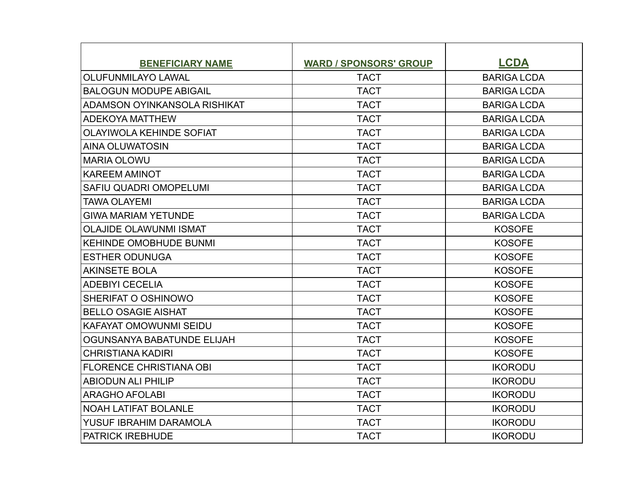| <b>BENEFICIARY NAME</b>         | <b>WARD / SPONSORS' GROUP</b> | <b>LCDA</b>        |
|---------------------------------|-------------------------------|--------------------|
| <b>OLUFUNMILAYO LAWAL</b>       | <b>TACT</b>                   | <b>BARIGA LCDA</b> |
| <b>BALOGUN MODUPE ABIGAIL</b>   | <b>TACT</b>                   | <b>BARIGA LCDA</b> |
| ADAMSON OYINKANSOLA RISHIKAT    | <b>TACT</b>                   | <b>BARIGA LCDA</b> |
| <b>ADEKOYA MATTHEW</b>          | <b>TACT</b>                   | <b>BARIGA LCDA</b> |
| <b>OLAYIWOLA KEHINDE SOFIAT</b> | <b>TACT</b>                   | <b>BARIGA LCDA</b> |
| AINA OLUWATOSIN                 | <b>TACT</b>                   | <b>BARIGA LCDA</b> |
| <b>MARIA OLOWU</b>              | <b>TACT</b>                   | <b>BARIGA LCDA</b> |
| <b>KAREEM AMINOT</b>            | <b>TACT</b>                   | <b>BARIGA LCDA</b> |
| SAFIU QUADRI OMOPELUMI          | <b>TACT</b>                   | <b>BARIGA LCDA</b> |
| <b>TAWA OLAYEMI</b>             | <b>TACT</b>                   | <b>BARIGA LCDA</b> |
| <b>GIWA MARIAM YETUNDE</b>      | <b>TACT</b>                   | <b>BARIGA LCDA</b> |
| <b>OLAJIDE OLAWUNMI ISMAT</b>   | <b>TACT</b>                   | <b>KOSOFE</b>      |
| <b>KEHINDE OMOBHUDE BUNMI</b>   | <b>TACT</b>                   | <b>KOSOFE</b>      |
| <b>ESTHER ODUNUGA</b>           | <b>TACT</b>                   | <b>KOSOFE</b>      |
| <b>AKINSETE BOLA</b>            | <b>TACT</b>                   | <b>KOSOFE</b>      |
| <b>ADEBIYI CECELIA</b>          | <b>TACT</b>                   | <b>KOSOFE</b>      |
| SHERIFAT O OSHINOWO             | <b>TACT</b>                   | <b>KOSOFE</b>      |
| <b>BELLO OSAGIE AISHAT</b>      | <b>TACT</b>                   | <b>KOSOFE</b>      |
| <b>KAFAYAT OMOWUNMI SEIDU</b>   | <b>TACT</b>                   | <b>KOSOFE</b>      |
| OGUNSANYA BABATUNDE ELIJAH      | <b>TACT</b>                   | <b>KOSOFE</b>      |
| <b>CHRISTIANA KADIRI</b>        | <b>TACT</b>                   | <b>KOSOFE</b>      |
| <b>FLORENCE CHRISTIANA OBI</b>  | <b>TACT</b>                   | <b>IKORODU</b>     |
| <b>ABIODUN ALI PHILIP</b>       | <b>TACT</b>                   | <b>IKORODU</b>     |
| <b>ARAGHO AFOLABI</b>           | <b>TACT</b>                   | <b>IKORODU</b>     |
| <b>NOAH LATIFAT BOLANLE</b>     | <b>TACT</b>                   | <b>IKORODU</b>     |
| YUSUF IBRAHIM DARAMOLA          | <b>TACT</b>                   | <b>IKORODU</b>     |
| <b>PATRICK IREBHUDE</b>         | <b>TACT</b>                   | <b>IKORODU</b>     |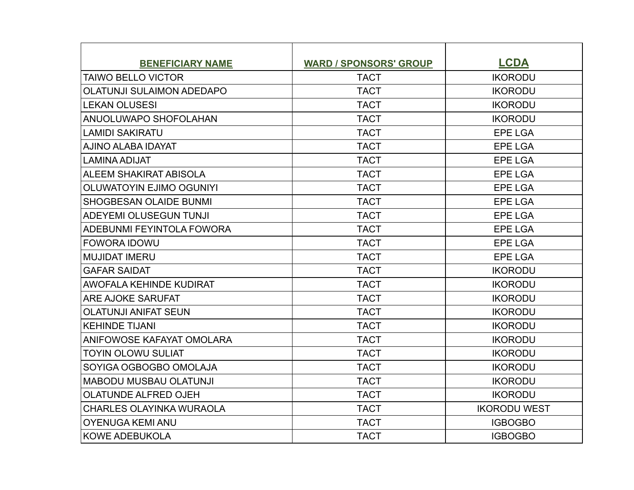| <b>BENEFICIARY NAME</b>          | <b>WARD / SPONSORS' GROUP</b> | <b>LCDA</b>         |
|----------------------------------|-------------------------------|---------------------|
| <b>TAIWO BELLO VICTOR</b>        | <b>TACT</b>                   | <b>IKORODU</b>      |
| <b>OLATUNJI SULAIMON ADEDAPO</b> | <b>TACT</b>                   | <b>IKORODU</b>      |
| <b>LEKAN OLUSESI</b>             | <b>TACT</b>                   | <b>IKORODU</b>      |
| ANUOLUWAPO SHOFOLAHAN            | <b>TACT</b>                   | <b>IKORODU</b>      |
| <b>LAMIDI SAKIRATU</b>           | <b>TACT</b>                   | <b>EPE LGA</b>      |
| AJINO ALABA IDAYAT               | <b>TACT</b>                   | <b>EPE LGA</b>      |
| <b>LAMINA ADIJAT</b>             | <b>TACT</b>                   | <b>EPE LGA</b>      |
| ALEEM SHAKIRAT ABISOLA           | <b>TACT</b>                   | <b>EPE LGA</b>      |
| <b>OLUWATOYIN EJIMO OGUNIYI</b>  | <b>TACT</b>                   | <b>EPE LGA</b>      |
| <b>SHOGBESAN OLAIDE BUNMI</b>    | <b>TACT</b>                   | <b>EPE LGA</b>      |
| ADEYEMI OLUSEGUN TUNJI           | <b>TACT</b>                   | <b>EPE LGA</b>      |
| ADEBUNMI FEYINTOLA FOWORA        | <b>TACT</b>                   | <b>EPE LGA</b>      |
| <b>FOWORA IDOWU</b>              | <b>TACT</b>                   | <b>EPE LGA</b>      |
| <b>MUJIDAT IMERU</b>             | <b>TACT</b>                   | <b>EPE LGA</b>      |
| <b>GAFAR SAIDAT</b>              | <b>TACT</b>                   | <b>IKORODU</b>      |
| AWOFALA KEHINDE KUDIRAT          | <b>TACT</b>                   | <b>IKORODU</b>      |
| <b>ARE AJOKE SARUFAT</b>         | <b>TACT</b>                   | <b>IKORODU</b>      |
| <b>OLATUNJI ANIFAT SEUN</b>      | <b>TACT</b>                   | <b>IKORODU</b>      |
| <b>KEHINDE TIJANI</b>            | <b>TACT</b>                   | <b>IKORODU</b>      |
| ANIFOWOSE KAFAYAT OMOLARA        | <b>TACT</b>                   | <b>IKORODU</b>      |
| <b>TOYIN OLOWU SULIAT</b>        | <b>TACT</b>                   | <b>IKORODU</b>      |
| SOYIGA OGBOGBO OMOLAJA           | <b>TACT</b>                   | <b>IKORODU</b>      |
| <b>MABODU MUSBAU OLATUNJI</b>    | <b>TACT</b>                   | <b>IKORODU</b>      |
| <b>OLATUNDE ALFRED OJEH</b>      | <b>TACT</b>                   | <b>IKORODU</b>      |
| <b>CHARLES OLAYINKA WURAOLA</b>  | <b>TACT</b>                   | <b>IKORODU WEST</b> |
| <b>OYENUGA KEMI ANU</b>          | <b>TACT</b>                   | <b>IGBOGBO</b>      |
| <b>KOWE ADEBUKOLA</b>            | <b>TACT</b>                   | <b>IGBOGBO</b>      |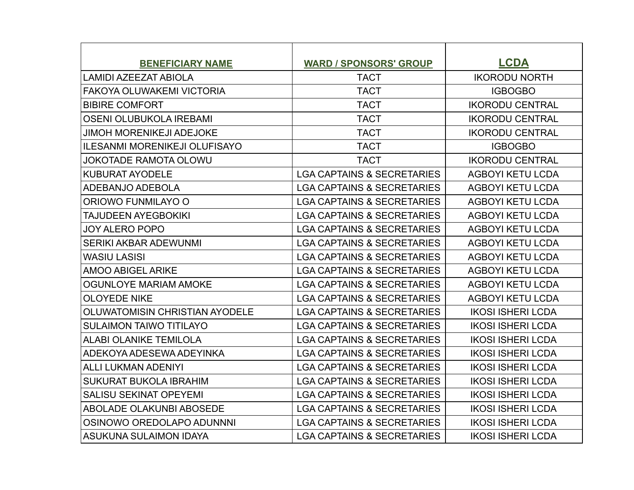| <b>BENEFICIARY NAME</b>              | <b>WARD / SPONSORS' GROUP</b>         | <b>LCDA</b>              |
|--------------------------------------|---------------------------------------|--------------------------|
| LAMIDI AZEEZAT ABIOLA                | <b>TACT</b>                           | <b>IKORODU NORTH</b>     |
| <b>FAKOYA OLUWAKEMI VICTORIA</b>     | <b>TACT</b>                           | <b>IGBOGBO</b>           |
| <b>BIBIRE COMFORT</b>                | <b>TACT</b>                           | <b>IKORODU CENTRAL</b>   |
| <b>OSENI OLUBUKOLA IREBAMI</b>       | <b>TACT</b>                           | <b>IKORODU CENTRAL</b>   |
| <b>JIMOH MORENIKEJI ADEJOKE</b>      | <b>TACT</b>                           | <b>IKORODU CENTRAL</b>   |
| <b>ILESANMI MORENIKEJI OLUFISAYO</b> | <b>TACT</b>                           | <b>IGBOGBO</b>           |
| <b>JOKOTADE RAMOTA OLOWU</b>         | <b>TACT</b>                           | <b>IKORODU CENTRAL</b>   |
| <b>KUBURAT AYODELE</b>               | <b>LGA CAPTAINS &amp; SECRETARIES</b> | <b>AGBOYI KETU LCDA</b>  |
| ADEBANJO ADEBOLA                     | <b>LGA CAPTAINS &amp; SECRETARIES</b> | <b>AGBOYI KETU LCDA</b>  |
| ORIOWO FUNMILAYO O                   | <b>LGA CAPTAINS &amp; SECRETARIES</b> | <b>AGBOYI KETU LCDA</b>  |
| TAJUDEEN AYEGBOKIKI                  | <b>LGA CAPTAINS &amp; SECRETARIES</b> | <b>AGBOYI KETU LCDA</b>  |
| <b>JOY ALERO POPO</b>                | <b>LGA CAPTAINS &amp; SECRETARIES</b> | <b>AGBOYI KETU LCDA</b>  |
| <b>SERIKI AKBAR ADEWUNMI</b>         | <b>LGA CAPTAINS &amp; SECRETARIES</b> | <b>AGBOYI KETU LCDA</b>  |
| <b>WASIU LASISI</b>                  | <b>LGA CAPTAINS &amp; SECRETARIES</b> | <b>AGBOYI KETU LCDA</b>  |
| AMOO ABIGEL ARIKE                    | <b>LGA CAPTAINS &amp; SECRETARIES</b> | <b>AGBOYI KETU LCDA</b>  |
| OGUNLOYE MARIAM AMOKE                | <b>LGA CAPTAINS &amp; SECRETARIES</b> | <b>AGBOYI KETU LCDA</b>  |
| <b>OLOYEDE NIKE</b>                  | <b>LGA CAPTAINS &amp; SECRETARIES</b> | <b>AGBOYI KETU LCDA</b>  |
| OLUWATOMISIN CHRISTIAN AYODELE       | <b>LGA CAPTAINS &amp; SECRETARIES</b> | <b>IKOSI ISHERI LCDA</b> |
| <b>SULAIMON TAIWO TITILAYO</b>       | <b>LGA CAPTAINS &amp; SECRETARIES</b> | <b>IKOSI ISHERI LCDA</b> |
| <b>ALABI OLANIKE TEMILOLA</b>        | <b>LGA CAPTAINS &amp; SECRETARIES</b> | <b>IKOSI ISHERI LCDA</b> |
| ADEKOYA ADESEWA ADEYINKA             | <b>LGA CAPTAINS &amp; SECRETARIES</b> | <b>IKOSI ISHERI LCDA</b> |
| ALLI LUKMAN ADENIYI                  | <b>LGA CAPTAINS &amp; SECRETARIES</b> | <b>IKOSI ISHERI LCDA</b> |
| <b>SUKURAT BUKOLA IBRAHIM</b>        | <b>LGA CAPTAINS &amp; SECRETARIES</b> | <b>IKOSI ISHERI LCDA</b> |
| <b>SALISU SEKINAT OPEYEMI</b>        | <b>LGA CAPTAINS &amp; SECRETARIES</b> | <b>IKOSI ISHERI LCDA</b> |
| <b>ABOLADE OLAKUNBI ABOSEDE</b>      | <b>LGA CAPTAINS &amp; SECRETARIES</b> | <b>IKOSI ISHERI LCDA</b> |
| OSINOWO OREDOLAPO ADUNNNI            | <b>LGA CAPTAINS &amp; SECRETARIES</b> | <b>IKOSI ISHERI LCDA</b> |
| IASUKUNA SULAIMON IDAYA              | <b>LGA CAPTAINS &amp; SECRETARIES</b> | <b>IKOSI ISHERI LCDA</b> |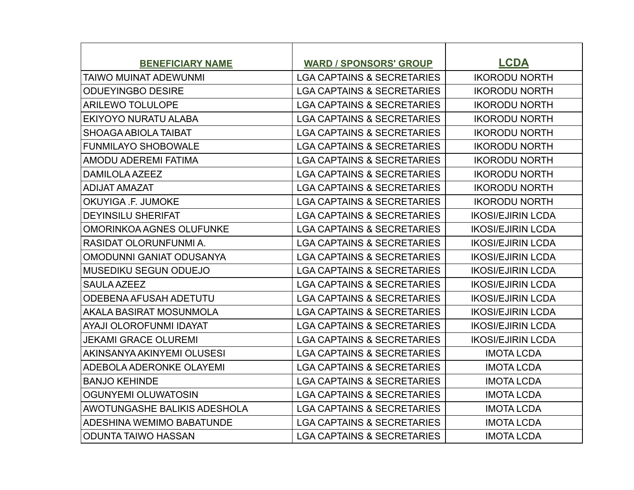| <b>BENEFICIARY NAME</b>         | <b>WARD / SPONSORS' GROUP</b>         | <b>LCDA</b>              |
|---------------------------------|---------------------------------------|--------------------------|
| TAIWO MUINAT ADEWUNMI           | <b>LGA CAPTAINS &amp; SECRETARIES</b> | <b>IKORODU NORTH</b>     |
| <b>ODUEYINGBO DESIRE</b>        | <b>LGA CAPTAINS &amp; SECRETARIES</b> | <b>IKORODU NORTH</b>     |
| <b>ARILEWO TOLULOPE</b>         | <b>LGA CAPTAINS &amp; SECRETARIES</b> | <b>IKORODU NORTH</b>     |
| EKIYOYO NURATU ALABA            | <b>LGA CAPTAINS &amp; SECRETARIES</b> | <b>IKORODU NORTH</b>     |
| SHOAGA ABIOLA TAIBAT            | <b>LGA CAPTAINS &amp; SECRETARIES</b> | <b>IKORODU NORTH</b>     |
| <b>FUNMILAYO SHOBOWALE</b>      | <b>LGA CAPTAINS &amp; SECRETARIES</b> | <b>IKORODU NORTH</b>     |
| AMODU ADEREMI FATIMA            | <b>LGA CAPTAINS &amp; SECRETARIES</b> | <b>IKORODU NORTH</b>     |
| DAMILOLA AZEEZ                  | <b>LGA CAPTAINS &amp; SECRETARIES</b> | <b>IKORODU NORTH</b>     |
| <b>ADIJAT AMAZAT</b>            | <b>LGA CAPTAINS &amp; SECRETARIES</b> | <b>IKORODU NORTH</b>     |
| OKUYIGA .F. JUMOKE              | <b>LGA CAPTAINS &amp; SECRETARIES</b> | <b>IKORODU NORTH</b>     |
| <b>DEYINSILU SHERIFAT</b>       | <b>LGA CAPTAINS &amp; SECRETARIES</b> | <b>IKOSI/EJIRIN LCDA</b> |
| <b>OMORINKOA AGNES OLUFUNKE</b> | <b>LGA CAPTAINS &amp; SECRETARIES</b> | <b>IKOSI/EJIRIN LCDA</b> |
| RASIDAT OLORUNFUNMI A.          | <b>LGA CAPTAINS &amp; SECRETARIES</b> | <b>IKOSI/EJIRIN LCDA</b> |
| <b>OMODUNNI GANIAT ODUSANYA</b> | <b>LGA CAPTAINS &amp; SECRETARIES</b> | <b>IKOSI/EJIRIN LCDA</b> |
| <b>MUSEDIKU SEGUN ODUEJO</b>    | <b>LGA CAPTAINS &amp; SECRETARIES</b> | <b>IKOSI/EJIRIN LCDA</b> |
| SAULA AZEEZ                     | <b>LGA CAPTAINS &amp; SECRETARIES</b> | <b>IKOSI/EJIRIN LCDA</b> |
| ODEBENA AFUSAH ADETUTU          | <b>LGA CAPTAINS &amp; SECRETARIES</b> | <b>IKOSI/EJIRIN LCDA</b> |
| AKALA BASIRAT MOSUNMOLA         | <b>LGA CAPTAINS &amp; SECRETARIES</b> | <b>IKOSI/EJIRIN LCDA</b> |
| AYAJI OLOROFUNMI IDAYAT         | <b>LGA CAPTAINS &amp; SECRETARIES</b> | <b>IKOSI/EJIRIN LCDA</b> |
| <b>JEKAMI GRACE OLUREMI</b>     | <b>LGA CAPTAINS &amp; SECRETARIES</b> | <b>IKOSI/EJIRIN LCDA</b> |
| AKINSANYA AKINYEMI OLUSESI      | <b>LGA CAPTAINS &amp; SECRETARIES</b> | <b>IMOTA LCDA</b>        |
| ADEBOLA ADERONKE OLAYEMI        | <b>LGA CAPTAINS &amp; SECRETARIES</b> | <b>IMOTA LCDA</b>        |
| <b>BANJO KEHINDE</b>            | <b>LGA CAPTAINS &amp; SECRETARIES</b> | <b>IMOTA LCDA</b>        |
| <b>OGUNYEMI OLUWATOSIN</b>      | <b>LGA CAPTAINS &amp; SECRETARIES</b> | <b>IMOTA LCDA</b>        |
| AWOTUNGASHE BALIKIS ADESHOLA    | <b>LGA CAPTAINS &amp; SECRETARIES</b> | <b>IMOTA LCDA</b>        |
| ADESHINA WEMIMO BABATUNDE       | <b>LGA CAPTAINS &amp; SECRETARIES</b> | <b>IMOTA LCDA</b>        |
| <b>ODUNTA TAIWO HASSAN</b>      | <b>LGA CAPTAINS &amp; SECRETARIES</b> | <b>IMOTA LCDA</b>        |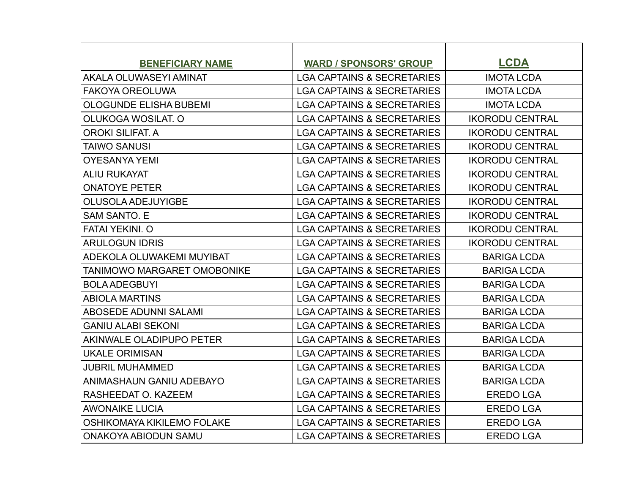| <b>BENEFICIARY NAME</b>         | <b>WARD / SPONSORS' GROUP</b>         | <b>LCDA</b>            |
|---------------------------------|---------------------------------------|------------------------|
| AKALA OLUWASEYI AMINAT          | <b>LGA CAPTAINS &amp; SECRETARIES</b> | <b>IMOTA LCDA</b>      |
| <b>FAKOYA OREOLUWA</b>          | <b>LGA CAPTAINS &amp; SECRETARIES</b> | <b>IMOTA LCDA</b>      |
| <b>OLOGUNDE ELISHA BUBEMI</b>   | <b>LGA CAPTAINS &amp; SECRETARIES</b> | <b>IMOTA LCDA</b>      |
| OLUKOGA WOSILAT. O              | <b>LGA CAPTAINS &amp; SECRETARIES</b> | <b>IKORODU CENTRAL</b> |
| <b>OROKI SILIFAT, A</b>         | <b>LGA CAPTAINS &amp; SECRETARIES</b> | <b>IKORODU CENTRAL</b> |
| TAIWO SANUSI                    | <b>LGA CAPTAINS &amp; SECRETARIES</b> | <b>IKORODU CENTRAL</b> |
| <b>OYESANYA YEMI</b>            | <b>LGA CAPTAINS &amp; SECRETARIES</b> | <b>IKORODU CENTRAL</b> |
| <b>ALIU RUKAYAT</b>             | <b>LGA CAPTAINS &amp; SECRETARIES</b> | <b>IKORODU CENTRAL</b> |
| <b>ONATOYE PETER</b>            | <b>LGA CAPTAINS &amp; SECRETARIES</b> | <b>IKORODU CENTRAL</b> |
| <b>OLUSOLA ADEJUYIGBE</b>       | <b>LGA CAPTAINS &amp; SECRETARIES</b> | <b>IKORODU CENTRAL</b> |
| <b>SAM SANTO, E</b>             | <b>LGA CAPTAINS &amp; SECRETARIES</b> | <b>IKORODU CENTRAL</b> |
| <b>FATAI YEKINI, O</b>          | <b>LGA CAPTAINS &amp; SECRETARIES</b> | <b>IKORODU CENTRAL</b> |
| <b>ARULOGUN IDRIS</b>           | <b>LGA CAPTAINS &amp; SECRETARIES</b> | <b>IKORODU CENTRAL</b> |
| ADEKOLA OLUWAKEMI MUYIBAT       | <b>LGA CAPTAINS &amp; SECRETARIES</b> | <b>BARIGA LCDA</b>     |
| TANIMOWO MARGARET OMOBONIKE     | <b>LGA CAPTAINS &amp; SECRETARIES</b> | <b>BARIGA LCDA</b>     |
| <b>BOLA ADEGBUYI</b>            | <b>LGA CAPTAINS &amp; SECRETARIES</b> | <b>BARIGA LCDA</b>     |
| <b>ABIOLA MARTINS</b>           | <b>LGA CAPTAINS &amp; SECRETARIES</b> | <b>BARIGA LCDA</b>     |
| <b>ABOSEDE ADUNNI SALAMI</b>    | <b>LGA CAPTAINS &amp; SECRETARIES</b> | <b>BARIGA LCDA</b>     |
| <b>GANIU ALABI SEKONI</b>       | <b>LGA CAPTAINS &amp; SECRETARIES</b> | <b>BARIGA LCDA</b>     |
| <b>AKINWALE OLADIPUPO PETER</b> | <b>LGA CAPTAINS &amp; SECRETARIES</b> | <b>BARIGA LCDA</b>     |
| <b>UKALE ORIMISAN</b>           | <b>LGA CAPTAINS &amp; SECRETARIES</b> | <b>BARIGA LCDA</b>     |
| <b>JUBRIL MUHAMMED</b>          | <b>LGA CAPTAINS &amp; SECRETARIES</b> | <b>BARIGA LCDA</b>     |
| ANIMASHAUN GANIU ADEBAYO        | <b>LGA CAPTAINS &amp; SECRETARIES</b> | <b>BARIGA LCDA</b>     |
| RASHEEDAT O. KAZEEM             | <b>LGA CAPTAINS &amp; SECRETARIES</b> | <b>EREDO LGA</b>       |
| AWONAIKE LUCIA                  | <b>LGA CAPTAINS &amp; SECRETARIES</b> | <b>EREDO LGA</b>       |
| OSHIKOMAYA KIKILEMO FOLAKE      | <b>LGA CAPTAINS &amp; SECRETARIES</b> | <b>EREDO LGA</b>       |
| ONAKOYA ABIODUN SAMU            | <b>LGA CAPTAINS &amp; SECRETARIES</b> | <b>EREDO LGA</b>       |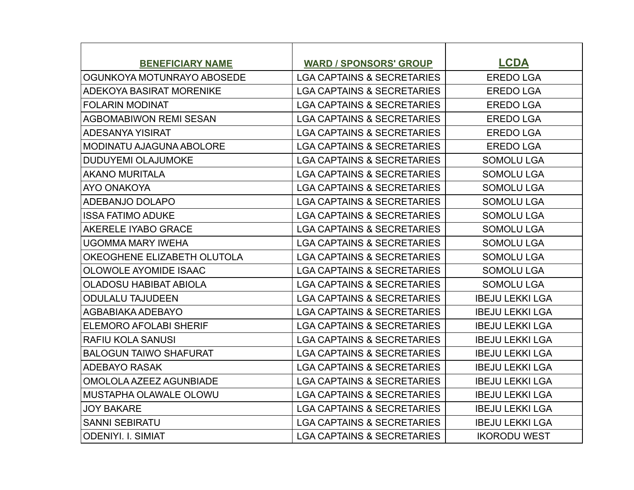| <b>BENEFICIARY NAME</b>         | <b>WARD / SPONSORS' GROUP</b>         | <b>LCDA</b>            |
|---------------------------------|---------------------------------------|------------------------|
| OGUNKOYA MOTUNRAYO ABOSEDE      | <b>LGA CAPTAINS &amp; SECRETARIES</b> | <b>EREDO LGA</b>       |
| ADEKOYA BASIRAT MORENIKE        | <b>LGA CAPTAINS &amp; SECRETARIES</b> | <b>EREDO LGA</b>       |
| FOLARIN MODINAT                 | <b>LGA CAPTAINS &amp; SECRETARIES</b> | <b>EREDO LGA</b>       |
| AGBOMABIWON REMI SESAN          | <b>LGA CAPTAINS &amp; SECRETARIES</b> | <b>EREDO LGA</b>       |
| <b>ADESANYA YISIRAT</b>         | <b>LGA CAPTAINS &amp; SECRETARIES</b> | <b>EREDO LGA</b>       |
| <b>MODINATU AJAGUNA ABOLORE</b> | <b>LGA CAPTAINS &amp; SECRETARIES</b> | <b>EREDO LGA</b>       |
| <b>DUDUYEMI OLAJUMOKE</b>       | <b>LGA CAPTAINS &amp; SECRETARIES</b> | <b>SOMOLU LGA</b>      |
| <b>AKANO MURITALA</b>           | <b>LGA CAPTAINS &amp; SECRETARIES</b> | <b>SOMOLU LGA</b>      |
| AYO ONAKOYA                     | <b>LGA CAPTAINS &amp; SECRETARIES</b> | <b>SOMOLU LGA</b>      |
| <b>ADEBANJO DOLAPO</b>          | <b>LGA CAPTAINS &amp; SECRETARIES</b> | <b>SOMOLU LGA</b>      |
| <b>ISSA FATIMO ADUKE</b>        | <b>LGA CAPTAINS &amp; SECRETARIES</b> | <b>SOMOLU LGA</b>      |
| AKERELE IYABO GRACE             | <b>LGA CAPTAINS &amp; SECRETARIES</b> | <b>SOMOLU LGA</b>      |
| <b>UGOMMA MARY IWEHA</b>        | <b>LGA CAPTAINS &amp; SECRETARIES</b> | <b>SOMOLU LGA</b>      |
| OKEOGHENE ELIZABETH OLUTOLA     | <b>LGA CAPTAINS &amp; SECRETARIES</b> | <b>SOMOLU LGA</b>      |
| <b>OLOWOLE AYOMIDE ISAAC</b>    | <b>LGA CAPTAINS &amp; SECRETARIES</b> | <b>SOMOLU LGA</b>      |
| <b>OLADOSU HABIBAT ABIOLA</b>   | <b>LGA CAPTAINS &amp; SECRETARIES</b> | <b>SOMOLU LGA</b>      |
| <b>ODULALU TAJUDEEN</b>         | <b>LGA CAPTAINS &amp; SECRETARIES</b> | <b>IBEJU LEKKI LGA</b> |
| AGBABIAKA ADEBAYO               | <b>LGA CAPTAINS &amp; SECRETARIES</b> | <b>IBEJU LEKKI LGA</b> |
| <b>ELEMORO AFOLABI SHERIF</b>   | <b>LGA CAPTAINS &amp; SECRETARIES</b> | <b>IBEJU LEKKI LGA</b> |
| <b>RAFIU KOLA SANUSI</b>        | <b>LGA CAPTAINS &amp; SECRETARIES</b> | <b>IBEJU LEKKI LGA</b> |
| <b>BALOGUN TAIWO SHAFURAT</b>   | <b>LGA CAPTAINS &amp; SECRETARIES</b> | <b>IBEJU LEKKI LGA</b> |
| <b>ADEBAYO RASAK</b>            | <b>LGA CAPTAINS &amp; SECRETARIES</b> | <b>IBEJU LEKKI LGA</b> |
| OMOLOLA AZEEZ AGUNBIADE         | <b>LGA CAPTAINS &amp; SECRETARIES</b> | <b>IBEJU LEKKI LGA</b> |
| MUSTAPHA OLAWALE OLOWU          | <b>LGA CAPTAINS &amp; SECRETARIES</b> | <b>IBEJU LEKKI LGA</b> |
| <b>JOY BAKARE</b>               | <b>LGA CAPTAINS &amp; SECRETARIES</b> | <b>IBEJU LEKKI LGA</b> |
| <b>SANNI SEBIRATU</b>           | <b>LGA CAPTAINS &amp; SECRETARIES</b> | <b>IBEJU LEKKI LGA</b> |
| <b>ODENIYI. I. SIMIAT</b>       | <b>LGA CAPTAINS &amp; SECRETARIES</b> | <b>IKORODU WEST</b>    |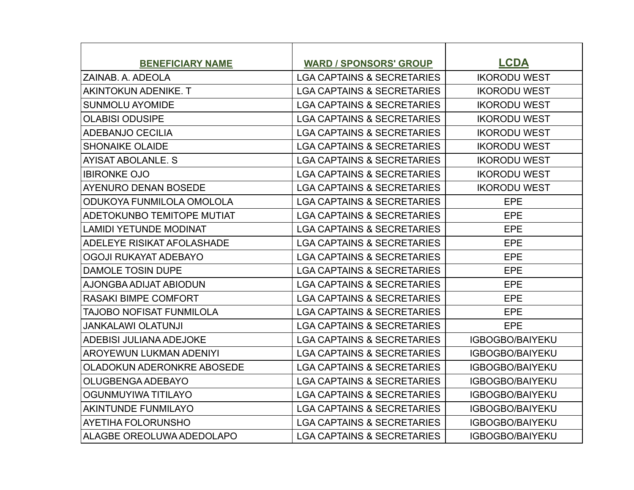| <b>BENEFICIARY NAME</b>           | <b>WARD / SPONSORS' GROUP</b>         | <b>LCDA</b>            |
|-----------------------------------|---------------------------------------|------------------------|
| ZAINAB. A. ADEOLA                 | <b>LGA CAPTAINS &amp; SECRETARIES</b> | <b>IKORODU WEST</b>    |
| <b>AKINTOKUN ADENIKE. T</b>       | <b>LGA CAPTAINS &amp; SECRETARIES</b> | <b>IKORODU WEST</b>    |
| <b>SUNMOLU AYOMIDE</b>            | <b>LGA CAPTAINS &amp; SECRETARIES</b> | <b>IKORODU WEST</b>    |
| <b>OLABISI ODUSIPE</b>            | <b>LGA CAPTAINS &amp; SECRETARIES</b> | <b>IKORODU WEST</b>    |
| <b>ADEBANJO CECILIA</b>           | <b>LGA CAPTAINS &amp; SECRETARIES</b> | <b>IKORODU WEST</b>    |
| <b>SHONAIKE OLAIDE</b>            | <b>LGA CAPTAINS &amp; SECRETARIES</b> | <b>IKORODU WEST</b>    |
| AYISAT ABOLANLE. S                | <b>LGA CAPTAINS &amp; SECRETARIES</b> | <b>IKORODU WEST</b>    |
| <b>IBIRONKE OJO</b>               | <b>LGA CAPTAINS &amp; SECRETARIES</b> | <b>IKORODU WEST</b>    |
| <b>AYENURO DENAN BOSEDE</b>       | <b>LGA CAPTAINS &amp; SECRETARIES</b> | <b>IKORODU WEST</b>    |
| ODUKOYA FUNMILOLA OMOLOLA         | <b>LGA CAPTAINS &amp; SECRETARIES</b> | EPE                    |
| ADETOKUNBO TEMITOPE MUTIAT        | <b>LGA CAPTAINS &amp; SECRETARIES</b> | <b>EPE</b>             |
| <b>LAMIDI YETUNDE MODINAT</b>     | <b>LGA CAPTAINS &amp; SECRETARIES</b> | EPE                    |
| ADELEYE RISIKAT AFOLASHADE        | <b>LGA CAPTAINS &amp; SECRETARIES</b> | <b>EPE</b>             |
| OGOJI RUKAYAT ADEBAYO             | <b>LGA CAPTAINS &amp; SECRETARIES</b> | EPE                    |
| <b>DAMOLE TOSIN DUPE</b>          | <b>LGA CAPTAINS &amp; SECRETARIES</b> | <b>EPE</b>             |
| AJONGBA ADIJAT ABIODUN            | <b>LGA CAPTAINS &amp; SECRETARIES</b> | <b>EPE</b>             |
| <b>RASAKI BIMPE COMFORT</b>       | <b>LGA CAPTAINS &amp; SECRETARIES</b> | EPE                    |
| TAJOBO NOFISAT FUNMILOLA          | <b>LGA CAPTAINS &amp; SECRETARIES</b> | <b>EPE</b>             |
| <b>JANKALAWI OLATUNJI</b>         | <b>LGA CAPTAINS &amp; SECRETARIES</b> | <b>EPE</b>             |
| <b>ADEBISI JULIANA ADEJOKE</b>    | <b>LGA CAPTAINS &amp; SECRETARIES</b> | <b>IGBOGBO/BAIYEKU</b> |
| AROYEWUN LUKMAN ADENIYI           | <b>LGA CAPTAINS &amp; SECRETARIES</b> | <b>IGBOGBO/BAIYEKU</b> |
| <b>OLADOKUN ADERONKRE ABOSEDE</b> | <b>LGA CAPTAINS &amp; SECRETARIES</b> | <b>IGBOGBO/BAIYEKU</b> |
| OLUGBENGA ADEBAYO                 | <b>LGA CAPTAINS &amp; SECRETARIES</b> | <b>IGBOGBO/BAIYEKU</b> |
| OGUNMUYIWA TITILAYO               | <b>LGA CAPTAINS &amp; SECRETARIES</b> | <b>IGBOGBO/BAIYEKU</b> |
| <b>AKINTUNDE FUNMILAYO</b>        | <b>LGA CAPTAINS &amp; SECRETARIES</b> | <b>IGBOGBO/BAIYEKU</b> |
| AYETIHA FOLORUNSHO                | <b>LGA CAPTAINS &amp; SECRETARIES</b> | <b>IGBOGBO/BAIYEKU</b> |
| ALAGBE OREOLUWA ADEDOLAPO         | <b>LGA CAPTAINS &amp; SECRETARIES</b> | <b>IGBOGBO/BAIYEKU</b> |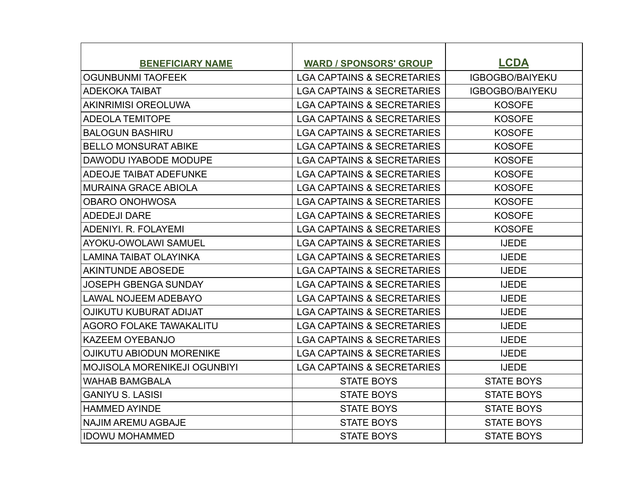| <b>BENEFICIARY NAME</b>             | <b>WARD / SPONSORS' GROUP</b>         | <b>LCDA</b>            |
|-------------------------------------|---------------------------------------|------------------------|
| <b>OGUNBUNMI TAOFEEK</b>            | <b>LGA CAPTAINS &amp; SECRETARIES</b> | <b>IGBOGBO/BAIYEKU</b> |
| <b>ADEKOKA TAIBAT</b>               | <b>LGA CAPTAINS &amp; SECRETARIES</b> | <b>IGBOGBO/BAIYEKU</b> |
| <b>AKINRIMISI OREOLUWA</b>          | <b>LGA CAPTAINS &amp; SECRETARIES</b> | <b>KOSOFE</b>          |
| <b>ADEOLA TEMITOPE</b>              | <b>LGA CAPTAINS &amp; SECRETARIES</b> | <b>KOSOFE</b>          |
| <b>BALOGUN BASHIRU</b>              | <b>LGA CAPTAINS &amp; SECRETARIES</b> | <b>KOSOFE</b>          |
| <b>BELLO MONSURAT ABIKE</b>         | <b>LGA CAPTAINS &amp; SECRETARIES</b> | <b>KOSOFE</b>          |
| DAWODU IYABODE MODUPE               | <b>LGA CAPTAINS &amp; SECRETARIES</b> | <b>KOSOFE</b>          |
| <b>ADEOJE TAIBAT ADEFUNKE</b>       | <b>LGA CAPTAINS &amp; SECRETARIES</b> | <b>KOSOFE</b>          |
| <b>MURAINA GRACE ABIOLA</b>         | <b>LGA CAPTAINS &amp; SECRETARIES</b> | <b>KOSOFE</b>          |
| <b>OBARO ONOHWOSA</b>               | <b>LGA CAPTAINS &amp; SECRETARIES</b> | <b>KOSOFE</b>          |
| <b>ADEDEJI DARE</b>                 | <b>LGA CAPTAINS &amp; SECRETARIES</b> | <b>KOSOFE</b>          |
| ADENIYI, R. FOLAYEMI                | <b>LGA CAPTAINS &amp; SECRETARIES</b> | <b>KOSOFE</b>          |
| <b>AYOKU-OWOLAWI SAMUEL</b>         | <b>LGA CAPTAINS &amp; SECRETARIES</b> | <b>IJEDE</b>           |
| LAMINA TAIBAT OLAYINKA              | <b>LGA CAPTAINS &amp; SECRETARIES</b> | <b>IJEDE</b>           |
| <b>AKINTUNDE ABOSEDE</b>            | <b>LGA CAPTAINS &amp; SECRETARIES</b> | <b>IJEDE</b>           |
| <b>JOSEPH GBENGA SUNDAY</b>         | <b>LGA CAPTAINS &amp; SECRETARIES</b> | <b>IJEDE</b>           |
| <b>LAWAL NOJEEM ADEBAYO</b>         | <b>LGA CAPTAINS &amp; SECRETARIES</b> | <b>IJEDE</b>           |
| <b>OJIKUTU KUBURAT ADIJAT</b>       | <b>LGA CAPTAINS &amp; SECRETARIES</b> | <b>IJEDE</b>           |
| AGORO FOLAKE TAWAKALITU             | <b>LGA CAPTAINS &amp; SECRETARIES</b> | <b>IJEDE</b>           |
| <b>KAZEEM OYEBANJO</b>              | <b>LGA CAPTAINS &amp; SECRETARIES</b> | <b>IJEDE</b>           |
| <b>OJIKUTU ABIODUN MORENIKE</b>     | <b>LGA CAPTAINS &amp; SECRETARIES</b> | <b>IJEDE</b>           |
| <b>MOJISOLA MORENIKEJI OGUNBIYI</b> | <b>LGA CAPTAINS &amp; SECRETARIES</b> | <b>IJEDE</b>           |
| <b>WAHAB BAMGBALA</b>               | <b>STATE BOYS</b>                     | <b>STATE BOYS</b>      |
| <b>GANIYU S. LASISI</b>             | <b>STATE BOYS</b>                     | <b>STATE BOYS</b>      |
| HAMMED AYINDE                       | <b>STATE BOYS</b>                     | <b>STATE BOYS</b>      |
| <b>NAJIM AREMU AGBAJE</b>           | <b>STATE BOYS</b>                     | <b>STATE BOYS</b>      |
| <b>IDOWU MOHAMMED</b>               | <b>STATE BOYS</b>                     | <b>STATE BOYS</b>      |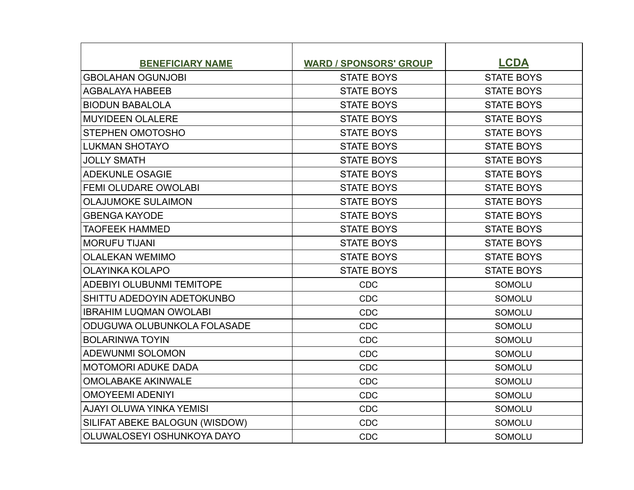| <b>BENEFICIARY NAME</b>        | <b>WARD / SPONSORS' GROUP</b> | <b>LCDA</b>       |
|--------------------------------|-------------------------------|-------------------|
| <b>GBOLAHAN OGUNJOBI</b>       | <b>STATE BOYS</b>             | <b>STATE BOYS</b> |
| <b>AGBALAYA HABEEB</b>         | <b>STATE BOYS</b>             | <b>STATE BOYS</b> |
| <b>BIODUN BABALOLA</b>         | <b>STATE BOYS</b>             | <b>STATE BOYS</b> |
| <b>MUYIDEEN OLALERE</b>        | <b>STATE BOYS</b>             | <b>STATE BOYS</b> |
| <b>STEPHEN OMOTOSHO</b>        | <b>STATE BOYS</b>             | <b>STATE BOYS</b> |
| <b>LUKMAN SHOTAYO</b>          | <b>STATE BOYS</b>             | <b>STATE BOYS</b> |
| <b>JOLLY SMATH</b>             | <b>STATE BOYS</b>             | <b>STATE BOYS</b> |
| <b>ADEKUNLE OSAGIE</b>         | <b>STATE BOYS</b>             | <b>STATE BOYS</b> |
| <b>FEMI OLUDARE OWOLABI</b>    | <b>STATE BOYS</b>             | <b>STATE BOYS</b> |
| <b>OLAJUMOKE SULAIMON</b>      | <b>STATE BOYS</b>             | <b>STATE BOYS</b> |
| <b>GBENGA KAYODE</b>           | <b>STATE BOYS</b>             | <b>STATE BOYS</b> |
| <b>TAOFEEK HAMMED</b>          | <b>STATE BOYS</b>             | <b>STATE BOYS</b> |
| <b>MORUFU TIJANI</b>           | <b>STATE BOYS</b>             | <b>STATE BOYS</b> |
| <b>OLALEKAN WEMIMO</b>         | <b>STATE BOYS</b>             | <b>STATE BOYS</b> |
| <b>OLAYINKA KOLAPO</b>         | <b>STATE BOYS</b>             | <b>STATE BOYS</b> |
| ADEBIYI OLUBUNMI TEMITOPE      | <b>CDC</b>                    | SOMOLU            |
| SHITTU ADEDOYIN ADETOKUNBO     | <b>CDC</b>                    | <b>SOMOLU</b>     |
| <b>IBRAHIM LUQMAN OWOLABI</b>  | <b>CDC</b>                    | <b>SOMOLU</b>     |
| ODUGUWA OLUBUNKOLA FOLASADE    | <b>CDC</b>                    | SOMOLU            |
| <b>BOLARINWA TOYIN</b>         | <b>CDC</b>                    | <b>SOMOLU</b>     |
| <b>ADEWUNMI SOLOMON</b>        | <b>CDC</b>                    | <b>SOMOLU</b>     |
| <b>MOTOMORI ADUKE DADA</b>     | <b>CDC</b>                    | SOMOLU            |
| <b>OMOLABAKE AKINWALE</b>      | <b>CDC</b>                    | <b>SOMOLU</b>     |
| <b>OMOYEEMI ADENIYI</b>        | <b>CDC</b>                    | <b>SOMOLU</b>     |
| AJAYI OLUWA YINKA YEMISI       | <b>CDC</b>                    | <b>SOMOLU</b>     |
| SILIFAT ABEKE BALOGUN (WISDOW) | <b>CDC</b>                    | <b>SOMOLU</b>     |
| OLUWALOSEYI OSHUNKOYA DAYO     | <b>CDC</b>                    | <b>SOMOLU</b>     |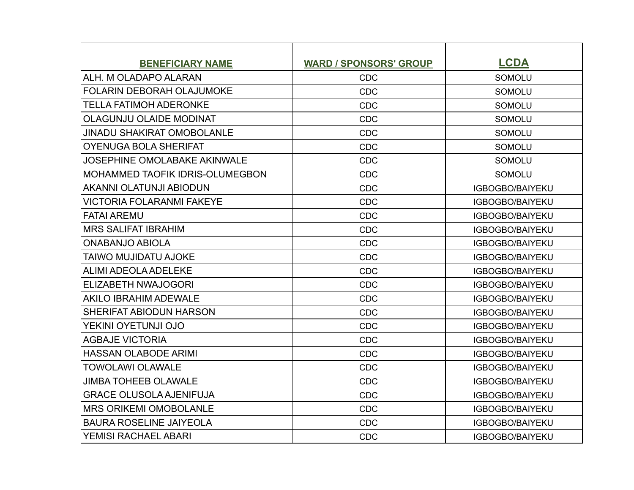| <b>BENEFICIARY NAME</b>                | <b>WARD / SPONSORS' GROUP</b> | <b>LCDA</b>            |
|----------------------------------------|-------------------------------|------------------------|
| ALH. M OLADAPO ALARAN                  | <b>CDC</b>                    | <b>SOMOLU</b>          |
| <b>FOLARIN DEBORAH OLAJUMOKE</b>       | <b>CDC</b>                    | <b>SOMOLU</b>          |
| <b>TELLA FATIMOH ADERONKE</b>          | <b>CDC</b>                    | <b>SOMOLU</b>          |
| <b>OLAGUNJU OLAIDE MODINAT</b>         | <b>CDC</b>                    | <b>SOMOLU</b>          |
| <b>JINADU SHAKIRAT OMOBOLANLE</b>      | <b>CDC</b>                    | <b>SOMOLU</b>          |
| <b>OYENUGA BOLA SHERIFAT</b>           | <b>CDC</b>                    | <b>SOMOLU</b>          |
| <b>JOSEPHINE OMOLABAKE AKINWALE</b>    | <b>CDC</b>                    | <b>SOMOLU</b>          |
| <b>MOHAMMED TAOFIK IDRIS-OLUMEGBON</b> | <b>CDC</b>                    | <b>SOMOLU</b>          |
| <b>AKANNI OLATUNJI ABIODUN</b>         | <b>CDC</b>                    | <b>IGBOGBO/BAIYEKU</b> |
| <b>VICTORIA FOLARANMI FAKEYE</b>       | <b>CDC</b>                    | <b>IGBOGBO/BAIYEKU</b> |
| <b>FATAI AREMU</b>                     | <b>CDC</b>                    | IGBOGBO/BAIYEKU        |
| <b>MRS SALIFAT IBRAHIM</b>             | <b>CDC</b>                    | <b>IGBOGBO/BAIYEKU</b> |
| <b>ONABANJO ABIOLA</b>                 | <b>CDC</b>                    | IGBOGBO/BAIYEKU        |
| <b>TAIWO MUJIDATU AJOKE</b>            | <b>CDC</b>                    | <b>IGBOGBO/BAIYEKU</b> |
| ALIMI ADEOLA ADELEKE                   | <b>CDC</b>                    | <b>IGBOGBO/BAIYEKU</b> |
| ELIZABETH NWAJOGORI                    | <b>CDC</b>                    | <b>IGBOGBO/BAIYEKU</b> |
| <b>AKILO IBRAHIM ADEWALE</b>           | <b>CDC</b>                    | <b>IGBOGBO/BAIYEKU</b> |
| <b>SHERIFAT ABIODUN HARSON</b>         | <b>CDC</b>                    | <b>IGBOGBO/BAIYEKU</b> |
| YEKINI OYETUNJI OJO                    | <b>CDC</b>                    | IGBOGBO/BAIYEKU        |
| <b>AGBAJE VICTORIA</b>                 | <b>CDC</b>                    | <b>IGBOGBO/BAIYEKU</b> |
| <b>HASSAN OLABODE ARIMI</b>            | <b>CDC</b>                    | <b>IGBOGBO/BAIYEKU</b> |
| <b>TOWOLAWI OLAWALE</b>                | <b>CDC</b>                    | <b>IGBOGBO/BAIYEKU</b> |
| <b>JIMBA TOHEEB OLAWALE</b>            | <b>CDC</b>                    | <b>IGBOGBO/BAIYEKU</b> |
| <b>GRACE OLUSOLA AJENIFUJA</b>         | <b>CDC</b>                    | IGBOGBO/BAIYEKU        |
| <b>MRS ORIKEMI OMOBOLANLE</b>          | <b>CDC</b>                    | IGBOGBO/BAIYEKU        |
| <b>BAURA ROSELINE JAIYEOLA</b>         | <b>CDC</b>                    | <b>IGBOGBO/BAIYEKU</b> |
| <b>YEMISI RACHAEL ABARI</b>            | <b>CDC</b>                    | <b>IGBOGBO/BAIYEKU</b> |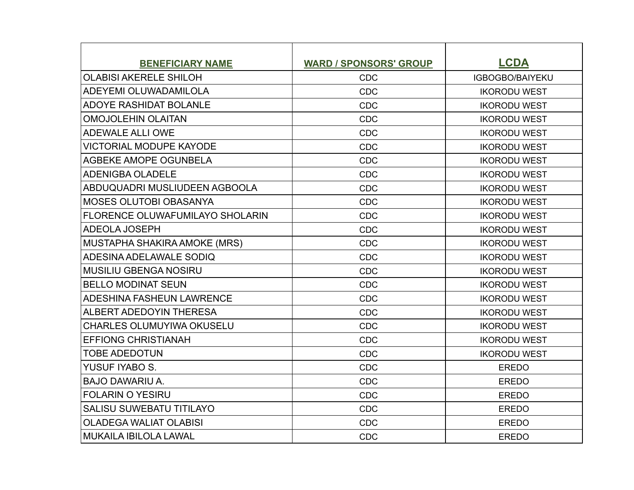| <b>BENEFICIARY NAME</b>          | <b>WARD / SPONSORS' GROUP</b> | <b>LCDA</b>            |
|----------------------------------|-------------------------------|------------------------|
| <b>OLABISI AKERELE SHILOH</b>    | <b>CDC</b>                    | <b>IGBOGBO/BAIYEKU</b> |
| ADEYEMI OLUWADAMILOLA            | <b>CDC</b>                    | <b>IKORODU WEST</b>    |
| <b>ADOYE RASHIDAT BOLANLE</b>    | <b>CDC</b>                    | <b>IKORODU WEST</b>    |
| <b>OMOJOLEHIN OLAITAN</b>        | <b>CDC</b>                    | <b>IKORODU WEST</b>    |
| <b>ADEWALE ALLI OWE</b>          | <b>CDC</b>                    | <b>IKORODU WEST</b>    |
| <b>VICTORIAL MODUPE KAYODE</b>   | <b>CDC</b>                    | <b>IKORODU WEST</b>    |
| AGBEKE AMOPE OGUNBELA            | <b>CDC</b>                    | <b>IKORODU WEST</b>    |
| ADENIGBA OLADELE                 | <b>CDC</b>                    | <b>IKORODU WEST</b>    |
| ABDUQUADRI MUSLIUDEEN AGBOOLA    | <b>CDC</b>                    | <b>IKORODU WEST</b>    |
| MOSES OLUTOBI OBASANYA           | <b>CDC</b>                    | <b>IKORODU WEST</b>    |
| FLORENCE OLUWAFUMILAYO SHOLARIN  | <b>CDC</b>                    | <b>IKORODU WEST</b>    |
| ADEOLA JOSEPH                    | <b>CDC</b>                    | <b>IKORODU WEST</b>    |
| MUSTAPHA SHAKIRA AMOKE (MRS)     | <b>CDC</b>                    | <b>IKORODU WEST</b>    |
| ADESINA ADELAWALE SODIQ          | <b>CDC</b>                    | <b>IKORODU WEST</b>    |
| MUSILIU GBENGA NOSIRU            | <b>CDC</b>                    | <b>IKORODU WEST</b>    |
| <b>BELLO MODINAT SEUN</b>        | <b>CDC</b>                    | <b>IKORODU WEST</b>    |
| <b>ADESHINA FASHEUN LAWRENCE</b> | <b>CDC</b>                    | <b>IKORODU WEST</b>    |
| ALBERT ADEDOYIN THERESA          | <b>CDC</b>                    | <b>IKORODU WEST</b>    |
| <b>CHARLES OLUMUYIWA OKUSELU</b> | <b>CDC</b>                    | <b>IKORODU WEST</b>    |
| <b>EFFIONG CHRISTIANAH</b>       | <b>CDC</b>                    | <b>IKORODU WEST</b>    |
| <b>TOBE ADEDOTUN</b>             | <b>CDC</b>                    | <b>IKORODU WEST</b>    |
| YUSUF IYABO S.                   | CDC                           | <b>EREDO</b>           |
| <b>BAJO DAWARIU A.</b>           | <b>CDC</b>                    | <b>EREDO</b>           |
| <b>FOLARIN O YESIRU</b>          | <b>CDC</b>                    | <b>EREDO</b>           |
| <b>SALISU SUWEBATU TITILAYO</b>  | <b>CDC</b>                    | <b>EREDO</b>           |
| <b>OLADEGA WALIAT OLABISI</b>    | <b>CDC</b>                    | <b>EREDO</b>           |
| MUKAILA IBILOLA LAWAL            | <b>CDC</b>                    | <b>EREDO</b>           |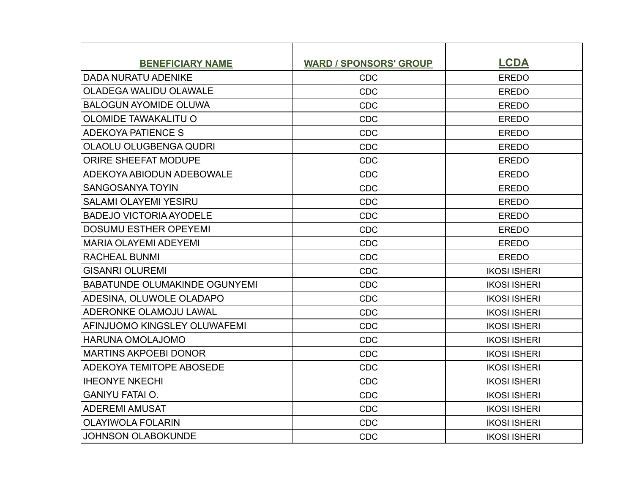| <b>BENEFICIARY NAME</b>              | <b>WARD / SPONSORS' GROUP</b> | <b>LCDA</b>         |
|--------------------------------------|-------------------------------|---------------------|
| <b>DADA NURATU ADENIKE</b>           | <b>CDC</b>                    | <b>EREDO</b>        |
| <b>OLADEGA WALIDU OLAWALE</b>        | <b>CDC</b>                    | <b>EREDO</b>        |
| <b>BALOGUN AYOMIDE OLUWA</b>         | <b>CDC</b>                    | <b>EREDO</b>        |
| <b>OLOMIDE TAWAKALITU O</b>          | <b>CDC</b>                    | <b>EREDO</b>        |
| <b>ADEKOYA PATIENCE S</b>            | <b>CDC</b>                    | <b>EREDO</b>        |
| OLAOLU OLUGBENGA QUDRI               | <b>CDC</b>                    | <b>EREDO</b>        |
| <b>ORIRE SHEEFAT MODUPE</b>          | <b>CDC</b>                    | <b>EREDO</b>        |
| ADEKOYA ABIODUN ADEBOWALE            | <b>CDC</b>                    | <b>EREDO</b>        |
| <b>SANGOSANYA TOYIN</b>              | <b>CDC</b>                    | <b>EREDO</b>        |
| <b>SALAMI OLAYEMI YESIRU</b>         | <b>CDC</b>                    | <b>EREDO</b>        |
| <b>BADEJO VICTORIA AYODELE</b>       | <b>CDC</b>                    | <b>EREDO</b>        |
| <b>DOSUMU ESTHER OPEYEMI</b>         | <b>CDC</b>                    | <b>EREDO</b>        |
| MARIA OLAYEMI ADEYEMI                | <b>CDC</b>                    | <b>EREDO</b>        |
| <b>RACHEAL BUNMI</b>                 | <b>CDC</b>                    | <b>EREDO</b>        |
| <b>GISANRI OLUREMI</b>               | <b>CDC</b>                    | <b>IKOSI ISHERI</b> |
| <b>BABATUNDE OLUMAKINDE OGUNYEMI</b> | <b>CDC</b>                    | <b>IKOSI ISHERI</b> |
| ADESINA, OLUWOLE OLADAPO             | <b>CDC</b>                    | <b>IKOSI ISHERI</b> |
| ADERONKE OLAMOJU LAWAL               | <b>CDC</b>                    | <b>IKOSI ISHERI</b> |
| AFINJUOMO KINGSLEY OLUWAFEMI         | <b>CDC</b>                    | <b>IKOSI ISHERI</b> |
| <b>HARUNA OMOLAJOMO</b>              | <b>CDC</b>                    | <b>IKOSI ISHERI</b> |
| <b>MARTINS AKPOEBI DONOR</b>         | <b>CDC</b>                    | <b>IKOSI ISHERI</b> |
| <b>ADEKOYA TEMITOPE ABOSEDE</b>      | <b>CDC</b>                    | <b>IKOSI ISHERI</b> |
| <b>IHEONYE NKECHI</b>                | <b>CDC</b>                    | <b>IKOSI ISHERI</b> |
| <b>GANIYU FATAI O.</b>               | <b>CDC</b>                    | <b>IKOSI ISHERI</b> |
| <b>ADEREMI AMUSAT</b>                | <b>CDC</b>                    | <b>IKOSI ISHERI</b> |
| <b>OLAYIWOLA FOLARIN</b>             | <b>CDC</b>                    | <b>IKOSI ISHERI</b> |
| <b>JOHNSON OLABOKUNDE</b>            | <b>CDC</b>                    | <b>IKOSI ISHERI</b> |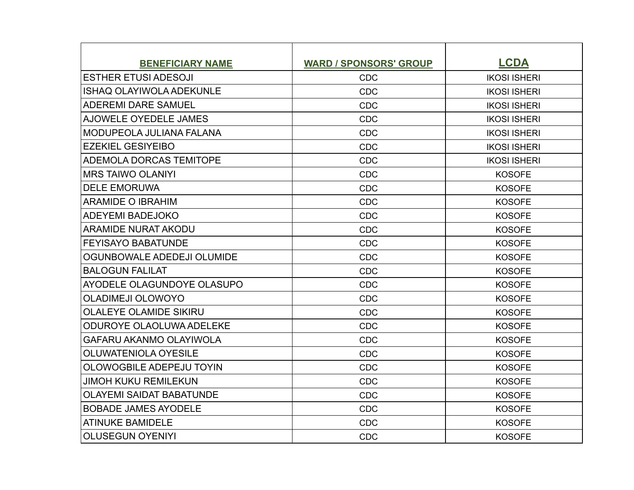| <b>BENEFICIARY NAME</b>         | <b>WARD / SPONSORS' GROUP</b> | <b>LCDA</b>         |
|---------------------------------|-------------------------------|---------------------|
| <b>ESTHER ETUSI ADESOJI</b>     | <b>CDC</b>                    | <b>IKOSI ISHERI</b> |
| <b>ISHAQ OLAYIWOLA ADEKUNLE</b> | <b>CDC</b>                    | <b>IKOSI ISHERI</b> |
| <b>ADEREMI DARE SAMUEL</b>      | <b>CDC</b>                    | <b>IKOSI ISHERI</b> |
| AJOWELE OYEDELE JAMES           | <b>CDC</b>                    | <b>IKOSI ISHERI</b> |
| <b>MODUPEOLA JULIANA FALANA</b> | <b>CDC</b>                    | <b>IKOSI ISHERI</b> |
| <b>EZEKIEL GESIYEIBO</b>        | <b>CDC</b>                    | <b>IKOSI ISHERI</b> |
| <b>ADEMOLA DORCAS TEMITOPE</b>  | <b>CDC</b>                    | <b>IKOSI ISHERI</b> |
| IMRS TAIWO OLANIYI              | <b>CDC</b>                    | <b>KOSOFE</b>       |
| <b>DELE EMORUWA</b>             | <b>CDC</b>                    | <b>KOSOFE</b>       |
| ARAMIDE O IBRAHIM               | <b>CDC</b>                    | <b>KOSOFE</b>       |
| <b>ADEYEMI BADEJOKO</b>         | <b>CDC</b>                    | <b>KOSOFE</b>       |
| ARAMIDE NURAT AKODU             | <b>CDC</b>                    | <b>KOSOFE</b>       |
| <b>FEYISAYO BABATUNDE</b>       | <b>CDC</b>                    | <b>KOSOFE</b>       |
| OGUNBOWALE ADEDEJI OLUMIDE      | <b>CDC</b>                    | <b>KOSOFE</b>       |
| <b>BALOGUN FALILAT</b>          | <b>CDC</b>                    | <b>KOSOFE</b>       |
| AYODELE OLAGUNDOYE OLASUPO      | <b>CDC</b>                    | <b>KOSOFE</b>       |
| <b>OLADIMEJI OLOWOYO</b>        | <b>CDC</b>                    | <b>KOSOFE</b>       |
| <b>OLALEYE OLAMIDE SIKIRU</b>   | <b>CDC</b>                    | <b>KOSOFE</b>       |
| ODUROYE OLAOLUWA ADELEKE        | <b>CDC</b>                    | <b>KOSOFE</b>       |
| <b>GAFARU AKANMO OLAYIWOLA</b>  | <b>CDC</b>                    | <b>KOSOFE</b>       |
| <b>OLUWATENIOLA OYESILE</b>     | <b>CDC</b>                    | <b>KOSOFE</b>       |
| OLOWOGBILE ADEPEJU TOYIN        | <b>CDC</b>                    | <b>KOSOFE</b>       |
| <b>JIMOH KUKU REMILEKUN</b>     | <b>CDC</b>                    | <b>KOSOFE</b>       |
| <b>OLAYEMI SAIDAT BABATUNDE</b> | <b>CDC</b>                    | <b>KOSOFE</b>       |
| <b>BOBADE JAMES AYODELE</b>     | <b>CDC</b>                    | <b>KOSOFE</b>       |
| <b>ATINUKE BAMIDELE</b>         | <b>CDC</b>                    | <b>KOSOFE</b>       |
| <b>OLUSEGUN OYENIYI</b>         | <b>CDC</b>                    | <b>KOSOFE</b>       |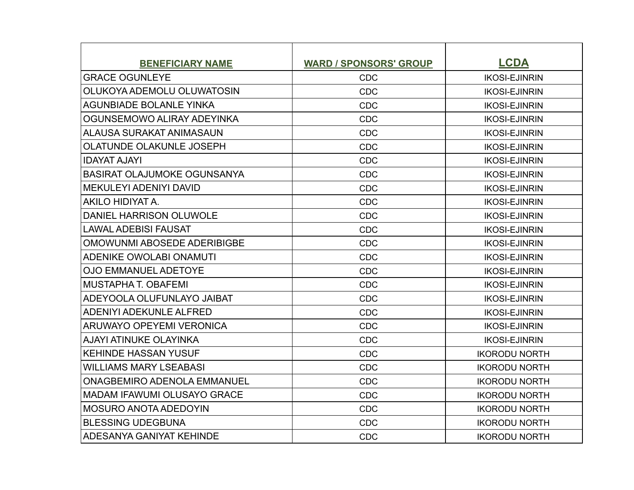| <b>BENEFICIARY NAME</b>            | <b>WARD / SPONSORS' GROUP</b> | <b>LCDA</b>          |
|------------------------------------|-------------------------------|----------------------|
| <b>GRACE OGUNLEYE</b>              | <b>CDC</b>                    | <b>IKOSI-EJINRIN</b> |
| OLUKOYA ADEMOLU OLUWATOSIN         | CDC                           | <b>IKOSI-EJINRIN</b> |
| <b>AGUNBIADE BOLANLE YINKA</b>     | <b>CDC</b>                    | <b>IKOSI-EJINRIN</b> |
| OGUNSEMOWO ALIRAY ADEYINKA         | <b>CDC</b>                    | <b>IKOSI-EJINRIN</b> |
| ALAUSA SURAKAT ANIMASAUN           | <b>CDC</b>                    | <b>IKOSI-EJINRIN</b> |
| <b>OLATUNDE OLAKUNLE JOSEPH</b>    | <b>CDC</b>                    | <b>IKOSI-EJINRIN</b> |
| <b>IDAYAT AJAYI</b>                | CDC                           | <b>IKOSI-EJINRIN</b> |
| BASIRAT OLAJUMOKE OGUNSANYA        | <b>CDC</b>                    | <b>IKOSI-EJINRIN</b> |
| <b>MEKULEYI ADENIYI DAVID</b>      | CDC                           | <b>IKOSI-EJINRIN</b> |
| AKILO HIDIYAT A.                   | CDC                           | <b>IKOSI-EJINRIN</b> |
| DANIEL HARRISON OLUWOLE            | CDC                           | <b>IKOSI-EJINRIN</b> |
| <b>LAWAL ADEBISI FAUSAT</b>        | CDC                           | <b>IKOSI-EJINRIN</b> |
| OMOWUNMI ABOSEDE ADERIBIGBE        | <b>CDC</b>                    | <b>IKOSI-EJINRIN</b> |
| ADENIKE OWOLABI ONAMUTI            | <b>CDC</b>                    | <b>IKOSI-EJINRIN</b> |
| <b>OJO EMMANUEL ADETOYE</b>        | CDC                           | <b>IKOSI-EJINRIN</b> |
| <b>MUSTAPHA T. OBAFEMI</b>         | <b>CDC</b>                    | <b>IKOSI-EJINRIN</b> |
| ADEYOOLA OLUFUNLAYO JAIBAT         | <b>CDC</b>                    | <b>IKOSI-EJINRIN</b> |
| ADENIYI ADEKUNLE ALFRED            | <b>CDC</b>                    | <b>IKOSI-EJINRIN</b> |
| ARUWAYO OPEYEMI VERONICA           | CDC                           | <b>IKOSI-EJINRIN</b> |
| <b>AJAYI ATINUKE OLAYINKA</b>      | <b>CDC</b>                    | <b>IKOSI-EJINRIN</b> |
| <b>KEHINDE HASSAN YUSUF</b>        | <b>CDC</b>                    | <b>IKORODU NORTH</b> |
| <b>WILLIAMS MARY LSEABASI</b>      | CDC                           | <b>IKORODU NORTH</b> |
| <b>ONAGBEMIRO ADENOLA EMMANUEL</b> | <b>CDC</b>                    | <b>IKORODU NORTH</b> |
| MADAM IFAWUMI OLUSAYO GRACE        | <b>CDC</b>                    | <b>IKORODU NORTH</b> |
| IMOSURO ANOTA ADEDOYIN             | CDC                           | <b>IKORODU NORTH</b> |
| <b>BLESSING UDEGBUNA</b>           | <b>CDC</b>                    | <b>IKORODU NORTH</b> |
| ADESANYA GANIYAT KEHINDE           | CDC                           | <b>IKORODU NORTH</b> |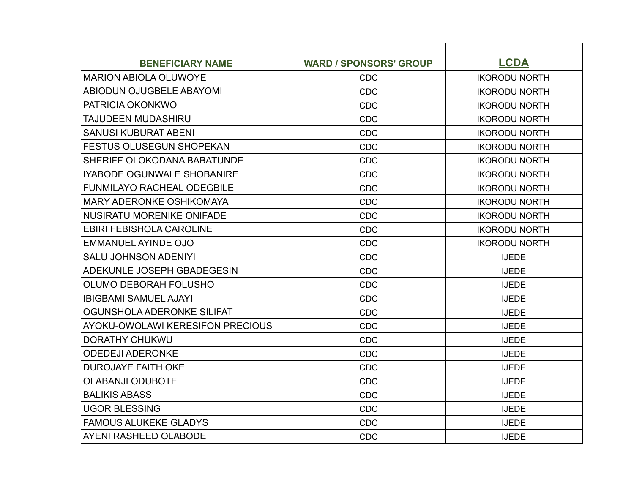| <b>BENEFICIARY NAME</b>           | <b>WARD / SPONSORS' GROUP</b> | <b>LCDA</b>          |
|-----------------------------------|-------------------------------|----------------------|
| <b>IMARION ABIOLA OLUWOYE</b>     | <b>CDC</b>                    | <b>IKORODU NORTH</b> |
| ABIODUN OJUGBELE ABAYOMI          | CDC                           | <b>IKORODU NORTH</b> |
| <b>PATRICIA OKONKWO</b>           | <b>CDC</b>                    | <b>IKORODU NORTH</b> |
| <b>TAJUDEEN MUDASHIRU</b>         | <b>CDC</b>                    | <b>IKORODU NORTH</b> |
| <b>SANUSI KUBURAT ABENI</b>       | <b>CDC</b>                    | <b>IKORODU NORTH</b> |
| <b>FESTUS OLUSEGUN SHOPEKAN</b>   | CDC                           | <b>IKORODU NORTH</b> |
| SHERIFF OLOKODANA BABATUNDE       | CDC                           | <b>IKORODU NORTH</b> |
| <b>IYABODE OGUNWALE SHOBANIRE</b> | <b>CDC</b>                    | <b>IKORODU NORTH</b> |
| <b>FUNMILAYO RACHEAL ODEGBILE</b> | <b>CDC</b>                    | <b>IKORODU NORTH</b> |
| MARY ADERONKE OSHIKOMAYA          | CDC                           | <b>IKORODU NORTH</b> |
| NUSIRATU MORENIKE ONIFADE         | CDC                           | <b>IKORODU NORTH</b> |
| <b>EBIRI FEBISHOLA CAROLINE</b>   | CDC                           | <b>IKORODU NORTH</b> |
| <b>EMMANUEL AYINDE OJO</b>        | CDC                           | <b>IKORODU NORTH</b> |
| <b>SALU JOHNSON ADENIYI</b>       | <b>CDC</b>                    | <b>IJEDE</b>         |
| ADEKUNLE JOSEPH GBADEGESIN        | <b>CDC</b>                    | <b>IJEDE</b>         |
| OLUMO DEBORAH FOLUSHO             | CDC                           | <b>IJEDE</b>         |
| <b>IBIGBAMI SAMUEL AJAYI</b>      | CDC                           | <b>IJEDE</b>         |
| OGUNSHOLA ADERONKE SILIFAT        | CDC                           | <b>IJEDE</b>         |
| AYOKU-OWOLAWI KERESIFON PRECIOUS  | CDC                           | <b>IJEDE</b>         |
| <b>DORATHY CHUKWU</b>             | <b>CDC</b>                    | <b>IJEDE</b>         |
| <b>ODEDEJI ADERONKE</b>           | CDC                           | <b>IJEDE</b>         |
| <b>DUROJAYE FAITH OKE</b>         | <b>CDC</b>                    | <b>IJEDE</b>         |
| <b>OLABANJI ODUBOTE</b>           | CDC                           | <b>IJEDE</b>         |
| <b>BALIKIS ABASS</b>              | CDC                           | <b>IJEDE</b>         |
| <b>UGOR BLESSING</b>              | <b>CDC</b>                    | <b>IJEDE</b>         |
| <b>FAMOUS ALUKEKE GLADYS</b>      | CDC                           | <b>IJEDE</b>         |
| AYENI RASHEED OLABODE             | CDC                           | <b>IJEDE</b>         |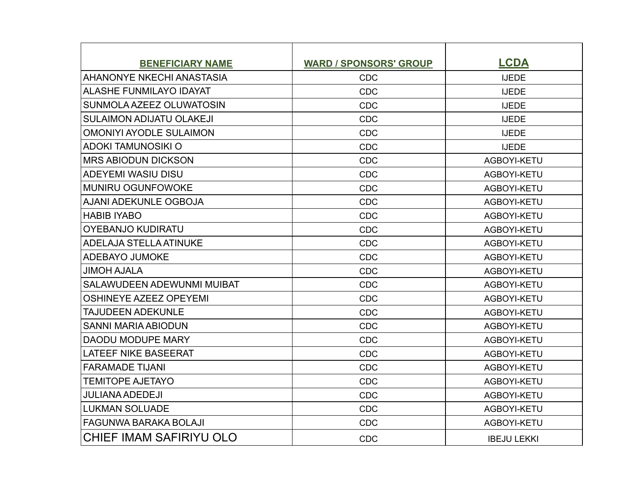| <b>BENEFICIARY NAME</b>           | <b>WARD / SPONSORS' GROUP</b> | <b>LCDA</b>        |
|-----------------------------------|-------------------------------|--------------------|
| <b>AHANONYE NKECHI ANASTASIA</b>  | <b>CDC</b>                    | <b>IJEDE</b>       |
| <b>ALASHE FUNMILAYO IDAYAT</b>    | <b>CDC</b>                    | <b>IJEDE</b>       |
| SUNMOLA AZEEZ OLUWATOSIN          | <b>CDC</b>                    | <b>IJEDE</b>       |
| <b>SULAIMON ADIJATU OLAKEJI</b>   | <b>CDC</b>                    | <b>IJEDE</b>       |
| <b>OMONIYI AYODLE SULAIMON</b>    | <b>CDC</b>                    | <b>IJEDE</b>       |
| <b>ADOKI TAMUNOSIKI O</b>         | <b>CDC</b>                    | <b>IJEDE</b>       |
| <b>MRS ABIODUN DICKSON</b>        | <b>CDC</b>                    | AGBOYI-KETU        |
| <b>ADEYEMI WASIU DISU</b>         | <b>CDC</b>                    | AGBOYI-KETU        |
| <b>MUNIRU OGUNFOWOKE</b>          | <b>CDC</b>                    | AGBOYI-KETU        |
| AJANI ADEKUNLE OGBOJA             | <b>CDC</b>                    | AGBOYI-KETU        |
| <b>HABIB IYABO</b>                | <b>CDC</b>                    | AGBOYI-KETU        |
| <b>OYEBANJO KUDIRATU</b>          | <b>CDC</b>                    | AGBOYI-KETU        |
| <b>ADELAJA STELLA ATINUKE</b>     | <b>CDC</b>                    | AGBOYI-KETU        |
| ADEBAYO JUMOKE                    | <b>CDC</b>                    | AGBOYI-KETU        |
| <b>JIMOH AJALA</b>                | <b>CDC</b>                    | AGBOYI-KETU        |
| <b>SALAWUDEEN ADEWUNMI MUIBAT</b> | <b>CDC</b>                    | AGBOYI-KETU        |
| <b>OSHINEYE AZEEZ OPEYEMI</b>     | <b>CDC</b>                    | AGBOYI-KETU        |
| <b>TAJUDEEN ADEKUNLE</b>          | <b>CDC</b>                    | AGBOYI-KETU        |
| <b>SANNI MARIA ABIODUN</b>        | <b>CDC</b>                    | AGBOYI-KETU        |
| <b>DAODU MODUPE MARY</b>          | <b>CDC</b>                    | AGBOYI-KETU        |
| <b>LATEEF NIKE BASEERAT</b>       | <b>CDC</b>                    | AGBOYI-KETU        |
| <b>FARAMADE TIJANI</b>            | <b>CDC</b>                    | AGBOYI-KETU        |
| <b>TEMITOPE AJETAYO</b>           | <b>CDC</b>                    | AGBOYI-KETU        |
| <b>JULIANA ADEDEJI</b>            | <b>CDC</b>                    | AGBOYI-KETU        |
| <b>LUKMAN SOLUADE</b>             | <b>CDC</b>                    | AGBOYI-KETU        |
| <b>FAGUNWA BARAKA BOLAJI</b>      | <b>CDC</b>                    | AGBOYI-KETU        |
| CHIEF IMAM SAFIRIYU OLO           | <b>CDC</b>                    | <b>IBEJU LEKKI</b> |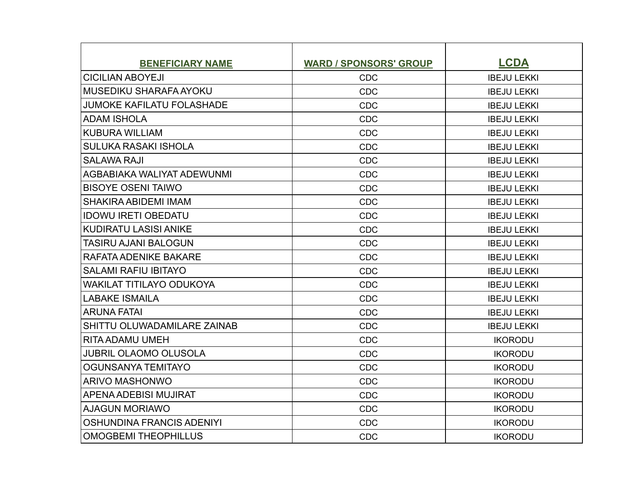| <b>BENEFICIARY NAME</b>          | <b>WARD / SPONSORS' GROUP</b> | <b>LCDA</b>        |
|----------------------------------|-------------------------------|--------------------|
| <b>CICILIAN ABOYEJI</b>          | <b>CDC</b>                    | <b>IBEJU LEKKI</b> |
| MUSEDIKU SHARAFA AYOKU           | <b>CDC</b>                    | <b>IBEJU LEKKI</b> |
| <b>JUMOKE KAFILATU FOLASHADE</b> | <b>CDC</b>                    | <b>IBEJU LEKKI</b> |
| <b>ADAM ISHOLA</b>               | <b>CDC</b>                    | <b>IBEJU LEKKI</b> |
| <b>KUBURA WILLIAM</b>            | <b>CDC</b>                    | <b>IBEJU LEKKI</b> |
| <b>SULUKA RASAKI ISHOLA</b>      | <b>CDC</b>                    | <b>IBEJU LEKKI</b> |
| <b>SALAWA RAJI</b>               | <b>CDC</b>                    | <b>IBEJU LEKKI</b> |
| AGBABIAKA WALIYAT ADEWUNMI       | <b>CDC</b>                    | <b>IBEJU LEKKI</b> |
| <b>BISOYE OSENI TAIWO</b>        | <b>CDC</b>                    | <b>IBEJU LEKKI</b> |
| SHAKIRA ABIDEMI IMAM             | <b>CDC</b>                    | <b>IBEJU LEKKI</b> |
| <b>IDOWU IRETI OBEDATU</b>       | <b>CDC</b>                    | <b>IBEJU LEKKI</b> |
| <b>KUDIRATU LASISI ANIKE</b>     | <b>CDC</b>                    | <b>IBEJU LEKKI</b> |
| TASIRU AJANI BALOGUN             | <b>CDC</b>                    | <b>IBEJU LEKKI</b> |
| RAFATA ADENIKE BAKARE            | <b>CDC</b>                    | <b>IBEJU LEKKI</b> |
| <b>SALAMI RAFIU IBITAYO</b>      | <b>CDC</b>                    | <b>IBEJU LEKKI</b> |
| <b>WAKILAT TITILAYO ODUKOYA</b>  | <b>CDC</b>                    | <b>IBEJU LEKKI</b> |
| <b>LABAKE ISMAILA</b>            | <b>CDC</b>                    | <b>IBEJU LEKKI</b> |
| <b>ARUNA FATAI</b>               | <b>CDC</b>                    | <b>IBEJU LEKKI</b> |
| SHITTU OLUWADAMILARE ZAINAB      | <b>CDC</b>                    | <b>IBEJU LEKKI</b> |
| <b>RITA ADAMU UMEH</b>           | <b>CDC</b>                    | <b>IKORODU</b>     |
| <b>JUBRIL OLAOMO OLUSOLA</b>     | <b>CDC</b>                    | <b>IKORODU</b>     |
| OGUNSANYA TEMITAYO               | <b>CDC</b>                    | <b>IKORODU</b>     |
| <b>ARIVO MASHONWO</b>            | <b>CDC</b>                    | <b>IKORODU</b>     |
| APENA ADEBISI MUJIRAT            | <b>CDC</b>                    | <b>IKORODU</b>     |
| <b>AJAGUN MORIAWO</b>            | <b>CDC</b>                    | <b>IKORODU</b>     |
| OSHUNDINA FRANCIS ADENIYI        | <b>CDC</b>                    | <b>IKORODU</b>     |
| <b>OMOGBEMI THEOPHILLUS</b>      | <b>CDC</b>                    | <b>IKORODU</b>     |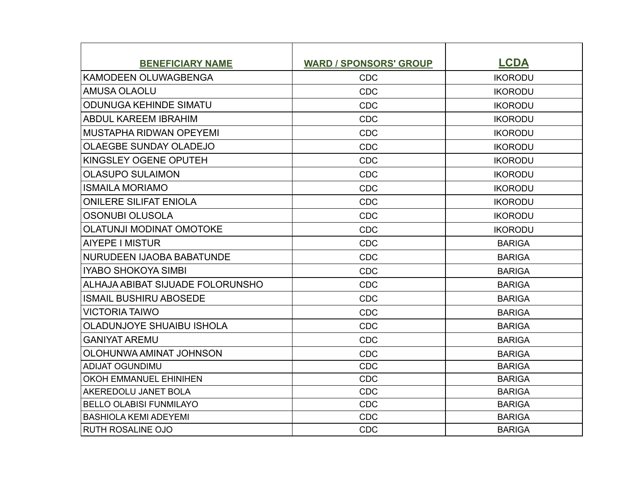| <b>BENEFICIARY NAME</b>          | <b>WARD / SPONSORS' GROUP</b> | <b>LCDA</b>    |
|----------------------------------|-------------------------------|----------------|
| <b>KAMODEEN OLUWAGBENGA</b>      | <b>CDC</b>                    | <b>IKORODU</b> |
| AMUSA OLAOLU                     | <b>CDC</b>                    | <b>IKORODU</b> |
| <b>ODUNUGA KEHINDE SIMATU</b>    | <b>CDC</b>                    | <b>IKORODU</b> |
| <b>ABDUL KAREEM IBRAHIM</b>      | <b>CDC</b>                    | <b>IKORODU</b> |
| MUSTAPHA RIDWAN OPEYEMI          | <b>CDC</b>                    | <b>IKORODU</b> |
| <b>OLAEGBE SUNDAY OLADEJO</b>    | <b>CDC</b>                    | <b>IKORODU</b> |
| KINGSLEY OGENE OPUTEH            | <b>CDC</b>                    | <b>IKORODU</b> |
| <b>OLASUPO SULAIMON</b>          | <b>CDC</b>                    | <b>IKORODU</b> |
| <b>ISMAILA MORIAMO</b>           | <b>CDC</b>                    | <b>IKORODU</b> |
| <b>ONILERE SILIFAT ENIOLA</b>    | <b>CDC</b>                    | <b>IKORODU</b> |
| <b>OSONUBI OLUSOLA</b>           | <b>CDC</b>                    | <b>IKORODU</b> |
| <b>OLATUNJI MODINAT OMOTOKE</b>  | <b>CDC</b>                    | <b>IKORODU</b> |
| AIYEPE I MISTUR                  | <b>CDC</b>                    | <b>BARIGA</b>  |
| <b>NURUDEEN IJAOBA BABATUNDE</b> | <b>CDC</b>                    | <b>BARIGA</b>  |
| <b>IYABO SHOKOYA SIMBI</b>       | <b>CDC</b>                    | <b>BARIGA</b>  |
| ALHAJA ABIBAT SIJUADE FOLORUNSHO | <b>CDC</b>                    | <b>BARIGA</b>  |
| <b>ISMAIL BUSHIRU ABOSEDE</b>    | <b>CDC</b>                    | <b>BARIGA</b>  |
| <b>VICTORIA TAIWO</b>            | <b>CDC</b>                    | <b>BARIGA</b>  |
| OLADUNJOYE SHUAIBU ISHOLA        | <b>CDC</b>                    | <b>BARIGA</b>  |
| <b>GANIYAT AREMU</b>             | <b>CDC</b>                    | <b>BARIGA</b>  |
| OLOHUNWA AMINAT JOHNSON          | <b>CDC</b>                    | <b>BARIGA</b>  |
| <b>ADIJAT OGUNDIMU</b>           | <b>CDC</b>                    | <b>BARIGA</b>  |
| <b>OKOH EMMANUEL EHINIHEN</b>    | <b>CDC</b>                    | <b>BARIGA</b>  |
| AKEREDOLU JANET BOLA             | <b>CDC</b>                    | <b>BARIGA</b>  |
| <b>BELLO OLABISI FUNMILAYO</b>   | <b>CDC</b>                    | <b>BARIGA</b>  |
| <b>BASHIOLA KEMI ADEYEMI</b>     | <b>CDC</b>                    | <b>BARIGA</b>  |
| <b>RUTH ROSALINE OJO</b>         | <b>CDC</b>                    | <b>BARIGA</b>  |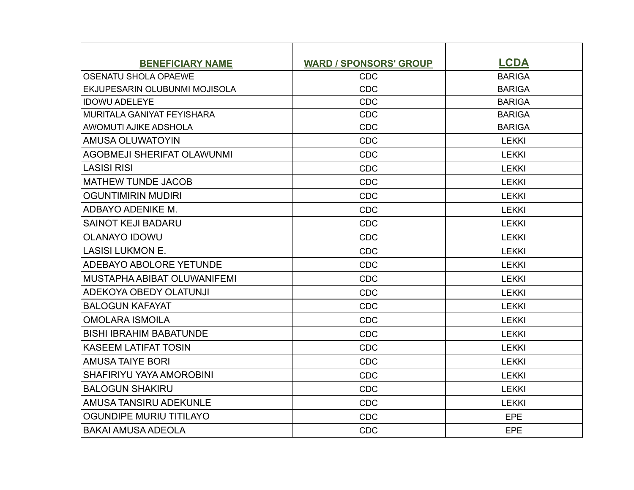| <b>BENEFICIARY NAME</b>              | <b>WARD / SPONSORS' GROUP</b> | <b>LCDA</b>   |
|--------------------------------------|-------------------------------|---------------|
| <b>OSENATU SHOLA OPAEWE</b>          | <b>CDC</b>                    | <b>BARIGA</b> |
| <b>EKJUPESARIN OLUBUNMI MOJISOLA</b> | <b>CDC</b>                    | <b>BARIGA</b> |
| <b>IDOWU ADELEYE</b>                 | <b>CDC</b>                    | <b>BARIGA</b> |
| MURITALA GANIYAT FEYISHARA           | <b>CDC</b>                    | <b>BARIGA</b> |
| <b>AWOMUTI AJIKE ADSHOLA</b>         | <b>CDC</b>                    | <b>BARIGA</b> |
| AMUSA OLUWATOYIN                     | <b>CDC</b>                    | <b>LEKKI</b>  |
| <b>AGOBMEJI SHERIFAT OLAWUNMI</b>    | <b>CDC</b>                    | <b>LEKKI</b>  |
| <b>LASISI RISI</b>                   | <b>CDC</b>                    | <b>LEKKI</b>  |
| MATHEW TUNDE JACOB                   | <b>CDC</b>                    | <b>LEKKI</b>  |
| <b>OGUNTIMIRIN MUDIRI</b>            | <b>CDC</b>                    | <b>LEKKI</b>  |
| ADBAYO ADENIKE M.                    | <b>CDC</b>                    | <b>LEKKI</b>  |
| <b>SAINOT KEJI BADARU</b>            | <b>CDC</b>                    | <b>LEKKI</b>  |
| <b>OLANAYO IDOWU</b>                 | <b>CDC</b>                    | LEKKI         |
| LLASISI LUKMON E.                    | <b>CDC</b>                    | <b>LEKKI</b>  |
| <b>ADEBAYO ABOLORE YETUNDE</b>       | <b>CDC</b>                    | <b>LEKKI</b>  |
| <b>MUSTAPHA ABIBAT OLUWANIFEMI</b>   | <b>CDC</b>                    | <b>LEKKI</b>  |
| ADEKOYA OBEDY OLATUNJI               | <b>CDC</b>                    | <b>LEKKI</b>  |
| <b>BALOGUN KAFAYAT</b>               | <b>CDC</b>                    | <b>LEKKI</b>  |
| <b>OMOLARA ISMOILA</b>               | <b>CDC</b>                    | <b>LEKKI</b>  |
| <b>BISHI IBRAHIM BABATUNDE</b>       | <b>CDC</b>                    | <b>LEKKI</b>  |
| <b>KASEEM LATIFAT TOSIN</b>          | <b>CDC</b>                    | <b>LEKKI</b>  |
| <b>AMUSA TAIYE BORI</b>              | <b>CDC</b>                    | <b>LEKKI</b>  |
| SHAFIRIYU YAYA AMOROBINI             | <b>CDC</b>                    | <b>LEKKI</b>  |
| <b>BALOGUN SHAKIRU</b>               | <b>CDC</b>                    | <b>LEKKI</b>  |
| AMUSA TANSIRU ADEKUNLE               | <b>CDC</b>                    | <b>LEKKI</b>  |
| <b>OGUNDIPE MURIU TITILAYO</b>       | <b>CDC</b>                    | EPE           |
| IBAKAI AMUSA ADEOLA                  | <b>CDC</b>                    | <b>EPE</b>    |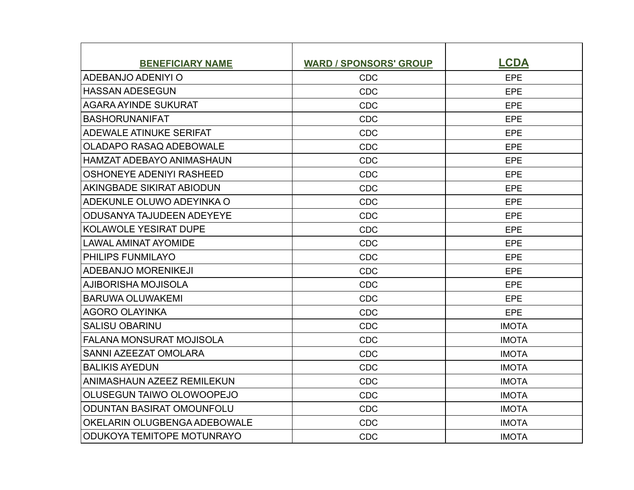| <b>BENEFICIARY NAME</b>           | <b>WARD / SPONSORS' GROUP</b> | <b>LCDA</b>  |
|-----------------------------------|-------------------------------|--------------|
| ADEBANJO ADENIYI O                | <b>CDC</b>                    | <b>EPE</b>   |
| <b>HASSAN ADESEGUN</b>            | <b>CDC</b>                    | <b>EPE</b>   |
| <b>AGARA AYINDE SUKURAT</b>       | <b>CDC</b>                    | <b>EPE</b>   |
| <b>BASHORUNANIFAT</b>             | <b>CDC</b>                    | <b>EPE</b>   |
| ADEWALE ATINUKE SERIFAT           | <b>CDC</b>                    | <b>EPE</b>   |
| <b>OLADAPO RASAQ ADEBOWALE</b>    | <b>CDC</b>                    | <b>EPE</b>   |
| <b>HAMZAT ADEBAYO ANIMASHAUN</b>  | <b>CDC</b>                    | <b>EPE</b>   |
| <b>OSHONEYE ADENIYI RASHEED</b>   | <b>CDC</b>                    | <b>EPE</b>   |
| AKINGBADE SIKIRAT ABIODUN         | <b>CDC</b>                    | <b>EPE</b>   |
| ADEKUNLE OLUWO ADEYINKA O         | <b>CDC</b>                    | <b>EPE</b>   |
| ODUSANYA TAJUDEEN ADEYEYE         | <b>CDC</b>                    | <b>EPE</b>   |
| <b>KOLAWOLE YESIRAT DUPE</b>      | <b>CDC</b>                    | <b>EPE</b>   |
| <b>LAWAL AMINAT AYOMIDE</b>       | <b>CDC</b>                    | <b>EPE</b>   |
| PHILIPS FUNMILAYO                 | <b>CDC</b>                    | <b>EPE</b>   |
| <b>ADEBANJO MORENIKEJI</b>        | <b>CDC</b>                    | <b>EPE</b>   |
| AJIBORISHA MOJISOLA               | <b>CDC</b>                    | <b>EPE</b>   |
| <b>BARUWA OLUWAKEMI</b>           | <b>CDC</b>                    | <b>EPE</b>   |
| <b>AGORO OLAYINKA</b>             | <b>CDC</b>                    | <b>EPE</b>   |
| <b>SALISU OBARINU</b>             | <b>CDC</b>                    | <b>IMOTA</b> |
| <b>FALANA MONSURAT MOJISOLA</b>   | <b>CDC</b>                    | <b>IMOTA</b> |
| SANNI AZEEZAT OMOLARA             | <b>CDC</b>                    | <b>IMOTA</b> |
| <b>BALIKIS AYEDUN</b>             | <b>CDC</b>                    | <b>IMOTA</b> |
| ANIMASHAUN AZEEZ REMILEKUN        | <b>CDC</b>                    | <b>IMOTA</b> |
| OLUSEGUN TAIWO OLOWOOPEJO         | <b>CDC</b>                    | <b>IMOTA</b> |
| <b>ODUNTAN BASIRAT OMOUNFOLU</b>  | <b>CDC</b>                    | <b>IMOTA</b> |
| OKELARIN OLUGBENGA ADEBOWALE      | <b>CDC</b>                    | <b>IMOTA</b> |
| <b>ODUKOYA TEMITOPE MOTUNRAYO</b> | <b>CDC</b>                    | <b>IMOTA</b> |